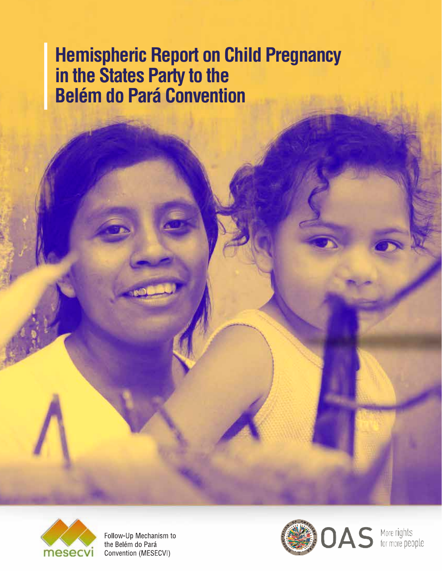## **Hemispheric Report on Child Pregnancy in the States Party to the Belém do Pará Convention**



Follow-Up Mechanism to the Belém do Pará Convention (MESECVI)

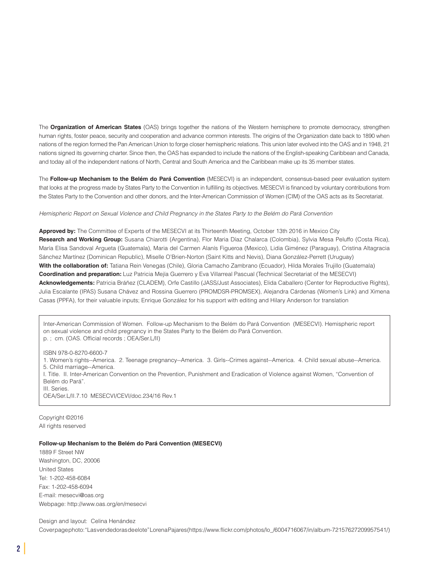The **Organization of American States** (OAS) brings together the nations of the Western hemisphere to promote democracy, strengthen human rights, foster peace, security and cooperation and advance common interests. The origins of the Organization date back to 1890 when nations of the region formed the Pan American Union to forge closer hemispheric relations. This union later evolved into the OAS and in 1948, 21 nations signed its governing charter. Since then, the OAS has expanded to include the nations of the English-speaking Caribbean and Canada, and today all of the independent nations of North, Central and South America and the Caribbean make up its 35 member states.

The **Follow-up Mechanism to the Belém do Pará Convention** (MESECVI) is an independent, consensus-based peer evaluation system that looks at the progress made by States Party to the Convention in fulfilling its objectives. MESECVI is financed by voluntary contributions from the States Party to the Convention and other donors, and the Inter-American Commission of Women (CIM) of the OAS acts as its Secretariat.

*Hemispheric Report on Sexual Violence and Child Pregnancy in the States Party to the Belém do Pará Convention*

**Approved by:** The Committee of Experts of the MESECVI at its Thirteenth Meeting, October 13th 2016 in Mexico City **Research and Working Group:** Susana Chiarotti (Argentina), Flor Maria Díaz Chalarca (Colombia), Sylvia Mesa Peluffo (Costa Rica), María Elisa Sandoval Argueta (Guatemala), Maria del Carmen Alanís Figueroa (Mexico), Lidia Giménez (Paraguay), Cristina Altagracia Sánchez Martínez (Dominican Republic), Miselle O'Brien-Norton (Saint Kitts and Nevis), Diana González-Perrett (Uruguay) **With the collaboration of:** Tatiana Rein Venegas (Chile), Gloria Camacho Zambrano (Ecuador), Hilda Morales Trujillo (Guatemala) **Coordination and preparation:** Luz Patricia Mejía Guerrero y Eva Villarreal Pascual (Technical Secretariat of the MESECVI) **Acknowledgements:** Patricia Bráñez (CLADEM), Orfe Castillo (JASS/Just Associates), Elida Caballero (Center for Reproductive Rights), Julia Escalante (IPAS) Susana Chávez and Rossina Guerrero (PROMDSR-PROMSEX), Alejandra Cárdenas (Women's Link) and Ximena Casas (PPFA), for their valuable inputs; Enrique González for his support with editing and Hilary Anderson for translation

Inter-American Commission of Women. Follow-up Mechanism to the Belém do Pará Convention (MESECVI). Hemispheric report on sexual violence and child pregnancy in the States Party to the Belém do Pará Convention. p. ; cm. (OAS. Official records ; OEA/Ser.L/II)

ISBN 978-0-8270-6600-7

1. Women's rights--America. 2. Teenage pregnancy--America. 3. Girls--Crimes against--America. 4. Child sexual abuse--America. 5. Child marriage--America.

I. Title. II. Inter-American Convention on the Prevention, Punishment and Eradication of Violence against Women, "Convention of Belém do Pará".

III. Series.

OEA/Ser.L/II.7.10 MESECVI/CEVI/doc.234/16 Rev.1

Copyright ©2016 All rights reserved

#### **Follow-up Mechanism to the Belém do Pará Convention (MESECVI)**

1889 F Street NW Washington, DC, 20006 United States Tel: 1-202-458-6084 Fax: 1-202-458-6094 E-mail: mesecvi@oas.org Webpage: http://www.oas.org/en/mesecvi

Design and layout: Celina Henández Cover page photo: "Las vendedoras de elote" Lorena Pajares (https://www.flickr.com/photos/lo\_/6004716067/in/album-72157627209957541/)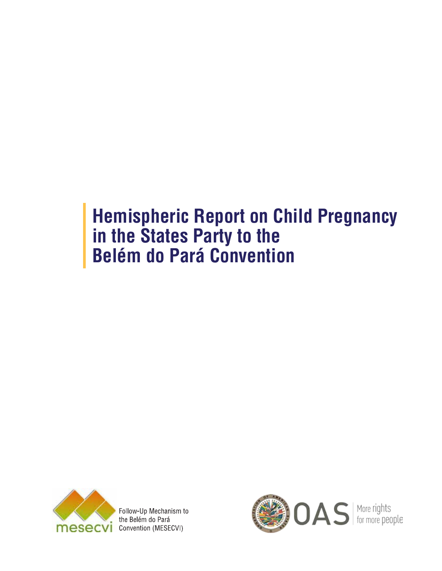## **Hemispheric Report on Child Pregnancy in the States Party to the Belém do Pará Convention**



Follow-Up Mechanism to the Belém do Pará **MESECVI** Convention (MESECVI)

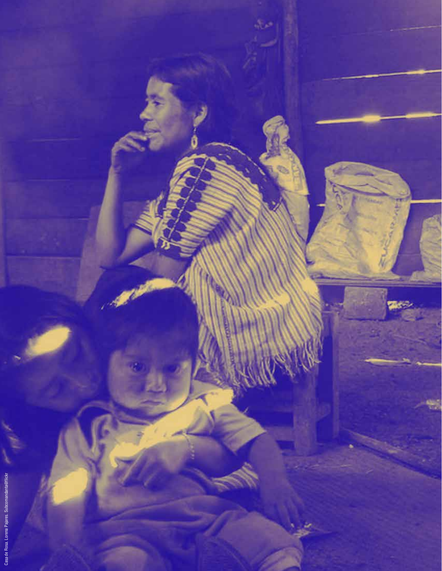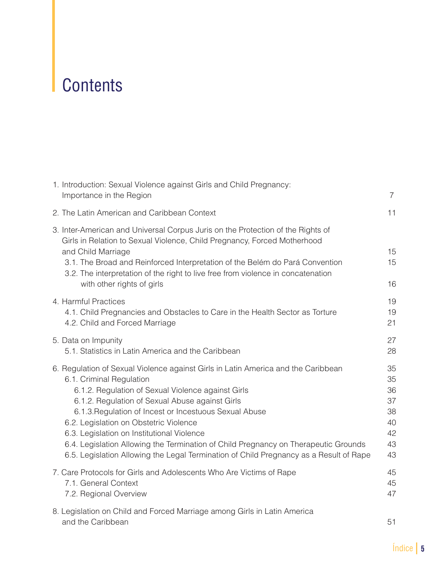# **Contents**

I

| 1. Introduction: Sexual Violence against Girls and Child Pregnancy:<br>Importance in the Region                                                                                                                                                                                                                                                                                     | $\overline{7}$ |
|-------------------------------------------------------------------------------------------------------------------------------------------------------------------------------------------------------------------------------------------------------------------------------------------------------------------------------------------------------------------------------------|----------------|
| 2. The Latin American and Caribbean Context                                                                                                                                                                                                                                                                                                                                         | 11             |
| 3. Inter-American and Universal Corpus Juris on the Protection of the Rights of<br>Girls in Relation to Sexual Violence, Child Pregnancy, Forced Motherhood<br>and Child Marriage<br>3.1. The Broad and Reinforced Interpretation of the Belém do Pará Convention<br>3.2. The interpretation of the right to live free from violence in concatenation<br>with other rights of girls | 15<br>15<br>16 |
| 4. Harmful Practices                                                                                                                                                                                                                                                                                                                                                                | 19             |
| 4.1. Child Pregnancies and Obstacles to Care in the Health Sector as Torture                                                                                                                                                                                                                                                                                                        | 19             |
| 4.2. Child and Forced Marriage                                                                                                                                                                                                                                                                                                                                                      | 21             |
| 5. Data on Impunity                                                                                                                                                                                                                                                                                                                                                                 | 27             |
| 5.1. Statistics in Latin America and the Caribbean                                                                                                                                                                                                                                                                                                                                  | 28             |
| 6. Regulation of Sexual Violence against Girls in Latin America and the Caribbean                                                                                                                                                                                                                                                                                                   | 35             |
| 6.1. Criminal Regulation                                                                                                                                                                                                                                                                                                                                                            | 35             |
| 6.1.2. Regulation of Sexual Violence against Girls                                                                                                                                                                                                                                                                                                                                  | 36             |
| 6.1.2. Regulation of Sexual Abuse against Girls                                                                                                                                                                                                                                                                                                                                     | 37             |
| 6.1.3. Regulation of Incest or Incestuous Sexual Abuse                                                                                                                                                                                                                                                                                                                              | 38             |
| 6.2. Legislation on Obstetric Violence                                                                                                                                                                                                                                                                                                                                              | 40             |
| 6.3. Legislation on Institutional Violence                                                                                                                                                                                                                                                                                                                                          | 42             |
| 6.4. Legislation Allowing the Termination of Child Pregnancy on Therapeutic Grounds                                                                                                                                                                                                                                                                                                 | 43             |
| 6.5. Legislation Allowing the Legal Termination of Child Pregnancy as a Result of Rape                                                                                                                                                                                                                                                                                              | 43             |
| 7. Care Protocols for Girls and Adolescents Who Are Victims of Rape                                                                                                                                                                                                                                                                                                                 | 45             |
| 7.1. General Context                                                                                                                                                                                                                                                                                                                                                                | 45             |
| 7.2. Regional Overview                                                                                                                                                                                                                                                                                                                                                              | 47             |
| 8. Legislation on Child and Forced Marriage among Girls in Latin America<br>and the Caribbean                                                                                                                                                                                                                                                                                       | 51             |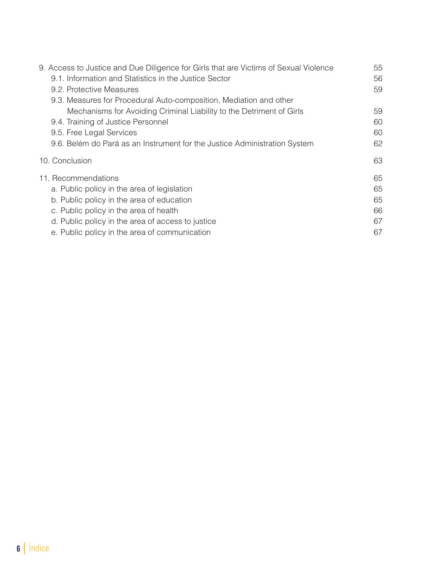| 9. Access to Justice and Due Diligence for Girls that are Victims of Sexual Violence | 55 |
|--------------------------------------------------------------------------------------|----|
| 9.1. Information and Statistics in the Justice Sector                                | 56 |
| 9.2. Protective Measures                                                             | 59 |
| 9.3. Measures for Procedural Auto-composition, Mediation and other                   |    |
| Mechanisms for Avoiding Criminal Liability to the Detriment of Girls                 | 59 |
| 9.4. Training of Justice Personnel                                                   | 60 |
| 9.5. Free Legal Services                                                             | 60 |
| 9.6. Belém do Pará as an Instrument for the Justice Administration System            | 62 |
| 10. Conclusion                                                                       | 63 |
| 11. Recommendations                                                                  | 65 |
| a. Public policy in the area of legislation                                          | 65 |
| b. Public policy in the area of education                                            | 65 |
| c. Public policy in the area of health                                               | 66 |
| d. Public policy in the area of access to justice                                    | 67 |
| e. Public policy in the area of communication                                        | 67 |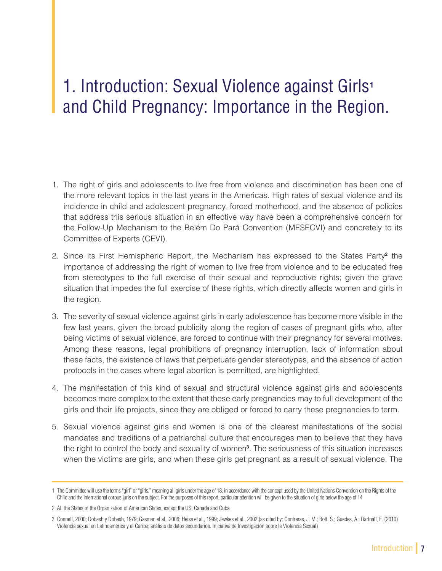## 1. Introduction: Sexual Violence against Girls**<sup>1</sup>** and Child Pregnancy: Importance in the Region.

- 1. The right of girls and adolescents to live free from violence and discrimination has been one of the more relevant topics in the last years in the Americas. High rates of sexual violence and its incidence in child and adolescent pregnancy, forced motherhood, and the absence of policies that address this serious situation in an effective way have been a comprehensive concern for the Follow-Up Mechanism to the Belém Do Pará Convention (MESECVI) and concretely to its Committee of Experts (CEVI).
- 2. Since its First Hemispheric Report, the Mechanism has expressed to the States Party<sup>2</sup> the importance of addressing the right of women to live free from violence and to be educated free from stereotypes to the full exercise of their sexual and reproductive rights; given the grave situation that impedes the full exercise of these rights, which directly affects women and girls in the region.
- 3. The severity of sexual violence against girls in early adolescence has become more visible in the few last years, given the broad publicity along the region of cases of pregnant girls who, after being victims of sexual violence, are forced to continue with their pregnancy for several motives. Among these reasons, legal prohibitions of pregnancy interruption, lack of information about these facts, the existence of laws that perpetuate gender stereotypes, and the absence of action protocols in the cases where legal abortion is permitted, are highlighted.
- 4. The manifestation of this kind of sexual and structural violence against girls and adolescents becomes more complex to the extent that these early pregnancies may to full development of the girls and their life projects, since they are obliged or forced to carry these pregnancies to term.
- 5. Sexual violence against girls and women is one of the clearest manifestations of the social mandates and traditions of a patriarchal culture that encourages men to believe that they have the right to control the body and sexuality of women**<sup>3</sup>** . The seriousness of this situation increases when the victims are girls, and when these girls get pregnant as a result of sexual violence. The

<sup>1</sup> The Committee will use the terms "girl" or "girls," meaning all girls under the age of 18, in accordance with the concept used by the United Nations Convention on the Rights of the Child and the international corpus juris on the subject. For the purposes of this report, particular attention will be given to the situation of girls below the age of 14

<sup>2</sup> All the States of the Organization of American States, except the US, Canada and Cuba

<sup>3</sup> Connell, 2000; Dobash y Dobash, 1979; Gasman et al., 2006; Heise et al., 1999; Jewkes et al., 2002 (as cited by: Contreras, J. M.; Bott, S.; Guedes, A.; Dartnall, E. (2010) Violencia sexual en Latinoamérica y el Caribe: análisis de datos secundarios. Iniciativa de Investigación sobre la Violencia Sexual)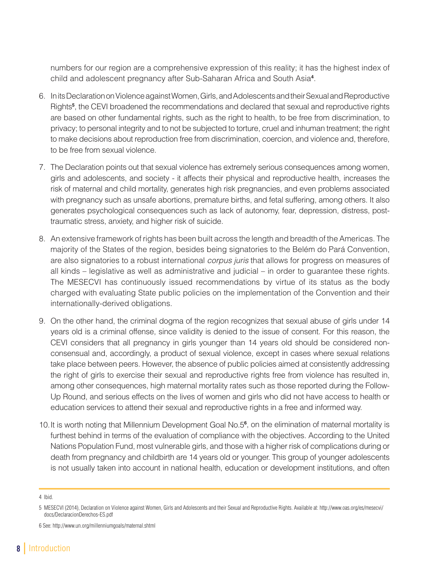numbers for our region are a comprehensive expression of this reality; it has the highest index of child and adolescent pregnancy after Sub-Saharan Africa and South Asia**<sup>4</sup>** .

- 6. In its Declaration on Violence against Women, Girls, and Adolescents and their Sexual and Reproductive Rights**<sup>5</sup>** , the CEVI broadened the recommendations and declared that sexual and reproductive rights are based on other fundamental rights, such as the right to health, to be free from discrimination, to privacy; to personal integrity and to not be subjected to torture, cruel and inhuman treatment; the right to make decisions about reproduction free from discrimination, coercion, and violence and, therefore, to be free from sexual violence.
- 7. The Declaration points out that sexual violence has extremely serious consequences among women, girls and adolescents, and society - it affects their physical and reproductive health, increases the risk of maternal and child mortality, generates high risk pregnancies, and even problems associated with pregnancy such as unsafe abortions, premature births, and fetal suffering, among others. It also generates psychological consequences such as lack of autonomy, fear, depression, distress, posttraumatic stress, anxiety, and higher risk of suicide.
- 8. An extensive framework of rights has been built across the length and breadth of the Americas. The majority of the States of the region, besides being signatories to the Belém do Pará Convention, are also signatories to a robust international *corpus juris* that allows for progress on measures of all kinds – legislative as well as administrative and judicial – in order to guarantee these rights. The MESECVI has continuously issued recommendations by virtue of its status as the body charged with evaluating State public policies on the implementation of the Convention and their internationally-derived obligations.
- 9. On the other hand, the criminal dogma of the region recognizes that sexual abuse of girls under 14 years old is a criminal offense, since validity is denied to the issue of consent. For this reason, the CEVI considers that all pregnancy in girls younger than 14 years old should be considered nonconsensual and, accordingly, a product of sexual violence, except in cases where sexual relations take place between peers. However, the absence of public policies aimed at consistently addressing the right of girls to exercise their sexual and reproductive rights free from violence has resulted in, among other consequences, high maternal mortality rates such as those reported during the Follow-Up Round, and serious effects on the lives of women and girls who did not have access to health or education services to attend their sexual and reproductive rights in a free and informed way.
- 10.It is worth noting that Millennium Development Goal No.5**<sup>6</sup>** , on the elimination of maternal mortality is furthest behind in terms of the evaluation of compliance with the objectives. According to the United Nations Population Fund, most vulnerable girls, and those with a higher risk of complications during or death from pregnancy and childbirth are 14 years old or younger. This group of younger adolescents is not usually taken into account in national health, education or development institutions, and often

<sup>4</sup> Ibid.

<sup>5</sup> MESECVI (2014), Declaration on Violence against Women, Girls and Adolescents and their Sexual and Reproductive Rights. Available at: http://www.oas.org/es/mesecvi/ docs/DeclaracionDerechos-ES.pdf

<sup>6</sup> See: http://www.un.org/millenniumgoals/maternal.shtml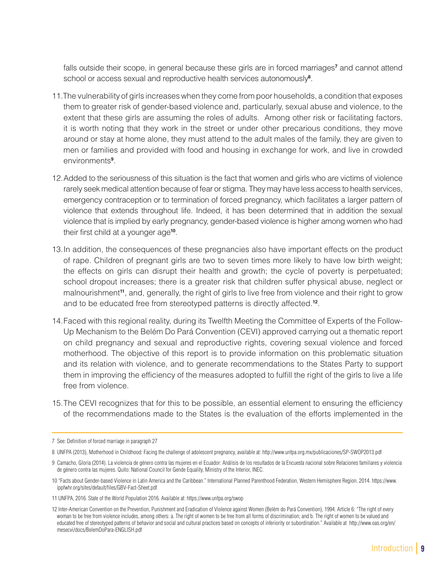falls outside their scope, in general because these girls are in forced marriages<sup>7</sup> and cannot attend school or access sexual and reproductive health services autonomously**<sup>8</sup>** .

- 11.The vulnerability of girls increases when they come from poor households, a condition that exposes them to greater risk of gender-based violence and, particularly, sexual abuse and violence, to the extent that these girls are assuming the roles of adults. Among other risk or facilitating factors, it is worth noting that they work in the street or under other precarious conditions, they move around or stay at home alone, they must attend to the adult males of the family, they are given to men or families and provided with food and housing in exchange for work, and live in crowded environments**<sup>9</sup>** .
- 12.Added to the seriousness of this situation is the fact that women and girls who are victims of violence rarely seek medical attention because of fear or stigma. They may have less access to health services, emergency contraception or to termination of forced pregnancy, which facilitates a larger pattern of violence that extends throughout life. Indeed, it has been determined that in addition the sexual violence that is implied by early pregnancy, gender-based violence is higher among women who had their first child at a younger age**<sup>10</sup>**.
- 13.In addition, the consequences of these pregnancies also have important effects on the product of rape. Children of pregnant girls are two to seven times more likely to have low birth weight; the effects on girls can disrupt their health and growth; the cycle of poverty is perpetuated; school dropout increases; there is a greater risk that children suffer physical abuse, neglect or malnourishment**<sup>11</sup>**, and, generally, the right of girls to live free from violence and their right to grow and to be educated free from stereotyped patterns is directly affected.**<sup>12</sup>**.
- 14.Faced with this regional reality, during its Twelfth Meeting the Committee of Experts of the Follow-Up Mechanism to the Belém Do Pará Convention (CEVI) approved carrying out a thematic report on child pregnancy and sexual and reproductive rights, covering sexual violence and forced motherhood. The objective of this report is to provide information on this problematic situation and its relation with violence, and to generate recommendations to the States Party to support them in improving the efficiency of the measures adopted to fulfill the right of the girls to live a life free from violence.
- 15.The CEVI recognizes that for this to be possible, an essential element to ensuring the efficiency of the recommendations made to the States is the evaluation of the efforts implemented in the

<sup>7</sup> See: Definition of forced marriage in paragraph 27

<sup>8</sup> UNFPA (2013), Motherhood in Childhood: Facing the challenge of adolescent pregnancy, available at: http://www.unfpa.org.mx/publicaciones/SP-SWOP2013.pdf

<sup>9</sup> Camacho, Gloria (2014). La violencia de género contra las mujeres en el Ecuador: Análisis de los resultados de la Encuesta nacional sobre Relaciones familiares y violencia de género contra las mujeres. Quito: National Council for Gende Equality, Ministry of the Interior, INEC.

<sup>10 &</sup>quot;Facts about Gender-based Violence in Latin America and the Caribbean." International Planned Parenthood Federation, Western Hemisphere Region. 2014. https://www. ippfwhr.org/sites/default/files/GBV-Fact-Sheet.pdf

<sup>11</sup> UNFPA, 2016. State of the World Population 2016. Available at: https://www.unfpa.org/swop

<sup>12</sup> Inter-American Convention on the Prevention, Punishment and Eradication of Violence against Women (Belém do Pará Convention), 1994. Article 6: "The right of every woman to be free from violence includes, among others: a. The right of women to be free from all forms of discrimination; and b. The right of women to be valued and educated free of stereotyped patterns of behavior and social and cultural practices based on concepts of inferiority or subordination." Available at http://www.oas.org/en/ mesecvi/docs/BelemDoPara-ENGLISH.pdf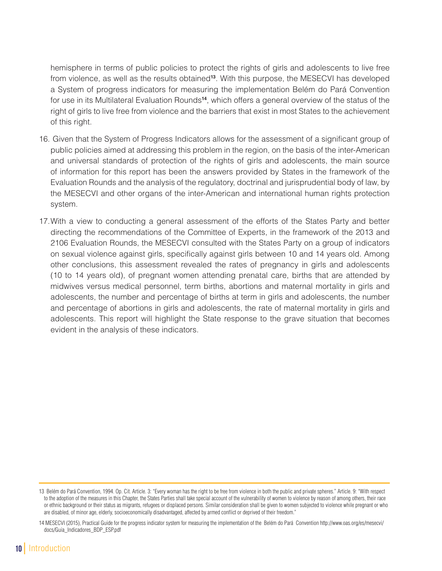hemisphere in terms of public policies to protect the rights of girls and adolescents to live free from violence, as well as the results obtained**<sup>13</sup>**. With this purpose, the MESECVI has developed a System of progress indicators for measuring the implementation Belém do Pará Convention for use in its Multilateral Evaluation Rounds**<sup>14</sup>**, which offers a general overview of the status of the right of girls to live free from violence and the barriers that exist in most States to the achievement of this right.

- 16. Given that the System of Progress Indicators allows for the assessment of a significant group of public policies aimed at addressing this problem in the region, on the basis of the inter-American and universal standards of protection of the rights of girls and adolescents, the main source of information for this report has been the answers provided by States in the framework of the Evaluation Rounds and the analysis of the regulatory, doctrinal and jurisprudential body of law, by the MESECVI and other organs of the inter-American and international human rights protection system.
- 17.With a view to conducting a general assessment of the efforts of the States Party and better directing the recommendations of the Committee of Experts, in the framework of the 2013 and 2106 Evaluation Rounds, the MESECVI consulted with the States Party on a group of indicators on sexual violence against girls, specifically against girls between 10 and 14 years old. Among other conclusions, this assessment revealed the rates of pregnancy in girls and adolescents (10 to 14 years old), of pregnant women attending prenatal care, births that are attended by midwives versus medical personnel, term births, abortions and maternal mortality in girls and adolescents, the number and percentage of births at term in girls and adolescents, the number and percentage of abortions in girls and adolescents, the rate of maternal mortality in girls and adolescents. This report will highlight the State response to the grave situation that becomes evident in the analysis of these indicators.

<sup>13</sup> Belém do Pará Convention, 1994. Op. Cit. Article. 3: "Every woman has the right to be free from violence in both the public and private spheres." Article. 9: "With respect to the adoption of the measures in this Chapter, the States Parties shall take special account of the vulnerability of women to violence by reason of among others, their race or ethnic background or their status as migrants, refugees or displaced persons. Similar consideration shall be given to women subjected to violence while pregnant or who are disabled, of minor age, elderly, socioeconomically disadvantaged, affected by armed conflict or deprived of their freedom."

<sup>14</sup> MESECVI (2015), Practical Guide for the progress indicator system for measuring the implementation of the Belém do Pará Convention http://www.oas.org/es/mesecvi/ docs/Guia\_Indicadores\_BDP\_ESP.pdf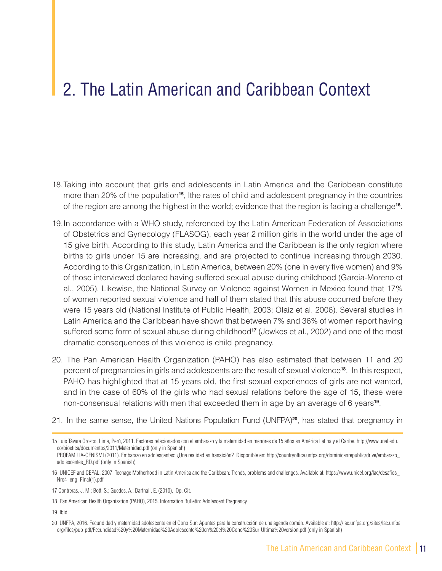### 2. The Latin American and Caribbean Context

- 18.Taking into account that girls and adolescents in Latin America and the Caribbean constitute more than 20% of the population**<sup>15</sup>**, lthe rates of child and adolescent pregnancy in the countries of the region are among the highest in the world; evidence that the region is facing a challenge**<sup>16</sup>**.
- 19.In accordance with a WHO study, referenced by the Latin American Federation of Associations of Obstetrics and Gynecology (FLASOG), each year 2 million girls in the world under the age of 15 give birth. According to this study, Latin America and the Caribbean is the only region where births to girls under 15 are increasing, and are projected to continue increasing through 2030. According to this Organization, in Latin America, between 20% (one in every five women) and 9% of those interviewed declared having suffered sexual abuse during childhood (Garcia-Moreno et al., 2005). Likewise, the National Survey on Violence against Women in Mexico found that 17% of women reported sexual violence and half of them stated that this abuse occurred before they were 15 years old (National Institute of Public Health, 2003; Olaiz et al. 2006). Several studies in Latin America and the Caribbean have shown that between 7% and 36% of women report having suffered some form of sexual abuse during childhood**<sup>17</sup>** (Jewkes et al., 2002) and one of the most dramatic consequences of this violence is child pregnancy.
- 20. The Pan American Health Organization (PAHO) has also estimated that between 11 and 20 percent of pregnancies in girls and adolescents are the result of sexual violence**<sup>18</sup>**. In this respect, PAHO has highlighted that at 15 years old, the first sexual experiences of girls are not wanted, and in the case of 60% of the girls who had sexual relations before the age of 15, these were non-consensual relations with men that exceeded them in age by an average of 6 years**<sup>19</sup>**.
- 21. In the same sense, the United Nations Population Fund (UNFPA)**20**, has stated that pregnancy in

<sup>15</sup> Luis Távara Orozco. Lima, Perú, 2011. Factores relacionados con el embarazo y la maternidad en menores de 15 años en América Latina y el Caribe. http://www.unal.edu. co/bioetica/documentos/2011/Maternidad.pdf (only in Spanish)

PROFAMILIA-CENISMI (2011). Embarazo en adolescentes: ¿Una realidad en transición? Disponible en: http://countryoffice.unfpa.org/dominicanrepublic/drive/embarazo\_ adolescentes\_RD.pdf (only in Spanish)

<sup>16</sup> UNICEF and CEPAL, 2007. Teenage Motherhood in Latin America and the Caribbean: Trends, problems and challenges. Available at: https://www.unicef.org/lac/desafios\_ Nro4\_eng\_Final(1).pdf

<sup>17</sup> Contreras, J. M.; Bott, S.; Guedes, A.; Dartnall, E. (2010), Op. Cit.

<sup>18</sup> Pan American Health Organization (PAHO), 2015. Information Bulletin: Adolescent Pregnancy

<sup>19</sup> Ibid.

<sup>20</sup> UNFPA, 2016. Fecundidad y maternidad adolescente en el Cono Sur: Apuntes para la construcción de una agenda común. Available at: http://lac.unfpa.org/sites/lac.unfpa. org/files/pub-pdf/Fecundidad%20y%20Maternidad%20Adolescente%20en%20el%20Cono%20Sur-Ultima%20version.pdf (only in Spanish)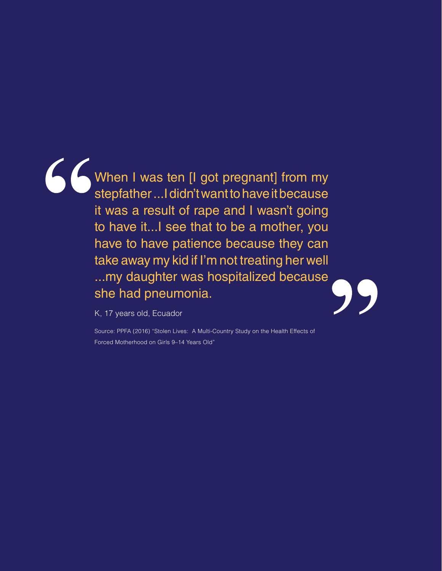When I was ten [I got pregnant] from my stepfather ...I didn't want to have it because it was a result of rape and I wasn't going to have it...I see that to be a mother, you have to have patience because they can take away my kid if I'm not treating her well ...my daughter was hospitalized because she had pneumonia.

K, 17 years old, Ecuador

Source: PPFA (2016) "Stolen Lives: A Multi-Country Study on the Health Effects of Forced Motherhood on Girls 9–14 Years Old"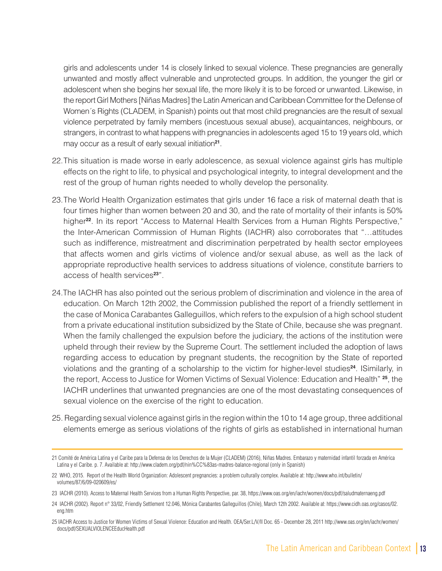girls and adolescents under 14 is closely linked to sexual violence. These pregnancies are generally unwanted and mostly affect vulnerable and unprotected groups. In addition, the younger the girl or adolescent when she begins her sexual life, the more likely it is to be forced or unwanted. Likewise, in the report Girl Mothers [Niñas Madres] the Latin American and Caribbean Committee for the Defense of Women´s Rights (CLADEM, in Spanish) points out that most child pregnancies are the result of sexual violence perpetrated by family members (incestuous sexual abuse), acquaintances, neighbours, or strangers, in contrast to what happens with pregnancies in adolescents aged 15 to 19 years old, which may occur as a result of early sexual initiation**<sup>21</sup>**.

- 22.This situation is made worse in early adolescence, as sexual violence against girls has multiple effects on the right to life, to physical and psychological integrity, to integral development and the rest of the group of human rights needed to wholly develop the personality.
- 23.The World Health Organization estimates that girls under 16 face a risk of maternal death that is four times higher than women between 20 and 30, and the rate of mortality of their infants is 50% higher<sup>22</sup>. In its report "Access to Maternal Health Services from a Human Rights Perspective," the Inter-American Commission of Human Rights (IACHR) also corroborates that "…attitudes such as indifference, mistreatment and discrimination perpetrated by health sector employees that affects women and girls victims of violence and/or sexual abuse, as well as the lack of appropriate reproductive health services to address situations of violence, constitute barriers to access of health services**<sup>23</sup>**".
- 24.The IACHR has also pointed out the serious problem of discrimination and violence in the area of education. On March 12th 2002, the Commission published the report of a friendly settlement in the case of Monica Carabantes Galleguillos, which refers to the expulsion of a high school student from a private educational institution subsidized by the State of Chile, because she was pregnant. When the family challenged the expulsion before the judiciary, the actions of the institution were upheld through their review by the Supreme Court. The settlement included the adoption of laws regarding access to education by pregnant students, the recognition by the State of reported violations and the granting of a scholarship to the victim for higher-level studies**<sup>24</sup>**. ISimilarly, in the report, Access to Justice for Women Victims of Sexual Violence: Education and Health" **<sup>25</sup>**, the IACHR underlines that unwanted pregnancies are one of the most devastating consequences of sexual violence on the exercise of the right to education.
- 25. Regarding sexual violence against girls in the region within the 10 to 14 age group, three additional elements emerge as serious violations of the rights of girls as established in international human

<sup>21</sup> Comité de América Latina y el Caribe para la Defensa de los Derechos de la Mujer (CLADEM) (2016), Niñas Madres. Embarazo y maternidad infantil forzada en América Latina y el Caribe. p. 7. Available at: http://www.cladem.org/pdf/nin%CC%83as-madres-balance-regional (only in Spanish)

<sup>22</sup> WHO, 2015. Report of the Health World Organization: Adolescent pregnancies: a problem culturally complex. Available at: http://www.who.int/bulletin/ volumes/87/6/09-020609/es/

<sup>23</sup> IACHR (2010). Access to Maternal Health Services from a Human Rights Perspective, par. 38, https://www.oas.org/en/iachr/women/docs/pdf/saludmaternaeng.pdf

<sup>24</sup> IACHR (2002). Report n° 33/02, Friendly Settlement 12.046, Mónica Carabantes Galleguillos (Chile), March 12th 2002. Available at: https://www.cidh.oas.org/casos/02. eng.htm

<sup>25</sup> IACHR Access to Justice for Women Victims of Sexual Violence: Education and Health. OEA/Ser.L/V/II Doc. 65 - December 28, 2011 http://www.oas.org/en/iachr/women/ docs/pdf/SEXUALVIOLENCEEducHealth.pdf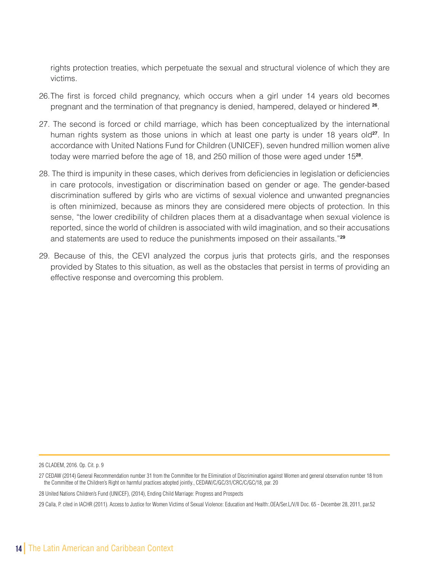rights protection treaties, which perpetuate the sexual and structural violence of which they are victims.

- 26.The first is forced child pregnancy, which occurs when a girl under 14 years old becomes pregnant and the termination of that pregnancy is denied, hampered, delayed or hindered **<sup>26</sup>**.
- 27. The second is forced or child marriage, which has been conceptualized by the international human rights system as those unions in which at least one party is under 18 years old**<sup>27</sup>**. In accordance with United Nations Fund for Children (UNICEF), seven hundred million women alive today were married before the age of 18, and 250 million of those were aged under 15**<sup>28</sup>**.
- 28. The third is impunity in these cases, which derives from deficiencies in legislation or deficiencies in care protocols, investigation or discrimination based on gender or age. The gender-based discrimination suffered by girls who are victims of sexual violence and unwanted pregnancies is often minimized, because as minors they are considered mere objects of protection. In this sense, "the lower credibility of children places them at a disadvantage when sexual violence is reported, since the world of children is associated with wild imagination, and so their accusations and statements are used to reduce the punishments imposed on their assailants."**<sup>29</sup>**
- 29. Because of this, the CEVI analyzed the corpus juris that protects girls, and the responses provided by States to this situation, as well as the obstacles that persist in terms of providing an effective response and overcoming this problem.

26 CLADEM, 2016. Op. Cit. p. 9

<sup>27</sup> CEDAW (2014) General Recommendation number 31 from the Committee for the Elimination of Discrimination against Women and general observation number 18 from the Committee of the Children's Right on harmful practices adopted jointly., CEDAW/C/GC/31/CRC/C/GC/18, par. 20

<sup>28</sup> United Nations Children's Fund (UNICEF), (2014), Ending Child Marriage: Progress and Prospects

<sup>29</sup> Calla, P. cited in IACHR (2011). Access to Justice for Women Victims of Sexual Violence: Education and Health:.OEA/Ser.L/V/II Doc. 65 - December 28, 2011, par.52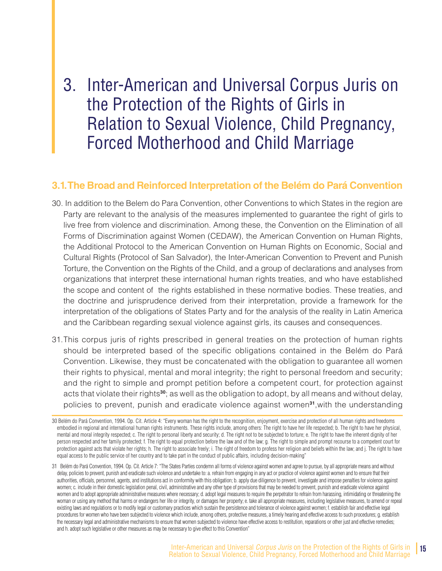### 3. Inter-American and Universal Corpus Juris on the Protection of the Rights of Girls in Relation to Sexual Violence, Child Pregnancy, Forced Motherhood and Child Marriage

#### **3.1. The Broad and Reinforced Interpretation of the Belém do Pará Convention**

- 30. In addition to the Belem do Para Convention, other Conventions to which States in the region are Party are relevant to the analysis of the measures implemented to guarantee the right of girls to live free from violence and discrimination. Among these, the Convention on the Elimination of all Forms of Discrimination against Women (CEDAW), the American Convention on Human Rights, the Additional Protocol to the American Convention on Human Rights on Economic, Social and Cultural Rights (Protocol of San Salvador), the Inter-American Convention to Prevent and Punish Torture, the Convention on the Rights of the Child, and a group of declarations and analyses from organizations that interpret these international human rights treaties, and who have established the scope and content of the rights established in these normative bodies. These treaties, and the doctrine and jurisprudence derived from their interpretation, provide a framework for the interpretation of the obligations of States Party and for the analysis of the reality in Latin America and the Caribbean regarding sexual violence against girls, its causes and consequences.
- 31.This corpus juris of rights prescribed in general treaties on the protection of human rights should be interpreted based of the specific obligations contained in the Belém do Pará Convention. Likewise, they must be concatenated with the obligation to guarantee all women their rights to physical, mental and moral integrity; the right to personal freedom and security; and the right to simple and prompt petition before a competent court, for protection against acts that violate their rights**<sup>30</sup>**; as well as the obligation to adopt, by all means and without delay, policies to prevent, punish and eradicate violence against women**<sup>31</sup>**,with the understanding

<sup>30</sup> Belém do Pará Convention, 1994. Op. Cit. Article 4: "Every woman has the right to the recognition, enjoyment, exercise and protection of all human rights and freedoms embodied in regional and international human rights instruments. These rights include, among others: The right to have her life respected; b. The right to have her physical, mental and moral integrity respected; c. The right to personal liberty and security; d. The right not to be subjected to torture; e. The right to have the inherent dignity of her person respected and her family protected; f. The right to equal protection before the law and of the law; g. The right to simple and prompt recourse to a competent court for protection against acts that violate her rights; h. The right to associate freely; i. The right of freedom to profess her religion and beliefs within the law; and j. The right to have equal access to the public service of her country and to take part in the conduct of public affairs, including decision-making"

<sup>31</sup> Belém do Pará Convention, 1994. Op. Cit. Article 7: "The States Parties condemn all forms of violence against women and agree to pursue, by all appropriate means and without delay, policies to prevent, punish and eradicate such violence and undertake to: a. refrain from engaging in any act or practice of violence against women and to ensure that their authorities, officials, personnel, agents, and institutions act in conformity with this obligation; b. apply due diligence to prevent, investigate and impose penalties for violence against women; c. include in their domestic legislation penal, civil, administrative and any other type of provisions that may be needed to prevent, punish and eradicate violence against women and to adopt appropriate administrative measures where necessary; d. adopt legal measures to require the perpetrator to refrain from harassing, intimidating or threatening the woman or using any method that harms or endangers her life or integrity, or damages her property; e. take all appropriate measures, including legislative measures, to amend or repeal existing laws and regulations or to modify legal or customary practices which sustain the persistence and tolerance of violence against women; f. establish fair and effective legal procedures for women who have been subjected to violence which include, among others, protective measures, a timely hearing and effective access to such procedures; g. establish the necessary legal and administrative mechanisms to ensure that women subjected to violence have effective access to restitution, reparations or other just and effective remedies; and h. adopt such legislative or other measures as may be necessary to give effect to this Convention"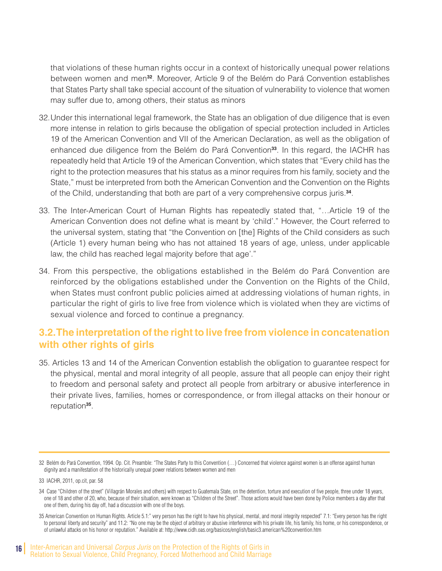that violations of these human rights occur in a context of historically unequal power relations between women and men**<sup>32</sup>**. Moreover, Article 9 of the Belém do Pará Convention establishes that States Party shall take special account of the situation of vulnerability to violence that women may suffer due to, among others, their status as minors

- 32.Under this international legal framework, the State has an obligation of due diligence that is even more intense in relation to girls because the obligation of special protection included in Articles 19 of the American Convention and VII of the American Declaration, as well as the obligation of enhanced due diligence from the Belém do Pará Convention**<sup>33</sup>**. In this regard, the IACHR has repeatedly held that Article 19 of the American Convention, which states that "Every child has the right to the protection measures that his status as a minor requires from his family, society and the State," must be interpreted from both the American Convention and the Convention on the Rights of the Child, understanding that both are part of a very comprehensive corpus juris.**<sup>34</sup>**.
- 33. The Inter-American Court of Human Rights has repeatedly stated that, "…Article 19 of the American Convention does not define what is meant by 'child'." However, the Court referred to the universal system, stating that "the Convention on [the] Rights of the Child considers as such (Article 1) every human being who has not attained 18 years of age, unless, under applicable law, the child has reached legal majority before that age'."
- 34. From this perspective, the obligations established in the Belém do Pará Convention are reinforced by the obligations established under the Convention on the Rights of the Child, when States must confront public policies aimed at addressing violations of human rights, in particular the right of girls to live free from violence which is violated when they are victims of sexual violence and forced to continue a pregnancy.

### **3.2. The interpretation of the right to live free from violence in concatenation with other rights of girls**

35. Articles 13 and 14 of the American Convention establish the obligation to guarantee respect for the physical, mental and moral integrity of all people, assure that all people can enjoy their right to freedom and personal safety and protect all people from arbitrary or abusive interference in their private lives, families, homes or correspondence, or from illegal attacks on their honour or reputation**<sup>35</sup>**.

<sup>32</sup> Belém do Pará Convention, 1994. Op. Cit. Preamble: "The States Party to this Convention (…) Concerned that violence against women is an offense against human dignity and a manifestation of the historically unequal power relations between women and men

<sup>33</sup> IACHR, 2011, op.cit, par. 58

<sup>34</sup> Case "Children of the street" (Villagrán Morales and others) with respect to Guatemala State, on the detention, torture and execution of five people, three under 18 years, one of 18 and other of 20, who, because of their situation, were known as "Children of the Street". Those actions would have been done by Police members a day after that one of them, during his day off, had a discussion with one of the boys.

<sup>35</sup> American Convention on Human Rights. Article 5.1:" very person has the right to have his physical, mental, and moral integrity respected" 7.1: "Every person has the right to personal liberty and security" and 11.2: "No one may be the object of arbitrary or abusive interference with his private life, his family, his home, or his correspondence, or of unlawful attacks on his honor or reputation." Available at: http://www.cidh.oas.org/basicos/english/basic3.american%20convention.htm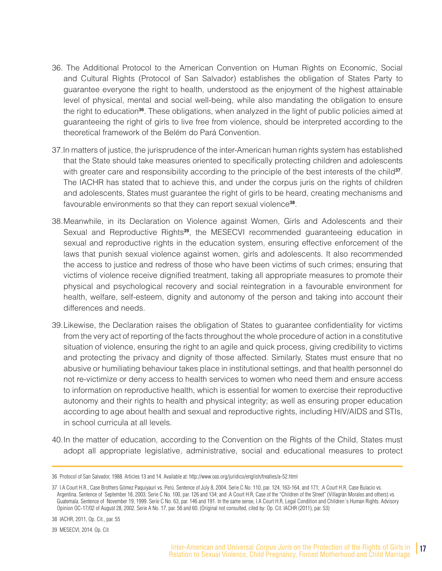- 36. The Additional Protocol to the American Convention on Human Rights on Economic, Social and Cultural Rights (Protocol of San Salvador) establishes the obligation of States Party to guarantee everyone the right to health, understood as the enjoyment of the highest attainable level of physical, mental and social well-being, while also mandating the obligation to ensure the right to education**<sup>36</sup>**. These obligations, when analyzed in the light of public policies aimed at guaranteeing the right of girls to live free from violence, should be interpreted according to the theoretical framework of the Belém do Pará Convention.
- 37.In matters of justice, the jurisprudence of the inter-American human rights system has established that the State should take measures oriented to specifically protecting children and adolescents with greater care and responsibility according to the principle of the best interests of the child<sup>37</sup>. The IACHR has stated that to achieve this, and under the corpus juris on the rights of children and adolescents, States must guarantee the right of girls to be heard, creating mechanisms and favourable environments so that they can report sexual violence**<sup>38</sup>**.
- 38.Meanwhile, in its Declaration on Violence against Women, Girls and Adolescents and their Sexual and Reproductive Rights**<sup>39</sup>**, the MESECVI recommended guaranteeing education in sexual and reproductive rights in the education system, ensuring effective enforcement of the laws that punish sexual violence against women, girls and adolescents. It also recommended the access to justice and redress of those who have been victims of such crimes; ensuring that victims of violence receive dignified treatment, taking all appropriate measures to promote their physical and psychological recovery and social reintegration in a favourable environment for health, welfare, self-esteem, dignity and autonomy of the person and taking into account their differences and needs.
- 39.Likewise, the Declaration raises the obligation of States to guarantee confidentiality for victims from the very act of reporting of the facts throughout the whole procedure of action in a constitutive situation of violence, ensuring the right to an agile and quick process, giving credibility to victims and protecting the privacy and dignity of those affected. Similarly, States must ensure that no abusive or humiliating behaviour takes place in institutional settings, and that health personnel do not re-victimize or deny access to health services to women who need them and ensure access to information on reproductive health, which is essential for women to exercise their reproductive autonomy and their rights to health and physical integrity; as well as ensuring proper education according to age about health and sexual and reproductive rights, including HIV/AIDS and STIs, in school curricula at all levels.
- 40.In the matter of education, according to the Convention on the Rights of the Child, States must adopt all appropriate legislative, administrative, social and educational measures to protect

39 MESECVI, 2014. Op. Cit

<sup>36</sup> Protocol of San Salvador, 1988. Articles 13 and 14. Available at: http://www.oas.org/juridico/english/treaties/a-52.html

<sup>37</sup> I.A Court H.R., Case Brothers Gómez Paquiyauri vs. Perú. Sentence of July 8, 2004. Serie C No. 110, par. 124, 163-164, and 171; .A Court H.R, Case Bulacio vs. Argentina. Sentence of September 18, 2003. Serie C No. 100, par. 126 and 134; and .A Court H.R, Case of the "Children of the Street" (Villagrán Morales and others) vs. Guatemala. Sentence of November 19, 1999. Serie C No. 63, par. 146 and 191. In the same sense, I.A Court H.R, Legal Condition and Children´s Human Rights. Advisory Opinion OC‐17/02 of August 28, 2002. Serie A No. 17, par. 56 and 60. (Original not consulted, cited by: Op. Cit. IACHR (2011), par. 53)

<sup>38</sup> IACHR, 2011, Op. Cit., par. 55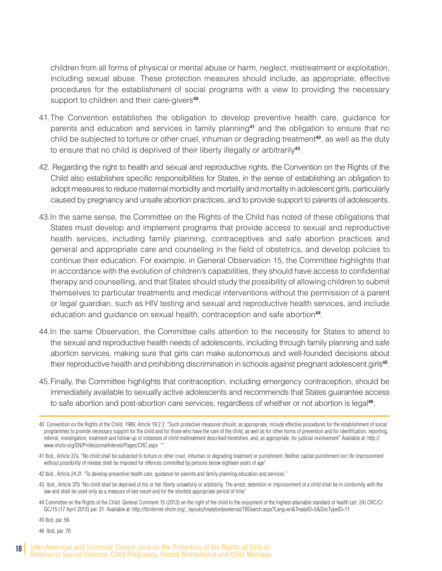children from all forms of physical or mental abuse or harm, neglect, mistreatment or exploitation, including sexual abuse. These protection measures should include, as appropriate, effective procedures for the establishment of social programs with a view to providing the necessary support to children and their care-givers**<sup>40</sup>**.

- 41.The Convention establishes the obligation to develop preventive health care, guidance for parents and education and services in family planning**<sup>41</sup>** and the obligation to ensure that no child be subjected to torture or other cruel, inhuman or degrading treatment**<sup>42</sup>**, as well as the duty to ensure that no child is deprived of their liberty illegally or arbitrarily**<sup>43</sup>**.
- 42. Regarding the right to health and sexual and reproductive rights, the Convention on the Rights of the Child also establishes specific responsibilities for States, in the sense of establishing an obligation to adopt measures to reduce maternal morbidity and mortality and mortality in adolescent girls, particularly caused by pregnancy and unsafe abortion practices, and to provide support to parents of adolescents.
- 43.In the same sense, the Committee on the Rights of the Child has noted of these obligations that States must develop and implement programs that provide access to sexual and reproductive health services, including family planning, contraceptives and safe abortion practices and general and appropriate care and counseling in the field of obstetrics, and develop policies to continue their education. For example, in General Observation 15, the Committee highlights that in accordance with the evolution of children's capabilities, they should have access to confidential therapy and counselling, and that States should study the possibility of allowing children to submit themselves to particular treatments and medical interventions without the permission of a parent or legal guardian, such as HIV testing and sexual and reproductive health services, and include education and guidance on sexual health, contraception and safe abortion**<sup>44</sup>**.
- 44.In the same Observation, the Committee calls attention to the necessity for States to attend to the sexual and reproductive health needs of adolescents, including through family planning and safe abortion services, making sure that girls can make autonomous and well-founded decisions about their reproductive health and prohibiting discrimination in schools against pregnant adolescent girls**<sup>45</sup>**.
- 45.Finally, the Committee highlights that contraception, including emergency contraception, should be immediately available to sexually active adolescents and recommends that States guarantee access to safe abortion and post-abortion care services, regardless of whether or not abortion is legal**<sup>46</sup>**.

44 Committee on the Rights of the Child. General Comment 15 (2013) on the right of the child to the enjoyment of the highest attainable standard of health (art. 24) CRC/C/ GC/15 (17 April 2013) par. 31. Available at: http://tbinternet.ohchr.org/\_layouts/treatybodyexternal/TBSearch.aspx?Lang=en&TreatyID=5&DocTypeID=11

45 Ibid, par. 56

46 Ibid, par. 70

<sup>40</sup> Convention on the Rights of the Child, 1989, Article 19.2 2. "Such protective measures should, as appropriate, include effective procedures for the establishment of social programmes to provide necessary support for the child and for those who have the care of the child, as well as for other forms of prevention and for identification, reporting, referral, investigation, treatment and follow-up of instances of child maltreatment described heretofore, and, as appropriate, for judicial involvement" Available at: http:// www.ohchr.org/EN/ProfessionalInterest/Pages/CRC.aspx ""

<sup>41</sup> Ibid., Article 37a. "No child shall be subjected to torture or other cruel, inhuman or degrading treatment or punishment. Neither capital punishment nor life imprisonment without possibility of release shall be imposed for offences committed by persons below eighteen years of age"

<sup>42</sup> Ibid., Article 24.2f. "To develop preventive health care, guidance for parents and family planning education and services."

<sup>43</sup> Ibid., Article 37b "No child shall be deprived of his or her liberty unlawfully or arbitrarily. The arrest, detention or imprisonment of a child shall be in conformity with the law and shall be used only as a measure of last resort and for the shortest appropriate period of time"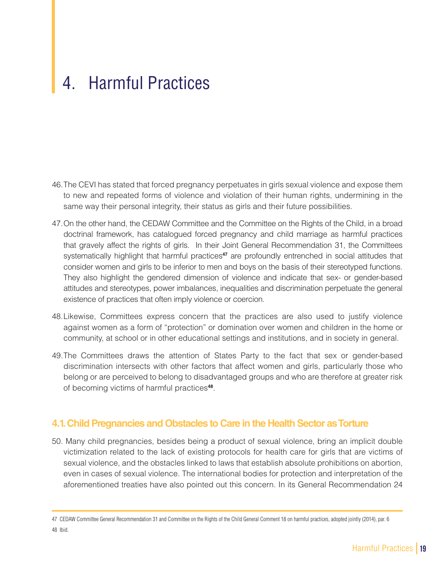# 4. Harmful Practices

- 46.The CEVI has stated that forced pregnancy perpetuates in girls sexual violence and expose them to new and repeated forms of violence and violation of their human rights, undermining in the same way their personal integrity, their status as girls and their future possibilities.
- 47.On the other hand, the CEDAW Committee and the Committee on the Rights of the Child, in a broad doctrinal framework, has catalogued forced pregnancy and child marriage as harmful practices that gravely affect the rights of girls. In their Joint General Recommendation 31, the Committees systematically highlight that harmful practices**<sup>47</sup>** are profoundly entrenched in social attitudes that consider women and girls to be inferior to men and boys on the basis of their stereotyped functions. They also highlight the gendered dimension of violence and indicate that sex- or gender-based attitudes and stereotypes, power imbalances, inequalities and discrimination perpetuate the general existence of practices that often imply violence or coercion.
- 48.Likewise, Committees express concern that the practices are also used to justify violence against women as a form of "protection" or domination over women and children in the home or community, at school or in other educational settings and institutions, and in society in general.
- 49.The Committees draws the attention of States Party to the fact that sex or gender-based discrimination intersects with other factors that affect women and girls, particularly those who belong or are perceived to belong to disadvantaged groups and who are therefore at greater risk of becoming victims of harmful practices**<sup>48</sup>**.

#### **4.1. Child Pregnancies and Obstacles to Care in the Health Sector as Torture**

50. Many child pregnancies, besides being a product of sexual violence, bring an implicit double victimization related to the lack of existing protocols for health care for girls that are victims of sexual violence, and the obstacles linked to laws that establish absolute prohibitions on abortion, even in cases of sexual violence. The international bodies for protection and interpretation of the aforementioned treaties have also pointed out this concern. In its General Recommendation 24

<sup>47</sup> CEDAW Committee General Recommendation 31 and Committee on the Rights of the Child General Comment 18 on harmful practices, adopted jointly (2014), par. 6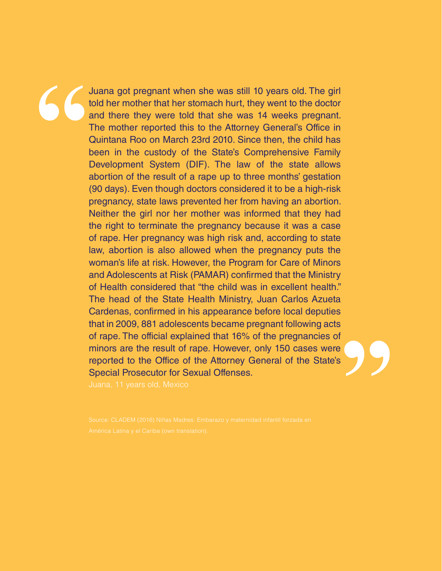Juana got pregnant when she was still 10 years old. The girl told her mother that her stomach hurt, they went to the doctor and there they were told that she was 14 weeks pregnant. The mother reported this to the Attorney General's Office in Quintana Roo on March 23rd 2010. Since then, the child has been in the custody of the State's Comprehensive Family Development System (DIF). The law of the state allows abortion of the result of a rape up to three months' gestation (90 days). Even though doctors considered it to be a high-risk pregnancy, state laws prevented her from having an abortion. Neither the girl nor her mother was informed that they had the right to terminate the pregnancy because it was a case of rape. Her pregnancy was high risk and, according to state law, abortion is also allowed when the pregnancy puts the woman's life at risk. However, the Program for Care of Minors and Adolescents at Risk (PAMAR) confirmed that the Ministry of Health considered that "the child was in excellent health." The head of the State Health Ministry, Juan Carlos Azueta Cardenas, confirmed in his appearance before local deputies that in 2009, 881 adolescents became pregnant following acts of rape. The official explained that 16% of the pregnancies of minors are the result of rape. However, only 150 cases were reported to the Office of the Attorney General of the State's Special Prosecutor for Sexual Offenses.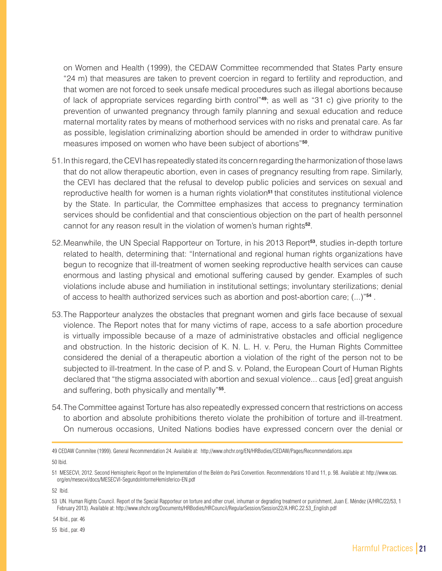on Women and Health (1999), the CEDAW Committee recommended that States Party ensure "24 m) that measures are taken to prevent coercion in regard to fertility and reproduction, and that women are not forced to seek unsafe medical procedures such as illegal abortions because of lack of appropriate services regarding birth control"**<sup>49</sup>**; as well as "31 c) give priority to the prevention of unwanted pregnancy through family planning and sexual education and reduce maternal mortality rates by means of motherhood services with no risks and prenatal care. As far as possible, legislation criminalizing abortion should be amended in order to withdraw punitive measures imposed on women who have been subject of abortions"**<sup>50</sup>**.

- 51.In this regard, the CEVI has repeatedly stated its concern regarding the harmonization of those laws that do not allow therapeutic abortion, even in cases of pregnancy resulting from rape. Similarly, the CEVI has declared that the refusal to develop public policies and services on sexual and reproductive health for women is a human rights violation**<sup>51</sup>**that constitutes institutional violence by the State. In particular, the Committee emphasizes that access to pregnancy termination services should be confidential and that conscientious objection on the part of health personnel cannot for any reason result in the violation of women's human rights**<sup>52</sup>**.
- 52.Meanwhile, the UN Special Rapporteur on Torture, in his 2013 Report**<sup>53</sup>**, studies in-depth torture related to health, determining that: "International and regional human rights organizations have begun to recognize that ill-treatment of women seeking reproductive health services can cause enormous and lasting physical and emotional suffering caused by gender. Examples of such violations include abuse and humiliation in institutional settings; involuntary sterilizations; denial of access to health authorized services such as abortion and post-abortion care; (...)"**<sup>54</sup>** .
- 53.The Rapporteur analyzes the obstacles that pregnant women and girls face because of sexual violence. The Report notes that for many victims of rape, access to a safe abortion procedure is virtually impossible because of a maze of administrative obstacles and official negligence and obstruction. In the historic decision of K. N. L. H. v. Peru, the Human Rights Committee considered the denial of a therapeutic abortion a violation of the right of the person not to be subjected to ill-treatment. In the case of P. and S. v. Poland, the European Court of Human Rights declared that "the stigma associated with abortion and sexual violence... caus [ed] great anguish and suffering, both physically and mentally"**<sup>55</sup>**.
- 54.The Committee against Torture has also repeatedly expressed concern that restrictions on access to abortion and absolute prohibitions thereto violate the prohibition of torture and ill-treatment. On numerous occasions, United Nations bodies have expressed concern over the denial or

54 Ibid., par. 46

55 Ibid., par. 49

<sup>49</sup> CEDAW Commitee (1999). General Recommendation 24. Available at: http://www.ohchr.org/EN/HRBodies/CEDAW/Pages/Recommendations.aspx 50 Ibid.

<sup>51</sup> MESECVI, 2012. Second Hemispheric Report on the Implementation of the Belém do Pará Convention. Recommendations 10 and 11, p. 98. Available at: http://www.oas. org/en/mesecvi/docs/MESECVI-SegundoInformeHemisferico-EN.pdf

<sup>52</sup> Ibid.

<sup>53</sup> UN. Human Rights Council. Report of the Special Rapporteur on torture and other cruel, inhuman or degrading treatment or punishment, Juan E. Méndez (A/HRC/22/53, 1 February 2013). Available at: http://www.ohchr.org/Documents/HRBodies/HRCouncil/RegularSession/Session22/A.HRC.22.53\_English.pdf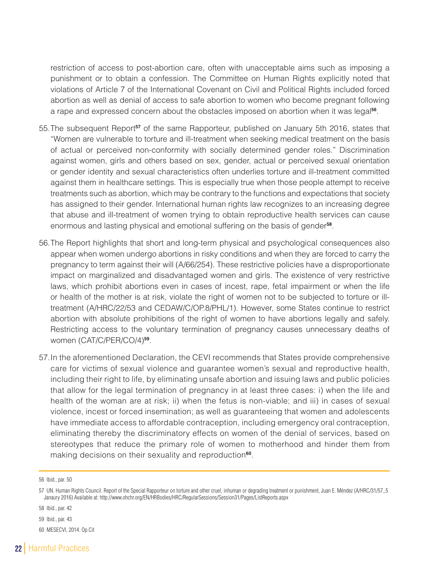restriction of access to post-abortion care, often with unacceptable aims such as imposing a punishment or to obtain a confession. The Committee on Human Rights explicitly noted that violations of Article 7 of the International Covenant on Civil and Political Rights included forced abortion as well as denial of access to safe abortion to women who become pregnant following a rape and expressed concern about the obstacles imposed on abortion when it was legal**<sup>56</sup>**.

- 55.The subsequent Report**<sup>57</sup>** of the same Rapporteur, published on January 5th 2016, states that "Women are vulnerable to torture and ill-treatment when seeking medical treatment on the basis of actual or perceived non-conformity with socially determined gender roles." Discrimination against women, girls and others based on sex, gender, actual or perceived sexual orientation or gender identity and sexual characteristics often underlies torture and ill-treatment committed against them in healthcare settings. This is especially true when those people attempt to receive treatments such as abortion, which may be contrary to the functions and expectations that society has assigned to their gender. International human rights law recognizes to an increasing degree that abuse and ill-treatment of women trying to obtain reproductive health services can cause enormous and lasting physical and emotional suffering on the basis of gender**<sup>58</sup>**.
- 56.The Report highlights that short and long-term physical and psychological consequences also appear when women undergo abortions in risky conditions and when they are forced to carry the pregnancy to term against their will (A/66/254). These restrictive policies have a disproportionate impact on marginalized and disadvantaged women and girls. The existence of very restrictive laws, which prohibit abortions even in cases of incest, rape, fetal impairment or when the life or health of the mother is at risk, violate the right of women not to be subjected to torture or illtreatment (A/HRC/22/53 and CEDAW/C/OP.8/PHL/1). However, some States continue to restrict abortion with absolute prohibitions of the right of women to have abortions legally and safely. Restricting access to the voluntary termination of pregnancy causes unnecessary deaths of women (CAT/C/PER/CO/4)**<sup>59</sup>**.
- 57.In the aforementioned Declaration, the CEVI recommends that States provide comprehensive care for victims of sexual violence and guarantee women's sexual and reproductive health, including their right to life, by eliminating unsafe abortion and issuing laws and public policies that allow for the legal termination of pregnancy in at least three cases: i) when the life and health of the woman are at risk; ii) when the fetus is non-viable; and iii) in cases of sexual violence, incest or forced insemination; as well as guaranteeing that women and adolescents have immediate access to affordable contraception, including emergency oral contraception, eliminating thereby the discriminatory effects on women of the denial of services, based on stereotypes that reduce the primary role of women to motherhood and hinder them from making decisions on their sexuality and reproduction**60**.

58 Ibid., par. 42

59 Ibid., par. 43

60 MESECVI, 2014. Op.Cit

<sup>56</sup> Ibid., par. 50

<sup>57</sup> UN. Human Rights Council. Report of the Special Rapporteur on torture and other cruel, inhuman or degrading treatment or punishment, Juan E. Méndez (A/HRC/31/57,,5 Janaury 2016) Available at: http://www.ohchr.org/EN/HRBodies/HRC/RegularSessions/Session31/Pages/ListReports.aspx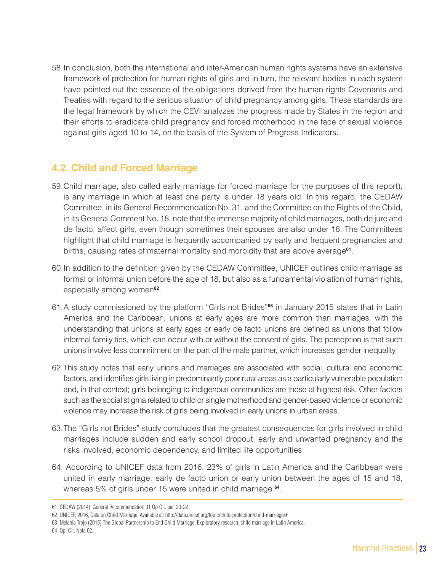58.In conclusion, both the international and inter-American human rights systems have an extensive framework of protection for human rights of girls and in turn, the relevant bodies in each system have pointed out the essence of the obligations derived from the human rights Covenants and Treaties with regard to the serious situation of child pregnancy among girls. These standards are the legal framework by which the CEVI analyzes the progress made by States in the region and their efforts to eradicate child pregnancy and forced motherhood in the face of sexual violence against girls aged 10 to 14, on the basis of the System of Progress Indicators.

### **4.2. Child and Forced Marriage**

- 59.Child marriage, also called early marriage (or forced marriage for the purposes of this report), is any marriage in which at least one party is under 18 years old. In this regard, the CEDAW Committee, in its General Recommendation No. 31, and the Committee on the Rights of the Child, in its General Comment No. 18, note that the immense majority of child marriages, both de jure and de facto, affect girls, even though sometimes their spouses are also under 18. The Committees highlight that child marriage is frequently accompanied by early and frequent pregnancies and births, causing rates of maternal mortality and morbidity that are above average**<sup>61</sup>**.
- 60.In addition to the definition given by the CEDAW Committee, UNICEF outlines child marriage as formal or informal union before the age of 18, but also as a fundamental violation of human rights, especially among women**<sup>62</sup>**.
- 61.A study commissioned by the platform "Girls not Brides"**<sup>63</sup>** in January 2015 states that in Latin America and the Caribbean, unions at early ages are more common than marriages, with the understanding that unions at early ages or early de facto unions are defined as unions that follow informal family ties, which can occur with or without the consent of girls. The perception is that such unions involve less commitment on the part of the male partner, which increases gender inequality
- 62.This study notes that early unions and marriages are associated with social, cultural and economic factors, and identifies girls living in predominantly poor rural areas as a particularly vulnerable population and, in that context; girls belonging to indigenous communities are those at highest risk. Other factors such as the social stigma related to child or single motherhood and gender-based violence or economic violence may increase the risk of girls being involved in early unions in urban areas.
- 63.The "Girls not Brides" study concludes that the greatest consequences for girls involved in child marriages include sudden and early school dropout, early and unwanted pregnancy and the risks involved, economic dependency, and limited life opportunities.
- 64. According to UNICEF data from 2016, 23% of girls in Latin America and the Caribbean were united in early marriage, early de facto union or early union between the ages of 15 and 18, whereas 5% of girls under 15 were united in child marriage **<sup>64</sup>**.

62 UNICEF, 2016, Data on Child Marriage. Available at: http://data.unicef.org/topic/child-protection/child-marriage/#

<sup>61</sup> CEDAW (2014), General Recommendation 31 Op Cit. par. 20-22

<sup>63</sup> Melania Trejo (2015) The Global Partnership to End Child Marriage. Exploratory research: child marriage in Latin America. 64 Op. Cit. Nota 62.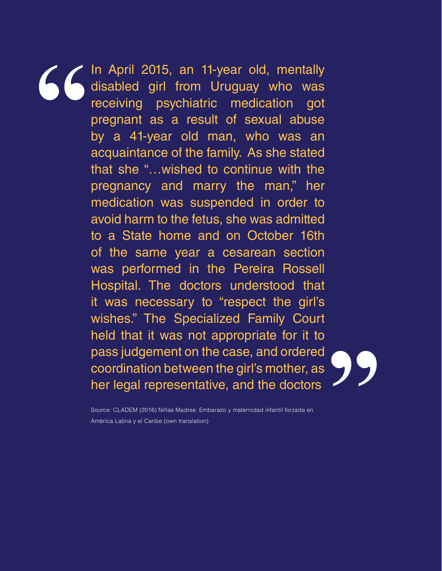In April 2015, an 11-year old, mentally disabled girl from Uruguay who was receiving psychiatric medication got pregnant as a result of sexual abuse by a 41-year old man, who was an acquaintance of the family. As she stated that she "…wished to continue with the pregnancy and marry the man," her medication was suspended in order to avoid harm to the fetus, she was admitted to a State home and on October 16th of the same year a cesarean section was performed in the Pereira Rossell Hospital. The doctors understood that it was necessary to "respect the girl's wishes." The Specialized Family Court held that it was not appropriate for it to pass judgement on the case, and ordered coordination between the girl's mother, as her legal representative, and the doctors

Source: CLADEM (2016) Niñas Madres: Embarazo y maternidad infantil forzada en América Latina y el Caribe (own translation)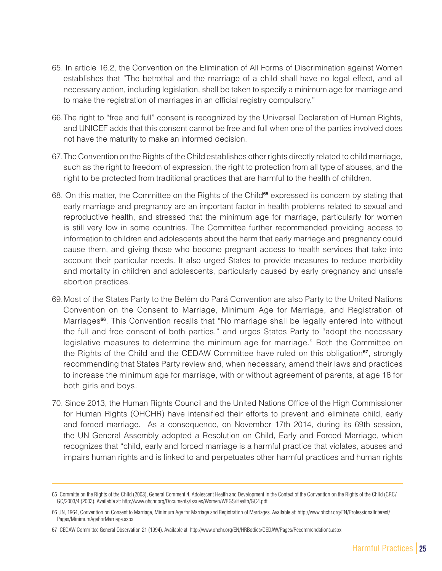- 65. In article 16.2, the Convention on the Elimination of All Forms of Discrimination against Women establishes that "The betrothal and the marriage of a child shall have no legal effect, and all necessary action, including legislation, shall be taken to specify a minimum age for marriage and to make the registration of marriages in an official registry compulsory."
- 66.The right to "free and full" consent is recognized by the Universal Declaration of Human Rights, and UNICEF adds that this consent cannot be free and full when one of the parties involved does not have the maturity to make an informed decision.
- 67.The Convention on the Rights of the Child establishes other rights directly related to child marriage, such as the right to freedom of expression, the right to protection from all type of abuses, and the right to be protected from traditional practices that are harmful to the health of children.
- 68. On this matter, the Committee on the Rights of the Child**<sup>65</sup>** expressed its concern by stating that early marriage and pregnancy are an important factor in health problems related to sexual and reproductive health, and stressed that the minimum age for marriage, particularly for women is still very low in some countries. The Committee further recommended providing access to information to children and adolescents about the harm that early marriage and pregnancy could cause them, and giving those who become pregnant access to health services that take into account their particular needs. It also urged States to provide measures to reduce morbidity and mortality in children and adolescents, particularly caused by early pregnancy and unsafe abortion practices.
- 69.Most of the States Party to the Belém do Pará Convention are also Party to the United Nations Convention on the Consent to Marriage, Minimum Age for Marriage, and Registration of Marriages**<sup>66</sup>**. This Convention recalls that "No marriage shall be legally entered into without the full and free consent of both parties," and urges States Party to "adopt the necessary legislative measures to determine the minimum age for marriage." Both the Committee on the Rights of the Child and the CEDAW Committee have ruled on this obligation**<sup>67</sup>**, strongly recommending that States Party review and, when necessary, amend their laws and practices to increase the minimum age for marriage, with or without agreement of parents, at age 18 for both girls and boys.
- 70. Since 2013, the Human Rights Council and the United Nations Office of the High Commissioner for Human Rights (OHCHR) have intensified their efforts to prevent and eliminate child, early and forced marriage. As a consequence, on November 17th 2014, during its 69th session, the UN General Assembly adopted a Resolution on Child, Early and Forced Marriage, which recognizes that "child, early and forced marriage is a harmful practice that violates, abuses and impairs human rights and is linked to and perpetuates other harmful practices and human rights

<sup>65</sup> Committe on the Rights of the Child (2003), General Comment 4. Adolescent Health and Development in the Context of the Convention on the Rights of the Child (CRC/ GC/2003/4 (2003). Available at: http://www.ohchr.org/Documents/Issues/Women/WRGS/Health/GC4.pdf

<sup>66</sup> UN, 1964, Convention on Consent to Marriage, Minimum Age for Marriage and Registration of Marriages. Available at: http://www.ohchr.org/EN/ProfessionalInterest/ Pages/MinimumAgeForMarriage.aspx

<sup>67</sup> CEDAW Committee General Observation 21 (1994). Available at: http://www.ohchr.org/EN/HRBodies/CEDAW/Pages/Recommendations.aspx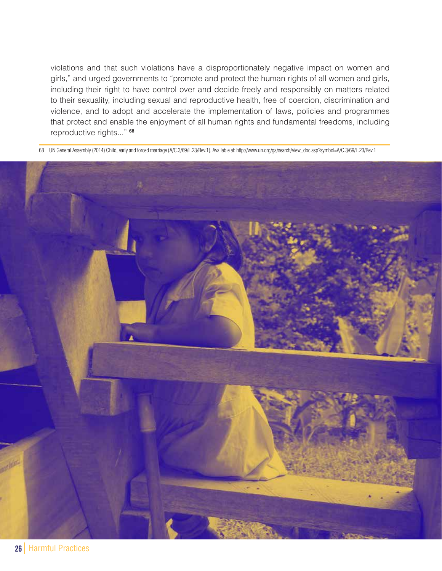violations and that such violations have a disproportionately negative impact on women and girls," and urged governments to "promote and protect the human rights of all women and girls, including their right to have control over and decide freely and responsibly on matters related to their sexuality, including sexual and reproductive health, free of coercion, discrimination and violence, and to adopt and accelerate the implementation of laws, policies and programmes that protect and enable the enjoyment of all human rights and fundamental freedoms, including reproductive rights..." **<sup>68</sup>**

68 UN General Assembly (2014) Child, early and forced marriage (A/C.3/69/L.23/Rev.1), Available at: http://www.un.org/ga/search/view\_doc.asp?symbol=A/C.3/69/L.23/Rev.1

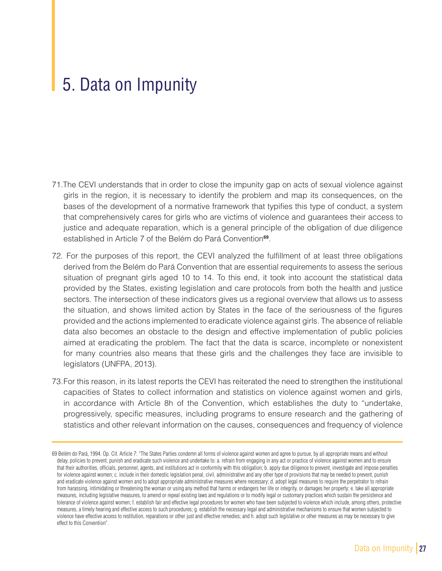### 5. Data on Impunity

- 71.The CEVI understands that in order to close the impunity gap on acts of sexual violence against girls in the region, it is necessary to identify the problem and map its consequences, on the bases of the development of a normative framework that typifies this type of conduct, a system that comprehensively cares for girls who are victims of violence and guarantees their access to justice and adequate reparation, which is a general principle of the obligation of due diligence established in Article 7 of the Belém do Pará Convention**<sup>69</sup>**.
- 72. For the purposes of this report, the CEVI analyzed the fulfillment of at least three obligations derived from the Belém do Pará Convention that are essential requirements to assess the serious situation of pregnant girls aged 10 to 14. To this end, it took into account the statistical data provided by the States, existing legislation and care protocols from both the health and justice sectors. The intersection of these indicators gives us a regional overview that allows us to assess the situation, and shows limited action by States in the face of the seriousness of the figures provided and the actions implemented to eradicate violence against girls. The absence of reliable data also becomes an obstacle to the design and effective implementation of public policies aimed at eradicating the problem. The fact that the data is scarce, incomplete or nonexistent for many countries also means that these girls and the challenges they face are invisible to legislators (UNFPA, 2013).
- 73.For this reason, in its latest reports the CEVI has reiterated the need to strengthen the institutional capacities of States to collect information and statistics on violence against women and girls, in accordance with Article 8h of the Convention, which establishes the duty to "undertake, progressively, specific measures, including programs to ensure research and the gathering of statistics and other relevant information on the causes, consequences and frequency of violence

<sup>69</sup> Belém do Pará, 1994. Op. Cit. Article 7: "The States Parties condemn all forms of violence against women and agree to pursue, by all appropriate means and without delay, policies to prevent, punish and eradicate such violence and undertake to: a. refrain from engaging in any act or practice of violence against women and to ensure that their authorities, officials, personnel, agents, and institutions act in conformity with this obligation; b. apply due diligence to prevent, investigate and impose penalties for violence against women; c. include in their domestic legislation penal, civil, administrative and any other type of provisions that may be needed to prevent, punish and eradicate violence against women and to adopt appropriate administrative measures where necessary; d. adopt legal measures to require the perpetrator to refrain from harassing, intimidating or threatening the woman or using any method that harms or endangers her life or integrity, or damages her property; e. take all appropriate measures, including legislative measures, to amend or repeal existing laws and regulations or to modify legal or customary practices which sustain the persistence and tolerance of violence against women; f. establish fair and effective legal procedures for women who have been subjected to violence which include, among others, protective measures, a timely hearing and effective access to such procedures; g. establish the necessary legal and administrative mechanisms to ensure that women subjected to violence have effective access to restitution, reparations or other just and effective remedies; and h. adopt such legislative or other measures as may be necessary to give effect to this Convention".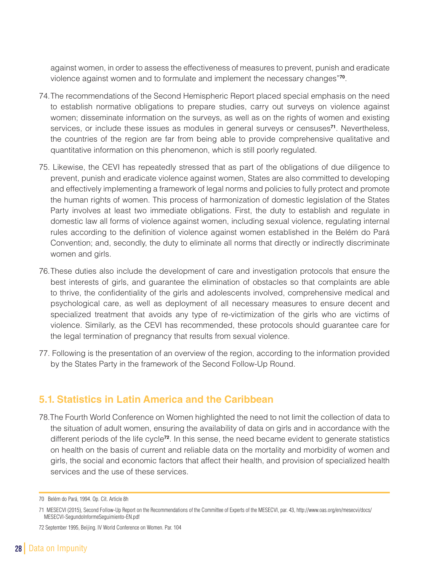against women, in order to assess the effectiveness of measures to prevent, punish and eradicate violence against women and to formulate and implement the necessary changes"**<sup>70</sup>**.

- 74.The recommendations of the Second Hemispheric Report placed special emphasis on the need to establish normative obligations to prepare studies, carry out surveys on violence against women; disseminate information on the surveys, as well as on the rights of women and existing services, or include these issues as modules in general surveys or censuses**<sup>71</sup>**. Nevertheless, the countries of the region are far from being able to provide comprehensive qualitative and quantitative information on this phenomenon, which is still poorly regulated.
- 75. Likewise, the CEVI has repeatedly stressed that as part of the obligations of due diligence to prevent, punish and eradicate violence against women, States are also committed to developing and effectively implementing a framework of legal norms and policies to fully protect and promote the human rights of women. This process of harmonization of domestic legislation of the States Party involves at least two immediate obligations. First, the duty to establish and regulate in domestic law all forms of violence against women, including sexual violence, regulating internal rules according to the definition of violence against women established in the Belém do Pará Convention; and, secondly, the duty to eliminate all norms that directly or indirectly discriminate women and girls.
- 76.These duties also include the development of care and investigation protocols that ensure the best interests of girls, and guarantee the elimination of obstacles so that complaints are able to thrive, the confidentiality of the girls and adolescents involved, comprehensive medical and psychological care, as well as deployment of all necessary measures to ensure decent and specialized treatment that avoids any type of re-victimization of the girls who are victims of violence. Similarly, as the CEVI has recommended, these protocols should guarantee care for the legal termination of pregnancy that results from sexual violence.
- 77. Following is the presentation of an overview of the region, according to the information provided by the States Party in the framework of the Second Follow-Up Round.

### **5.1. Statistics in Latin America and the Caribbean**

78.The Fourth World Conference on Women highlighted the need to not limit the collection of data to the situation of adult women, ensuring the availability of data on girls and in accordance with the different periods of the life cycle**<sup>72</sup>**. In this sense, the need became evident to generate statistics on health on the basis of current and reliable data on the mortality and morbidity of women and girls, the social and economic factors that affect their health, and provision of specialized health services and the use of these services.

<sup>70</sup> Belém do Pará, 1994. Op. Cit. Article 8h

<sup>71</sup> MESECVI (2015), Second Follow-Up Report on the Recommendations of the Committee of Experts of the MESECVI, par. 43, http://www.oas.org/en/mesecvi/docs/ MESECVI-SegundoInformeSeguimiento-EN.pdf

<sup>72</sup> September 1995, Beijing. IV World Conference on Women. Par. 104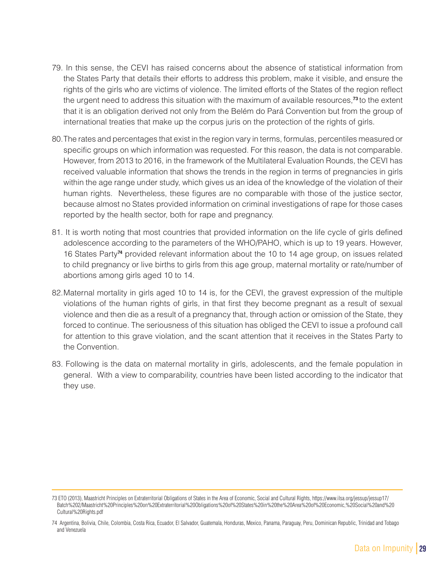- 79. In this sense, the CEVI has raised concerns about the absence of statistical information from the States Party that details their efforts to address this problem, make it visible, and ensure the rights of the girls who are victims of violence. The limited efforts of the States of the region reflect the urgent need to address this situation with the maximum of available resources,**<sup>73</sup>**to the extent that it is an obligation derived not only from the Belém do Pará Convention but from the group of international treaties that make up the corpus juris on the protection of the rights of girls.
- 80.The rates and percentages that exist in the region vary in terms, formulas, percentiles measured or specific groups on which information was requested. For this reason, the data is not comparable. However, from 2013 to 2016, in the framework of the Multilateral Evaluation Rounds, the CEVI has received valuable information that shows the trends in the region in terms of pregnancies in girls within the age range under study, which gives us an idea of the knowledge of the violation of their human rights. Nevertheless, these figures are no comparable with those of the justice sector, because almost no States provided information on criminal investigations of rape for those cases reported by the health sector, both for rape and pregnancy.
- 81. It is worth noting that most countries that provided information on the life cycle of girls defined adolescence according to the parameters of the WHO/PAHO, which is up to 19 years. However, 16 States Party**<sup>74</sup>** provided relevant information about the 10 to 14 age group, on issues related to child pregnancy or live births to girls from this age group, maternal mortality or rate/number of abortions among girls aged 10 to 14.
- 82.Maternal mortality in girls aged 10 to 14 is, for the CEVI, the gravest expression of the multiple violations of the human rights of girls, in that first they become pregnant as a result of sexual violence and then die as a result of a pregnancy that, through action or omission of the State, they forced to continue. The seriousness of this situation has obliged the CEVI to issue a profound call for attention to this grave violation, and the scant attention that it receives in the States Party to the Convention.
- 83. Following is the data on maternal mortality in girls, adolescents, and the female population in general. With a view to comparability, countries have been listed according to the indicator that they use.

<sup>73</sup> ETO (2013), Maastricht Principles on Extraterritorial Obligations of States in the Area of Economic, Social and Cultural Rights, https://www.ilsa.org/jessup/jessup17/ Batch%202/Maastricht%20Principles%20on%20Extraterritorial%20Obligations%20of%20States%20in%20the%20Area%20of%20Economic,%20Social%20and%20 Cultural%20Rights.pdf

<sup>74</sup> Argentina, Bolivia, Chile, Colombia, Costa Rica, Ecuador, El Salvador, Guatemala, Honduras, Mexico, Panama, Paraguay, Peru, Dominican Republic, Trinidad and Tobago and Venezuela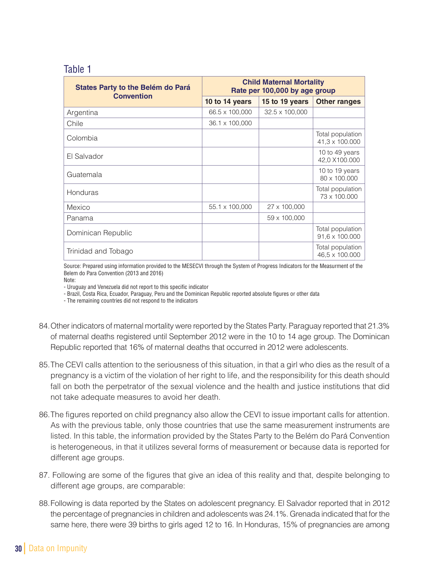#### Table 1

| <b>States Party to the Belém do Pará</b><br><b>Convention</b> | <b>Child Maternal Mortality</b><br>Rate per 100,000 by age group |                |                                    |  |  |
|---------------------------------------------------------------|------------------------------------------------------------------|----------------|------------------------------------|--|--|
|                                                               | 10 to 14 years                                                   | 15 to 19 years | <b>Other ranges</b>                |  |  |
| Argentina                                                     | 66.5 x 100,000                                                   | 32.5 x 100,000 |                                    |  |  |
| Chile                                                         | 36.1 x 100,000                                                   |                |                                    |  |  |
| Colombia                                                      |                                                                  |                | Total population<br>41,3 x 100.000 |  |  |
| El Salvador                                                   |                                                                  |                | 10 to 49 years<br>42,0 X100.000    |  |  |
| Guatemala                                                     |                                                                  |                | 10 to 19 years<br>80 x 100,000     |  |  |
| Honduras                                                      |                                                                  |                | Total population<br>73 x 100,000   |  |  |
| Mexico                                                        | 55.1 x 100,000                                                   | 27 x 100,000   |                                    |  |  |
| Panama                                                        |                                                                  | 59 x 100,000   |                                    |  |  |
| Dominican Republic                                            |                                                                  |                | Total population<br>91,6 x 100.000 |  |  |
| Trinidad and Tobago                                           |                                                                  |                | Total population<br>46,5 x 100.000 |  |  |

Source: Prepared using information provided to the MESECVI through the System of Progress Indicators for the Measurment of the Belem do Para Convention (2013 and 2016)

Note:

- Uruguay and Venezuela did not report to this specific indicator

- Brazil, Costa Rica, Ecuador, Paraguay, Peru and the Dominican Republic reported absolute figures or other data

- The remaining countries did not respond to the indicators

- 84.Other indicators of maternal mortality were reported by the States Party. Paraguay reported that 21.3% of maternal deaths registered until September 2012 were in the 10 to 14 age group. The Dominican Republic reported that 16% of maternal deaths that occurred in 2012 were adolescents.
- 85.The CEVI calls attention to the seriousness of this situation, in that a girl who dies as the result of a pregnancy is a victim of the violation of her right to life, and the responsibility for this death should fall on both the perpetrator of the sexual violence and the health and justice institutions that did not take adequate measures to avoid her death.
- 86.The figures reported on child pregnancy also allow the CEVI to issue important calls for attention. As with the previous table, only those countries that use the same measurement instruments are listed. In this table, the information provided by the States Party to the Belém do Pará Convention is heterogeneous, in that it utilizes several forms of measurement or because data is reported for different age groups.
- 87. Following are some of the figures that give an idea of this reality and that, despite belonging to different age groups, are comparable:
- 88.Following is data reported by the States on adolescent pregnancy. El Salvador reported that in 2012 the percentage of pregnancies in children and adolescents was 24.1%. Grenada indicated that for the same here, there were 39 births to girls aged 12 to 16. In Honduras, 15% of pregnancies are among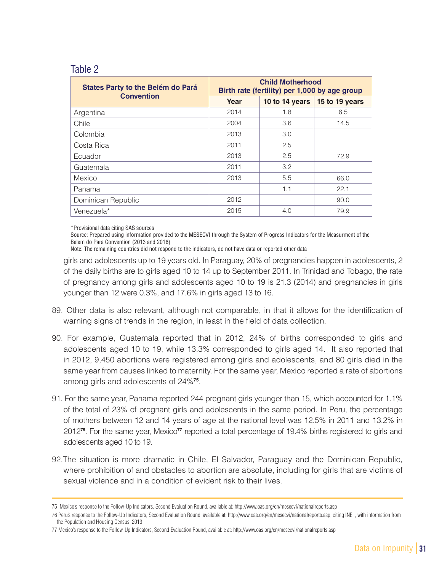#### Table 2

| States Party to the Belém do Pará<br><b>Convention</b> | <b>Child Motherhood</b><br>Birth rate (fertility) per 1,000 by age group |                |                |  |
|--------------------------------------------------------|--------------------------------------------------------------------------|----------------|----------------|--|
|                                                        | Year                                                                     | 10 to 14 years | 15 to 19 years |  |
| Argentina                                              | 2014                                                                     | 1.8            | 6.5            |  |
| Chile                                                  | 2004                                                                     | 3.6            | 14.5           |  |
| Colombia                                               | 2013                                                                     | 3.0            |                |  |
| Costa Rica                                             | 2011                                                                     | 2.5            |                |  |
| Ecuador                                                | 2013                                                                     | 2.5            | 72.9           |  |
| Guatemala                                              | 2011                                                                     | 3.2            |                |  |
| Mexico                                                 | 2013                                                                     | 5.5            | 66.0           |  |
| Panama                                                 |                                                                          | 1.1            | 22.1           |  |
| Dominican Republic                                     | 2012                                                                     |                | 90.0           |  |
| Venezuela*                                             | 2015                                                                     | 4.0            | 79.9           |  |

\*Provisional data citing SAS sources

Source: Prepared using information provided to the MESECVI through the System of Progress Indicators for the Measurment of the Belem do Para Convention (2013 and 2016)

Note: The remaining countries did not respond to the indicators, do not have data or reported other data

girls and adolescents up to 19 years old. In Paraguay, 20% of pregnancies happen in adolescents, 2 of the daily births are to girls aged 10 to 14 up to September 2011. In Trinidad and Tobago, the rate of pregnancy among girls and adolescents aged 10 to 19 is 21.3 (2014) and pregnancies in girls younger than 12 were 0.3%, and 17.6% in girls aged 13 to 16.

- 89. Other data is also relevant, although not comparable, in that it allows for the identification of warning signs of trends in the region, in least in the field of data collection.
- 90. For example, Guatemala reported that in 2012, 24% of births corresponded to girls and adolescents aged 10 to 19, while 13.3% corresponded to girls aged 14. It also reported that in 2012, 9,450 abortions were registered among girls and adolescents, and 80 girls died in the same year from causes linked to maternity. For the same year, Mexico reported a rate of abortions among girls and adolescents of 24%**<sup>75</sup>**.
- 91. For the same year, Panama reported 244 pregnant girls younger than 15, which accounted for 1.1% of the total of 23% of pregnant girls and adolescents in the same period. In Peru, the percentage of mothers between 12 and 14 years of age at the national level was 12.5% in 2011 and 13.2% in 2012**<sup>76</sup>**. For the same year, Mexico**<sup>77</sup>** reported a total percentage of 19.4% births registered to girls and adolescents aged 10 to 19.
- 92.The situation is more dramatic in Chile, El Salvador, Paraguay and the Dominican Republic, where prohibition of and obstacles to abortion are absolute, including for girls that are victims of sexual violence and in a condition of evident risk to their lives.

<sup>75</sup> Mexico's response to the Follow-Up Indicators, Second Evaluation Round, available at: http://www.oas.org/en/mesecvi/nationalreports.asp

<sup>76</sup> Peru's response to the Follow-Up Indicators, Second Evaluation Round, available at: http://www.oas.org/en/mesecvi/nationalreports.asp, citing INEI , with information from the Population and Housing Census, 2013

<sup>77</sup> Mexico's response to the Follow-Up Indicators, Second Evaluation Round, available at: http://www.oas.org/en/mesecvi/nationalreports.asp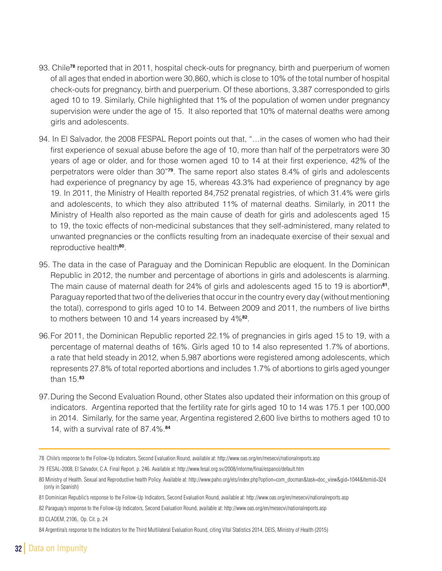- 93. Chile**<sup>78</sup>** reported that in 2011, hospital check-outs for pregnancy, birth and puerperium of women of all ages that ended in abortion were 30,860, which is close to 10% of the total number of hospital check-outs for pregnancy, birth and puerperium. Of these abortions, 3,387 corresponded to girls aged 10 to 19. Similarly, Chile highlighted that 1% of the population of women under pregnancy supervision were under the age of 15. It also reported that 10% of maternal deaths were among girls and adolescents.
- 94. In El Salvador, the 2008 FESPAL Report points out that, "…in the cases of women who had their first experience of sexual abuse before the age of 10, more than half of the perpetrators were 30 years of age or older, and for those women aged 10 to 14 at their first experience, 42% of the perpetrators were older than 30"**<sup>79</sup>**. The same report also states 8.4% of girls and adolescents had experience of pregnancy by age 15, whereas 43.3% had experience of pregnancy by age 19. In 2011, the Ministry of Health reported 84,752 prenatal registries, of which 31.4% were girls and adolescents, to which they also attributed 11% of maternal deaths. Similarly, in 2011 the Ministry of Health also reported as the main cause of death for girls and adolescents aged 15 to 19, the toxic effects of non-medicinal substances that they self-administered, many related to unwanted pregnancies or the conflicts resulting from an inadequate exercise of their sexual and reproductive health**<sup>80</sup>**.
- 95. The data in the case of Paraguay and the Dominican Republic are eloquent. In the Dominican Republic in 2012, the number and percentage of abortions in girls and adolescents is alarming. The main cause of maternal death for 24% of girls and adolescents aged 15 to 19 is abortion**<sup>81</sup>**, Paraguay reported that two of the deliveries that occur in the country every day (without mentioning the total), correspond to girls aged 10 to 14. Between 2009 and 2011, the numbers of live births to mothers between 10 and 14 years increased by 4%**<sup>82</sup>**.
- 96.For 2011, the Dominican Republic reported 22.1% of pregnancies in girls aged 15 to 19, with a percentage of maternal deaths of 16%. Girls aged 10 to 14 also represented 1.7% of abortions, a rate that held steady in 2012, when 5,987 abortions were registered among adolescents, which represents 27.8% of total reported abortions and includes 1.7% of abortions to girls aged younger than 15.**<sup>83</sup>**
- 97.During the Second Evaluation Round, other States also updated their information on this group of indicators. Argentina reported that the fertility rate for girls aged 10 to 14 was 175.1 per 100,000 in 2014. Similarly, for the same year, Argentina registered 2,600 live births to mothers aged 10 to 14, with a survival rate of 87.4%.**<sup>84</sup>**

83 CLADEM, 2106,. Op. Cit. p. 24

<sup>78</sup> Chile's response to the Follow-Up Indicators, Second Evaluation Round, available at: http://www.oas.org/en/mesecvi/nationalreports.asp

<sup>79</sup> FESAL-2008, El Salvador, C.A. Final Report. p. 246. Available at: http://www.fesal.org.sv/2008/informe/final/espanol/default.htm

<sup>80</sup> Ministry of Health. Sexual and Reproductive health Policy. Available at: http://www.paho.org/els/index.php?option=com\_docman&task=doc\_view&gid=1044&Itemid=324 (only in Spanish)

<sup>81</sup> Dominican Republic's response to the Follow-Up Indicators, Second Evaluation Round, available at: http://www.oas.org/en/mesecvi/nationalreports.asp

<sup>82</sup> Paraguay's response to the Follow-Up Indicators, Second Evaluation Round, available at: http://www.oas.org/en/mesecvi/nationalreports.asp

<sup>84</sup> Argentina's response to the Indicators for the Third Multilateral Evaluation Round, citing Vital Statistics 2014, DEIS, Ministry of Health (2015)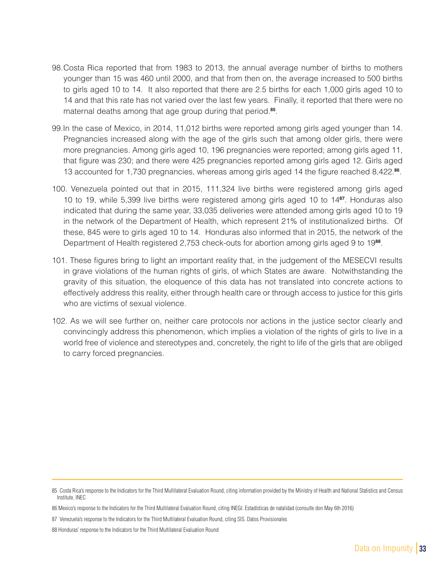- 98.Costa Rica reported that from 1983 to 2013, the annual average number of births to mothers younger than 15 was 460 until 2000, and that from then on, the average increased to 500 births to girls aged 10 to 14. It also reported that there are 2.5 births for each 1,000 girls aged 10 to 14 and that this rate has not varied over the last few years. Finally, it reported that there were no maternal deaths among that age group during that period.**<sup>85</sup>**.
- 99.In the case of Mexico, in 2014, 11,012 births were reported among girls aged younger than 14. Pregnancies increased along with the age of the girls such that among older girls, there were more pregnancies. Among girls aged 10, 196 pregnancies were reported; among girls aged 11, that figure was 230; and there were 425 pregnancies reported among girls aged 12. Girls aged 13 accounted for 1,730 pregnancies, whereas among girls aged 14 the figure reached 8,422.**<sup>86</sup>**.
- 100. Venezuela pointed out that in 2015, 111,324 live births were registered among girls aged 10 to 19, while 5,399 live births were registered among girls aged 10 to 14**<sup>87</sup>**. Honduras also indicated that during the same year, 33,035 deliveries were attended among girls aged 10 to 19 in the network of the Department of Health, which represent 21% of institutionalized births. Of these, 845 were to girls aged 10 to 14. Honduras also informed that in 2015, the network of the Department of Health registered 2,753 check-outs for abortion among girls aged 9 to 19**<sup>88</sup>**.
- 101. These figures bring to light an important reality that, in the judgement of the MESECVI results in grave violations of the human rights of girls, of which States are aware. Notwithstanding the gravity of this situation, the eloquence of this data has not translated into concrete actions to effectively address this reality, either through health care or through access to justice for this girls who are victims of sexual violence.
- 102. As we will see further on, neither care protocols nor actions in the justice sector clearly and convincingly address this phenomenon, which implies a violation of the rights of girls to live in a world free of violence and stereotypes and, concretely, the right to life of the girls that are obliged to carry forced pregnancies.

<sup>85</sup> Costa Rica's response to the Indicators for the Third Multilateral Evaluation Round, citing information provided by the Ministry of Health and National Statistics and Census Institute, INEC

<sup>86</sup> Mexico's response to the Indicators for the Third Multilateral Evaluation Round, citing INEGI. Estadísticas de natalidad (consulte don May 6th 2016)

<sup>87</sup> Venezuela's response to the Indicators for the Third Multilateral Evaluation Round, citing SIS. Datos Provisionales

<sup>88</sup> Honduras' response to the Indicators for the Third Multilateral Evaluation Round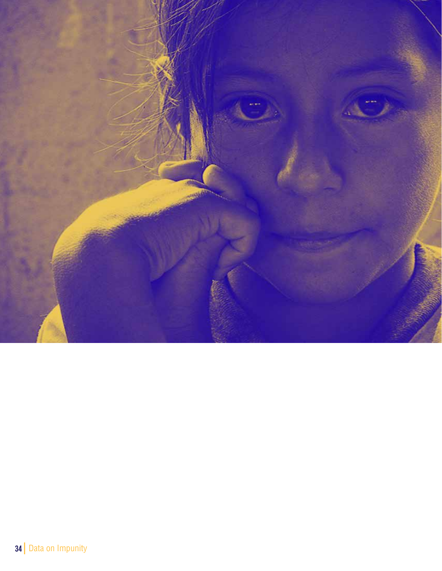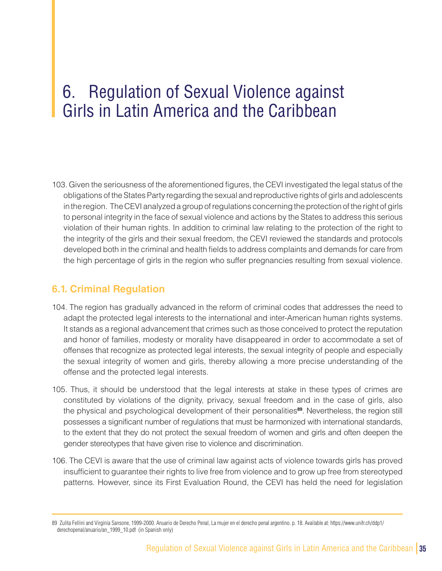### 6. Regulation of Sexual Violence against Girls in Latin America and the Caribbean

103. Given the seriousness of the aforementioned figures, the CEVI investigated the legal status of the obligations of the States Party regarding the sexual and reproductive rights of girls and adolescents in the region. The CEVI analyzed a group of regulations concerning the protection of the right of girls to personal integrity in the face of sexual violence and actions by the States to address this serious violation of their human rights. In addition to criminal law relating to the protection of the right to the integrity of the girls and their sexual freedom, the CEVI reviewed the standards and protocols developed both in the criminal and health fields to address complaints and demands for care from the high percentage of girls in the region who suffer pregnancies resulting from sexual violence.

#### **6.1. Criminal Regulation**

- 104. The region has gradually advanced in the reform of criminal codes that addresses the need to adapt the protected legal interests to the international and inter-American human rights systems. It stands as a regional advancement that crimes such as those conceived to protect the reputation and honor of families, modesty or morality have disappeared in order to accommodate a set of offenses that recognize as protected legal interests, the sexual integrity of people and especially the sexual integrity of women and girls, thereby allowing a more precise understanding of the offense and the protected legal interests.
- 105. Thus, it should be understood that the legal interests at stake in these types of crimes are constituted by violations of the dignity, privacy, sexual freedom and in the case of girls, also the physical and psychological development of their personalities**<sup>89</sup>**. Nevertheless, the region still possesses a significant number of regulations that must be harmonized with international standards, to the extent that they do not protect the sexual freedom of women and girls and often deepen the gender stereotypes that have given rise to violence and discrimination.
- 106. The CEVI is aware that the use of criminal law against acts of violence towards girls has proved insufficient to guarantee their rights to live free from violence and to grow up free from stereotyped patterns. However, since its First Evaluation Round, the CEVI has held the need for legislation

<sup>89</sup> Zulita Fellini and Virginia Sansone, 1999-2000. Anuario de Derecho Penal, La mujer en el derecho penal argentino. p. 18. Available at: https://www.unifr.ch/ddp1/ derechopenal/anuario/an\_1999\_10.pdf (in Spanish only)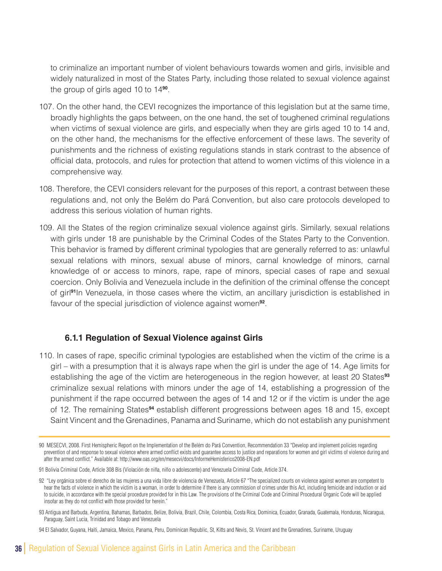to criminalize an important number of violent behaviours towards women and girls, invisible and widely naturalized in most of the States Party, including those related to sexual violence against the group of girls aged 10 to 14**<sup>90</sup>**.

- 107. On the other hand, the CEVI recognizes the importance of this legislation but at the same time, broadly highlights the gaps between, on the one hand, the set of toughened criminal regulations when victims of sexual violence are girls, and especially when they are girls aged 10 to 14 and, on the other hand, the mechanisms for the effective enforcement of these laws. The severity of punishments and the richness of existing regulations stands in stark contrast to the absence of official data, protocols, and rules for protection that attend to women victims of this violence in a comprehensive way.
- 108. Therefore, the CEVI considers relevant for the purposes of this report, a contrast between these regulations and, not only the Belém do Pará Convention, but also care protocols developed to address this serious violation of human rights.
- 109. All the States of the region criminalize sexual violence against girls. Similarly, sexual relations with girls under 18 are punishable by the Criminal Codes of the States Party to the Convention. This behavior is framed by different criminal typologies that are generally referred to as: unlawful sexual relations with minors, sexual abuse of minors, carnal knowledge of minors, carnal knowledge of or access to minors, rape, rape of minors, special cases of rape and sexual coercion. Only Bolivia and Venezuela include in the definition of the criminal offense the concept of girl**<sup>91</sup>**In Venezuela, in those cases where the victim, an ancillary jurisdiction is established in favour of the special jurisdiction of violence against women**<sup>92</sup>**.

#### **6.1.1 Regulation of Sexual Violence against Girls**

110. In cases of rape, specific criminal typologies are established when the victim of the crime is a girl – with a presumption that it is always rape when the girl is under the age of 14. Age limits for establishing the age of the victim are heterogeneous in the region however, at least 20 States**<sup>93</sup>** criminalize sexual relations with minors under the age of 14, establishing a progression of the punishment if the rape occurred between the ages of 14 and 12 or if the victim is under the age of 12. The remaining States**<sup>94</sup>** establish different progressions between ages 18 and 15, except Saint Vincent and the Grenadines, Panama and Suriname, which do not establish any punishment

<sup>90</sup> MESECVI, 2008. First Hemispheric Report on the Implementation of the Belém do Pará Convention, Recommendation 33 "Develop and implement policies regarding prevention of and response to sexual violence where armed conflict exists and guarantee access to justice and reparations for women and girl victims of violence during and after the armed conflict." Available at: http://www.oas.org/en/mesecvi/docs/InformeHemisferico2008-EN.pdf

<sup>91</sup> Bolivia Criminal Code, Article 308 Bis (Violación de niña, niño o adolescente) and Venezuela Criminal Code, Article 374.

<sup>92 &</sup>quot;Ley orgánica sobre el derecho de las mujeres a una vida libre de violencia de Venezuela, Article 67 "The specialized courts on violence against women are competent to hear the facts of violence in which the victim is a woman, in order to determine if there is any commission of crimes under this Act, including femicide and induction or aid to suicide, in accordance with the special procedure provided for in this Law. The provisions of the Criminal Code and Criminal Procedural Organic Code will be applied insofar as they do not conflict with those provided for herein."

<sup>93</sup> Antigua and Barbuda, Argentina, Bahamas, Barbados, Belize, Bolivia, Brazil, Chile, Colombia, Costa Rica, Dominica, Ecuador, Granada, Guatemala, Honduras, Nicaragua, Paraguay, Saint Lucia, Trinidad and Tobago and Venezuela

<sup>94</sup> El Salvador, Guyana, Haiti, Jamaica, Mexico, Panama, Peru, Dominican Republic, St, Kitts and Nevis, St. Vincent and the Grenadines, Suriname, Uruguay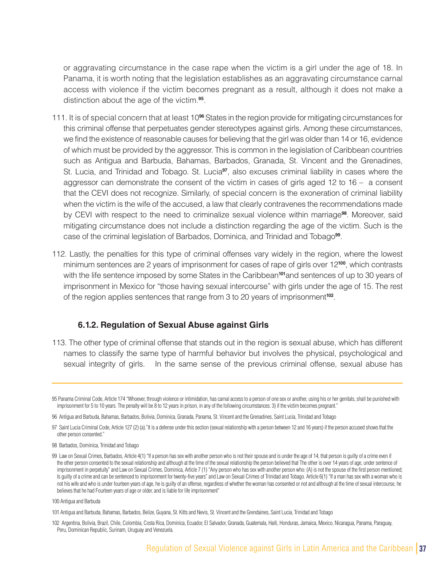or aggravating circumstance in the case rape when the victim is a girl under the age of 18. In Panama, it is worth noting that the legislation establishes as an aggravating circumstance carnal access with violence if the victim becomes pregnant as a result, although it does not make a distinction about the age of the victim.**<sup>95</sup>**.

- 111. It is of special concern that at least 10**<sup>96</sup>** States in the region provide for mitigating circumstances for this criminal offense that perpetuates gender stereotypes against girls. Among these circumstances, we find the existence of reasonable causes for believing that the girl was older than 14 or 16, evidence of which must be provided by the aggressor. This is common in the legislation of Caribbean countries such as Antigua and Barbuda, Bahamas, Barbados, Granada, St. Vincent and the Grenadines, St. Lucia, and Trinidad and Tobago. St. Lucia**<sup>97</sup>**, also excuses criminal liability in cases where the aggressor can demonstrate the consent of the victim in cases of girls aged 12 to 16 – a consent that the CEVI does not recognize. Similarly, of special concern is the exoneration of criminal liability when the victim is the wife of the accused, a law that clearly contravenes the recommendations made by CEVI with respect to the need to criminalize sexual violence within marriage**<sup>98</sup>**. Moreover, said mitigating circumstance does not include a distinction regarding the age of the victim. Such is the case of the criminal legislation of Barbados, Dominica, and Trinidad and Tobago**<sup>99</sup>**.
- 112. Lastly, the penalties for this type of criminal offenses vary widely in the region, where the lowest minimum sentences are 2 years of imprisonment for cases of rape of girls over 12**<sup>100</sup>**, which contrasts with the life sentence imposed by some States in the Caribbean<sup>101</sup>and sentences of up to 30 years of imprisonment in Mexico for "those having sexual intercourse" with girls under the age of 15. The rest of the region applies sentences that range from 3 to 20 years of imprisonment**<sup>102</sup>**.

#### **6.1.2. Regulation of Sexual Abuse against Girls**

113. The other type of criminal offense that stands out in the region is sexual abuse, which has different names to classify the same type of harmful behavior but involves the physical, psychological and sexual integrity of girls. In the same sense of the previous criminal offense, sexual abuse has

- 96 Antigua and Barbuda, Bahamas, Barbados, Bolivia, Dominica, Granada, Panama, St. Vincent and the Grenadines, Saint Lucia, Trinidad and Tobago
- 97 Saint Lucia Criminal Code, Article 127 (2) (a)."It is a defense under this section (sexual relationship with a person between 12 and 16 years) if the person accused shows that the other person consented."
- 98 Barbados, Dominica, Trinidad and Tobago

100 Antigua and Barbuda

<sup>95</sup> Panama Criminal Code, Article 174 "Whoever, through violence or intimidation, has carnal access to a person of one sex or another, using his or her genitals, shall be punished with imprisonment for 5 to 10 years. The penalty will be 8 to 12 years in prison, in any of the following circumstances: 3) if the victim becomes pregnant."

<sup>99</sup> Law on Sexual Crimes, Barbados, Article 4(1) "If a person has sex with another person who is not their spouse and is under the age of 14, that person is guilty of a crime even if the other person consented to the sexual relationship and although at the time of the sexual relationship the person believed that The other is over 14 years of age, under sentence of imprisonment in perpetuity" and Law on Sexual Crimes, Dominica, Article 7 (1) "Any person who has sex with another person who: (A) is not the spouse of the first person mentioned; Is guilty of a crime and can be sentenced to imprisonment for twenty-five years" and Law on Sexual Crimes of Trinidad and Tobago. Article 6(1) "If a man has sex with a woman who is not his wife and who is under fourteen years of age, he is guilty of an offense, regardless of whether the woman has consented or not and although at the time of sexual intercourse, he believes that he had Fourteen years of age or older, and is liable for life imprisonment"

<sup>101</sup> Antigua and Barbuda, Bahamas, Barbados, Belize, Guyana, St. Kitts and Nevis, St. Vincent and the Grendaines, Saint Lucia, Trinidad and Tobago

<sup>102</sup> Argentina, Bolivia, Brazil, Chile, Colombia, Costa Rica, Dominica, Ecuador, El Salvador, Granada, Guatemala, Haiti, Honduras, Jamaica, Mexico, Nicaragua, Panama, Paraguay, Peru, Dominican Republic, Surinam, Uruguay and Venezuela.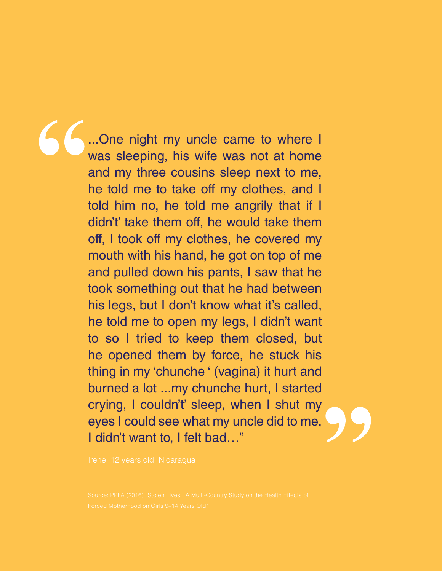...One night my uncle came to where I was sleeping, his wife was not at home and my three cousins sleep next to me, he told me to take off my clothes, and I told him no, he told me angrily that if I didn't' take them off, he would take them off, I took off my clothes, he covered my mouth with his hand, he got on top of me and pulled down his pants, I saw that he took something out that he had between his legs, but I don't know what it's called, he told me to open my legs, I didn't want to so I tried to keep them closed, but he opened them by force, he stuck his thing in my 'chunche ' (vagina) it hurt and burned a lot ...my chunche hurt, I started crying, I couldn't' sleep, when I shut my eyes I could see what my uncle did to me, I didn't want to, I felt bad…"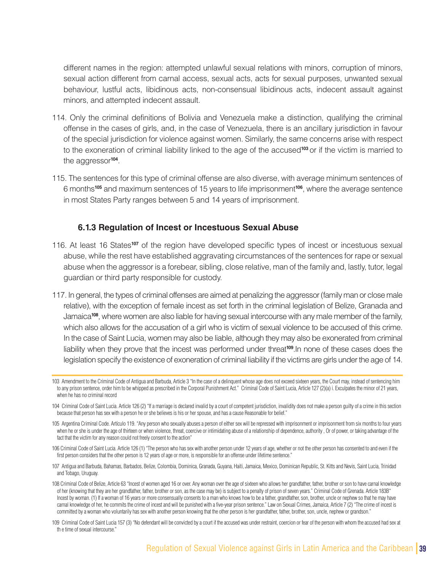different names in the region: attempted unlawful sexual relations with minors, corruption of minors, sexual action different from carnal access, sexual acts, acts for sexual purposes, unwanted sexual behaviour, lustful acts, libidinous acts, non-consensual libidinous acts, indecent assault against minors, and attempted indecent assault.

- 114. Only the criminal definitions of Bolivia and Venezuela make a distinction, qualifying the criminal offense in the cases of girls, and, in the case of Venezuela, there is an ancillary jurisdiction in favour of the special jurisdiction for violence against women. Similarly, the same concerns arise with respect to the exoneration of criminal liability linked to the age of the accused**<sup>103</sup>**or if the victim is married to the aggressor**<sup>104</sup>**.
- 115. The sentences for this type of criminal offense are also diverse, with average minimum sentences of 6 months**<sup>105</sup>** and maximum sentences of 15 years to life imprisonment**<sup>106</sup>**, where the average sentence in most States Party ranges between 5 and 14 years of imprisonment.

#### **6.1.3 Regulation of Incest or Incestuous Sexual Abuse**

- 116. At least 16 States**<sup>107</sup>** of the region have developed specific types of incest or incestuous sexual abuse, while the rest have established aggravating circumstances of the sentences for rape or sexual abuse when the aggressor is a forebear, sibling, close relative, man of the family and, lastly, tutor, legal guardian or third party responsible for custody.
- 117. In general, the types of criminal offenses are aimed at penalizing the aggressor (family man or close male relative), with the exception of female incest as set forth in the criminal legislation of Belize, Granada and Jamaica**<sup>108</sup>**, where women are also liable for having sexual intercourse with any male member of the family, which also allows for the accusation of a girl who is victim of sexual violence to be accused of this crime. In the case of Saint Lucia, women may also be liable, although they may also be exonerated from criminal liability when they prove that the incest was performed under threat**<sup>109</sup>**.In none of these cases does the legislation specify the existence of exoneration of criminal liability if the victims are girls under the age of 14.

- 105 Argentina Criminal Code. Artículo 119. "Any person who sexually abuses a person of either sex will be repressed with imprisonment or imprisonment from six months to four years when he or she is under the age of thirteen or when violence, threat, coercive or intimidating abuse of a relationship of dependence, authority , Or of power, or taking advantage of the fact that the victim for any reason could not freely consent to the action"
- 106 Criminal Code of Saint Lucia. Article 126 (1) "The person who has sex with another person under 12 years of age, whether or not the other person has consented to and even if the first person considers that the other person is 12 years of age or more, is responsible for an offense under lifetime sentence."
- 107 Antigua and Barbuda, Bahamas, Barbados, Belize, Colombia, Dominica, Granada, Guyana, Haiti, Jamaica, Mexico, Dominican Republic, St. Kitts and Nevis, Saint Lucia, Trinidad and Tobago, Uruguay.
- 108 Criminal Code of Belize, Article 63 "Incest of women aged 16 or over. Any woman over the age of sixteen who allows her grandfather, father, brother or son to have carnal knowledge of her (knowing that they are her grandfather, father, brother or son, as the case may be) is subject to a penalty of prison of seven years." Criminal Code of Grenada. Article 183B" Incest by woman. (1) If a woman of 16 years or more consensually consents to a man who knows how to be a father, grandfather, son, brother, uncle or nephew so that he may have carnal knowledge of her, he commits the crime of incest and will be punished with a five-year prison sentence." Law on Sexual Crimes, Jamaica, Article 7 (2) "The crime of incest is committed by a woman who voluntarily has sex with another person knowing that the other person is her grandfather, father, brother, son, uncle, nephew or grandson."
- 109 Criminal Code of Saint Lucia 157 (3) "No defendant will be convicted by a court if the accused was under restraint, coercion or fear of the person with whom the accused had sex at th e time of sexual intercourse."

<sup>103</sup> Amendment to the Criminal Code of Antigua and Barbuda, Article 3 "In the case of a delinquent whose age does not exceed sixteen years, the Court may, instead of sentencing him to any prison sentence, order him to be whipped as prescribed in the Corporal Punishment Act." Criminal Code of Saint Lucia, Article 127 (2)(a) i. Exculpates the minor of 21 years, when he has no criminal record

<sup>104</sup> Criminal Code of Saint Lucia. Article 126 (2) "If a marriage is declared invalid by a court of competent jurisdiction, invalidity does not make a person guilty of a crime in this section because that person has sex with a person he or she believes is his or her spouse, and has a cause Reasonable for belief."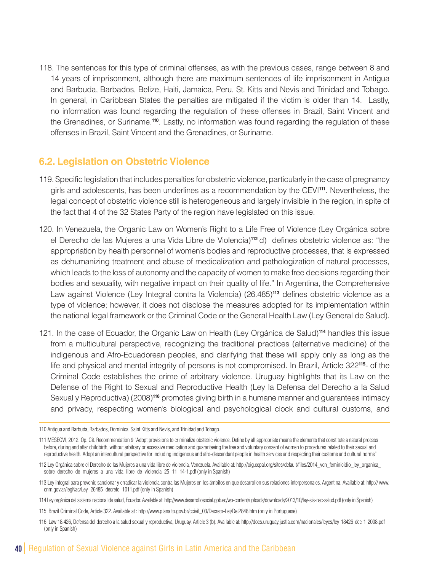118. The sentences for this type of criminal offenses, as with the previous cases, range between 8 and 14 years of imprisonment, although there are maximum sentences of life imprisonment in Antigua and Barbuda, Barbados, Belize, Haiti, Jamaica, Peru, St. Kitts and Nevis and Trinidad and Tobago. In general, in Caribbean States the penalties are mitigated if the victim is older than 14. Lastly, no information was found regarding the regulation of these offenses in Brazil, Saint Vincent and the Grenadines, or Suriname.**<sup>110</sup>**. Lastly, no information was found regarding the regulation of these offenses in Brazil, Saint Vincent and the Grenadines, or Suriname.

#### **6.2. Legislation on Obstetric Violence**

- 119. Specific legislation that includes penalties for obstetric violence, particularly in the case of pregnancy girls and adolescents, has been underlines as a recommendation by the CEVI**<sup>111</sup>**. Nevertheless, the legal concept of obstetric violence still is heterogeneous and largely invisible in the region, in spite of the fact that 4 of the 32 States Party of the region have legislated on this issue.
- 120. In Venezuela, the Organic Law on Women's Right to a Life Free of Violence (Ley Orgánica sobre el Derecho de las Mujeres a una Vida Libre de Violencia)**<sup>112</sup>**d) defines obstetric violence as: "the appropriation by health personnel of women's bodies and reproductive processes, that is expressed as dehumanizing treatment and abuse of medicalization and pathologization of natural processes, which leads to the loss of autonomy and the capacity of women to make free decisions regarding their bodies and sexuality, with negative impact on their quality of life." In Argentina, the Comprehensive Law against Violence (Ley Integral contra la Violencia) (26.485)**<sup>113</sup>** defines obstetric violence as a type of violence; however, it does not disclose the measures adopted for its implementation within the national legal framework or the Criminal Code or the General Health Law (Ley General de Salud).
- 121. In the case of Ecuador, the Organic Law on Health (Ley Orgánica de Salud)**<sup>114</sup>** handles this issue from a multicultural perspective, recognizing the traditional practices (alternative medicine) of the indigenous and Afro-Ecuadorean peoples, and clarifying that these will apply only as long as the life and physical and mental integrity of persons is not compromised. In Brazil, Article 322**<sup>115</sup>**- of the Criminal Code establishes the crime of arbitrary violence. Uruguay highlights that its Law on the Defense of the Right to Sexual and Reproductive Health (Ley la Defensa del Derecho a la Salud Sexual y Reproductiva) (2008)**<sup>116</sup>** promotes giving birth in a humane manner and guarantees intimacy and privacy, respecting women's biological and psychological clock and cultural customs, and

<sup>110</sup> Antigua and Barbuda, Barbados, Dominica, Saint Kitts and Nevis, and Trinidad and Tobago.

<sup>111</sup> MESECVI, 2012. Op. Cit. Recommendation 9 "Adopt provisions to criminalize obstetric violence. Define by all appropriate means the elements that constitute a natural process before, during and after childbirth, without arbitrary or excessive medication and guaranteeing the free and voluntary consent of women to procedures related to their sexual and reproductive health. Adopt an intercultural perspective for including indigenous and afro-descendant people in health services and respecting their customs and cultural norms"

<sup>112</sup> Ley Orgánica sobre el Derecho de las Mujeres a una vida libre de violencia, Venezuela. Available at: http://oig.cepal.org/sites/default/files/2014\_ven\_feminicidio\_ley\_organica\_ sobre\_derecho\_de\_mujeres\_a\_una\_vida\_libre\_de\_violencia\_25\_11\_14-1.pdf (only in Spanish)

<sup>113</sup> Ley integral para prevenir, sancionar y erradicar la violencia contra las Mujeres en los ámbitos en que desarrollen sus relaciones interpersonales. Argentina. Available at: http:// www. cnm.gov.ar/legNac/Ley\_26485\_decreto\_1011.pdf (only in Spanish)

<sup>114</sup> Ley orgánica del sistema nacional de salud, Ecuador. Available at: http://www.desarrollosocial.gob.ec/wp-content/uploads/downloads/2013/10/ley-sis-nac-salud.pdf (only in Spanish)

<sup>115</sup> Brazil Criminal Code, Article 322. Available at : http://www.planalto.gov.br/ccivil\_03/Decreto-Lei/Del2848.htm (only in Portuguese)

<sup>116</sup> Law 18.426, Defensa del derecho a la salud sexual y reproductiva, Uruguay. Article 3 (b). Available at: http://docs.uruguay.justia.com/nacionales/leyes/ley-18426-dec-1-2008.pdf (only in Spanish)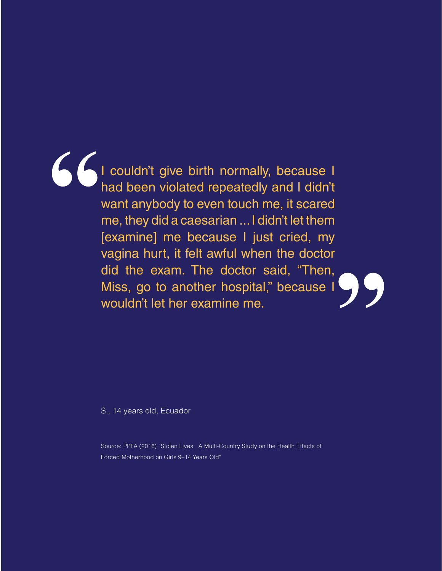**I** couldn't give birth normally, because I had been violated repeatedly and I didn't want anybody to even touch me, it scared me, they did a caesarian ... I didn't let them [examine] me because I just cried, my vagina hurt, it felt awful when the doctor did the exam. The doctor said, "Then, Miss, go to another hospital," because I wouldn't let her examine me.

S., 14 years old, Ecuador

Source: PPFA (2016) "Stolen Lives: A Multi-Country Study on the Health Effects of Forced Motherhood on Girls 9–14 Years Old"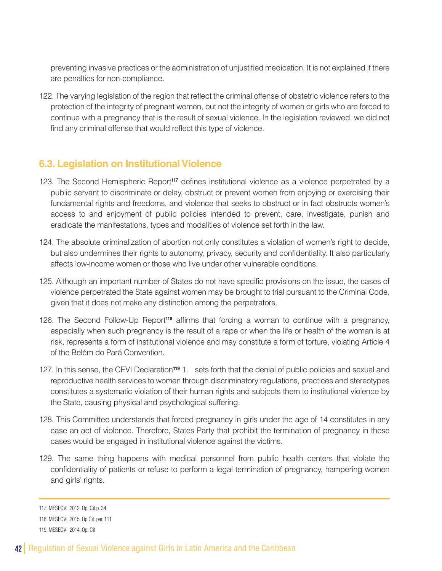preventing invasive practices or the administration of unjustified medication. It is not explained if there are penalties for non-compliance.

122. The varying legislation of the region that reflect the criminal offense of obstetric violence refers to the protection of the integrity of pregnant women, but not the integrity of women or girls who are forced to continue with a pregnancy that is the result of sexual violence. In the legislation reviewed, we did not find any criminal offense that would reflect this type of violence.

#### **6.3. Legislation on Institutional Violence**

- 123. The Second Hemispheric Report**<sup>117</sup>** defines institutional violence as a violence perpetrated by a public servant to discriminate or delay, obstruct or prevent women from enjoying or exercising their fundamental rights and freedoms, and violence that seeks to obstruct or in fact obstructs women's access to and enjoyment of public policies intended to prevent, care, investigate, punish and eradicate the manifestations, types and modalities of violence set forth in the law.
- 124. The absolute criminalization of abortion not only constitutes a violation of women's right to decide, but also undermines their rights to autonomy, privacy, security and confidentiality. It also particularly affects low-income women or those who live under other vulnerable conditions.
- 125. Although an important number of States do not have specific provisions on the issue, the cases of violence perpetrated the State against women may be brought to trial pursuant to the Criminal Code, given that it does not make any distinction among the perpetrators.
- 126. The Second Follow-Up Report**<sup>118</sup>** affirms that forcing a woman to continue with a pregnancy, especially when such pregnancy is the result of a rape or when the life or health of the woman is at risk, represents a form of institutional violence and may constitute a form of torture, violating Article 4 of the Belém do Pará Convention.
- 127. In this sense, the CEVI Declaration**<sup>119</sup>** 1. sets forth that the denial of public policies and sexual and reproductive health services to women through discriminatory regulations, practices and stereotypes constitutes a systematic violation of their human rights and subjects them to institutional violence by the State, causing physical and psychological suffering.
- 128. This Committee understands that forced pregnancy in girls under the age of 14 constitutes in any case an act of violence. Therefore, States Party that prohibit the termination of pregnancy in these cases would be engaged in institutional violence against the victims.
- 129. The same thing happens with medical personnel from public health centers that violate the confidentiality of patients or refuse to perform a legal termination of pregnancy, hampering women and girls' rights.

117. MESECVI, 2012. Op. Cit.p. 34 118. MESECVI, 2015. Op Cit. par. 111 119. MESECVI, 2014. Op. Cit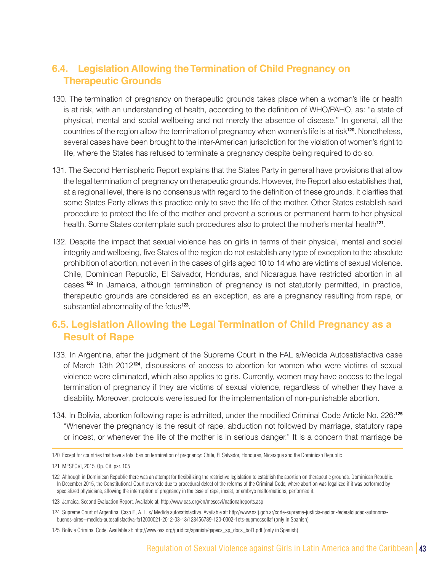### **6.4. Legislation Allowing the Termination of Child Pregnancy on Therapeutic Grounds**

- 130. The termination of pregnancy on therapeutic grounds takes place when a woman's life or health is at risk, with an understanding of health, according to the definition of WHO/PAHO, as: "a state of physical, mental and social wellbeing and not merely the absence of disease." In general, all the countries of the region allow the termination of pregnancy when women's life is at risk**<sup>120</sup>**. Nonetheless, several cases have been brought to the inter-American jurisdiction for the violation of women's right to life, where the States has refused to terminate a pregnancy despite being required to do so.
- 131. The Second Hemispheric Report explains that the States Party in general have provisions that allow the legal termination of pregnancy on therapeutic grounds. However, the Report also establishes that, at a regional level, there is no consensus with regard to the definition of these grounds. It clarifies that some States Party allows this practice only to save the life of the mother. Other States establish said procedure to protect the life of the mother and prevent a serious or permanent harm to her physical health. Some States contemplate such procedures also to protect the mother's mental health**<sup>121</sup>**.
- 132. Despite the impact that sexual violence has on girls in terms of their physical, mental and social integrity and wellbeing, five States of the region do not establish any type of exception to the absolute prohibition of abortion, not even in the cases of girls aged 10 to 14 who are victims of sexual violence. Chile, Dominican Republic, El Salvador, Honduras, and Nicaragua have restricted abortion in all cases.**<sup>122</sup>** In Jamaica, although termination of pregnancy is not statutorily permitted, in practice, therapeutic grounds are considered as an exception, as are a pregnancy resulting from rape, or substantial abnormality of the fetus**<sup>123</sup>**.

### **6.5. Legislation Allowing the Legal Termination of Child Pregnancy as a Result of Rape**

- 133. In Argentina, after the judgment of the Supreme Court in the FAL s/Medida Autosatisfactiva case of March 13th 2012**<sup>124</sup>**, discussions of access to abortion for women who were victims of sexual violence were eliminated, which also applies to girls. Currently, women may have access to the legal termination of pregnancy if they are victims of sexual violence, regardless of whether they have a disability. Moreover, protocols were issued for the implementation of non-punishable abortion.
- 134. In Bolivia, abortion following rape is admitted, under the modified Criminal Code Article No. 226:**<sup>125</sup>** "Whenever the pregnancy is the result of rape, abduction not followed by marriage, statutory rape or incest, or whenever the life of the mother is in serious danger." It is a concern that marriage be

<sup>120</sup> Except for countries that have a total ban on termination of pregnancy: Chile, El Salvador, Honduras, Nicaragua and the Dominican Republic

<sup>121</sup> MESECVI, 2015. Op. Cit. par. 105

<sup>122</sup> Although in Dominican Republic there was an attempt for flexibilizing the restrictive legislation to establish the abortion on therapeutic grounds. Dominican Republic. In December 2015, the Constitutional Court overrode due to procedural defect of the reforms of the Criminal Code, where abortion was legalized if it was performed by specialized physicians, allowing the interruption of pregnancy in the case of rape, incest, or embryo malformations, performed it.

<sup>123</sup> Jamaica. Second Evaluation Report. Available at: http://www.oas.org/en/mesecvi/nationalreports.asp

<sup>124</sup> Supreme Court of Argentina. Caso F., A. L. s/ Medida autosatisfactiva. Available at: http://www.saij.gob.ar/corte-suprema-justicia-nacion-federalciudad-autonomabuenos-aires--medida-autosatisfactiva-fa12000021-2012-03-13/123456789-120-0002-1ots-eupmocsollaf (only in Spanish)

<sup>125</sup> Bolivia Criminal Code. Available at: http://www.oas.org/juridico/spanish/gapeca\_sp\_docs\_bol1.pdf (only in Spanish)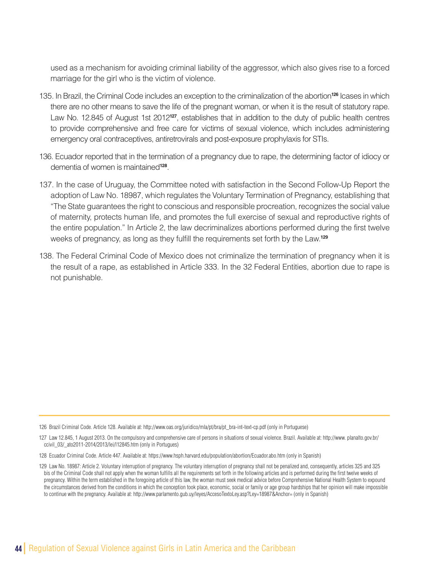used as a mechanism for avoiding criminal liability of the aggressor, which also gives rise to a forced marriage for the girl who is the victim of violence.

- 135. In Brazil, the Criminal Code includes an exception to the criminalization of the abortion**<sup>126</sup>** lcases in which there are no other means to save the life of the pregnant woman, or when it is the result of statutory rape. Law No. 12.845 of August 1st 2012**<sup>127</sup>**, establishes that in addition to the duty of public health centres to provide comprehensive and free care for victims of sexual violence, which includes administering emergency oral contraceptives, antiretrovirals and post-exposure prophylaxis for STIs.
- 136. Ecuador reported that in the termination of a pregnancy due to rape, the determining factor of idiocy or dementia of women is maintained**<sup>128</sup>**.
- 137. In the case of Uruguay, the Committee noted with satisfaction in the Second Follow-Up Report the adoption of Law No. 18987, which regulates the Voluntary Termination of Pregnancy, establishing that "The State guarantees the right to conscious and responsible procreation, recognizes the social value of maternity, protects human life, and promotes the full exercise of sexual and reproductive rights of the entire population." In Article 2, the law decriminalizes abortions performed during the first twelve weeks of pregnancy, as long as they fulfill the requirements set forth by the Law.**<sup>129</sup>**
- 138. The Federal Criminal Code of Mexico does not criminalize the termination of pregnancy when it is the result of a rape, as established in Article 333. In the 32 Federal Entities, abortion due to rape is not punishable.

<sup>126</sup> Brazil Criminal Code. Article 128. Available at: http://www.oas.org/juridico/mla/pt/bra/pt\_bra-int-text-cp.pdf (only in Portuguese)

<sup>127</sup> Law 12.845, 1 August 2013. On the compulsory and comprehensive care of persons in situations of sexual violence. Brazil. Available at: http://www. planalto.gov.br/ ccivil\_03/\_ato2011-2014/2013/lei/l12845.htm (only in Portugues)

<sup>128</sup> Ecuador Criminal Code. Article 447. Available at: https://www.hsph.harvard.edu/population/abortion/Ecuador.abo.htm (only in Spanish)

<sup>129</sup> Law No. 18987: Article 2. Voluntary interruption of pregnancy. The voluntary interruption of pregnancy shall not be penalized and, consequently, articles 325 and 325 bis of the Criminal Code shall not apply when the woman fulfills all the requirements set forth in the following articles and is performed during the first twelve weeks of pregnancy. Within the term established in the foregoing article of this law, the woman must seek medical advice before Comprehensive National Health System to expound the circumstances derived from the conditions in which the conception took place, economic, social or family or age group hardships that her opinion will make impossible to continue with the pregnancy. Available at: http://www.parlamento.gub.uy/leyes/AccesoTextoLey.asp?Ley=18987&Anchor= (only in Spanish)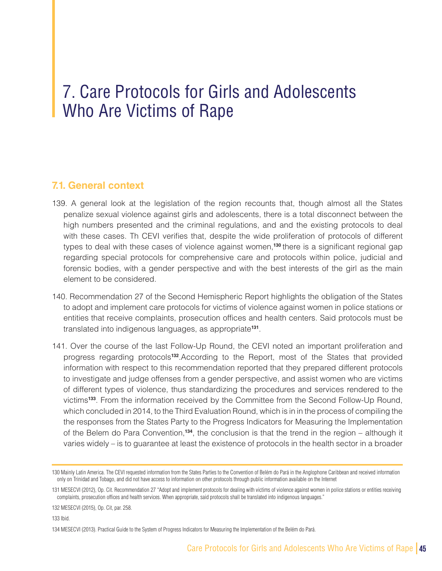### 7. Care Protocols for Girls and Adolescents Who Are Victims of Rape

#### **7.1. General context**

- 139. A general look at the legislation of the region recounts that, though almost all the States penalize sexual violence against girls and adolescents, there is a total disconnect between the high numbers presented and the criminal regulations, and and the existing protocols to deal with these cases. Th CEVI verifies that, despite the wide proliferation of protocols of different types to deal with these cases of violence against women,**<sup>130</sup>**there is a significant regional gap regarding special protocols for comprehensive care and protocols within police, judicial and forensic bodies, with a gender perspective and with the best interests of the girl as the main element to be considered.
- 140. Recommendation 27 of the Second Hemispheric Report highlights the obligation of the States to adopt and implement care protocols for victims of violence against women in police stations or entities that receive complaints, prosecution offices and health centers. Said protocols must be translated into indigenous languages, as appropriate**<sup>131</sup>**.
- 141. Over the course of the last Follow-Up Round, the CEVI noted an important proliferation and progress regarding protocols**<sup>132</sup>**.According to the Report, most of the States that provided information with respect to this recommendation reported that they prepared different protocols to investigate and judge offenses from a gender perspective, and assist women who are victims of different types of violence, thus standardizing the procedures and services rendered to the victims**<sup>133</sup>**. From the information received by the Committee from the Second Follow-Up Round, which concluded in 2014, to the Third Evaluation Round, which is in in the process of compiling the the responses from the States Party to the Progress Indicators for Measuring the Implementation of the Belem do Para Convention,**<sup>134</sup>**, the conclusion is that the trend in the region – although it varies widely – is to guarantee at least the existence of protocols in the health sector in a broader

132 MESECVI (2015), Op. Cit, par. 258.

133 Ibid.

134 MESECVI (2013). Practical Guide to the System of Progress Indicators for Measuring the Implementation of the Belém do Pará.

<sup>130</sup> Mainly Latin America. The CEVI requested information from the States Parties to the Convention of Belém do Pará in the Anglophone Caribbean and received information only on Trinidad and Tobago, and did not have access to information on other protocols through public information available on the Internet

<sup>131</sup> MESECVI (2012), Op. Cit. Recommendation 27 "Adopt and implement protocols for dealing with victims of violence against women in police stations or entities receiving complaints, prosecution offices and health services. When appropriate, said protocols shall be translated into indigenous languages."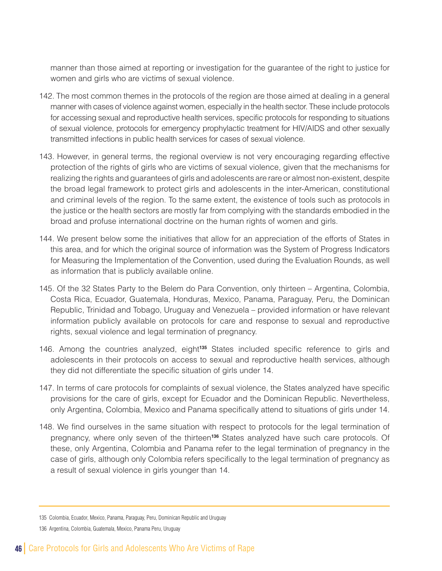manner than those aimed at reporting or investigation for the guarantee of the right to justice for women and girls who are victims of sexual violence.

- 142. The most common themes in the protocols of the region are those aimed at dealing in a general manner with cases of violence against women, especially in the health sector. These include protocols for accessing sexual and reproductive health services, specific protocols for responding to situations of sexual violence, protocols for emergency prophylactic treatment for HIV/AIDS and other sexually transmitted infections in public health services for cases of sexual violence.
- 143. However, in general terms, the regional overview is not very encouraging regarding effective protection of the rights of girls who are victims of sexual violence, given that the mechanisms for realizing the rights and guarantees of girls and adolescents are rare or almost non-existent, despite the broad legal framework to protect girls and adolescents in the inter-American, constitutional and criminal levels of the region. To the same extent, the existence of tools such as protocols in the justice or the health sectors are mostly far from complying with the standards embodied in the broad and profuse international doctrine on the human rights of women and girls.
- 144. We present below some the initiatives that allow for an appreciation of the efforts of States in this area, and for which the original source of information was the System of Progress Indicators for Measuring the Implementation of the Convention, used during the Evaluation Rounds, as well as information that is publicly available online.
- 145. Of the 32 States Party to the Belem do Para Convention, only thirteen Argentina, Colombia, Costa Rica, Ecuador, Guatemala, Honduras, Mexico, Panama, Paraguay, Peru, the Dominican Republic, Trinidad and Tobago, Uruguay and Venezuela – provided information or have relevant information publicly available on protocols for care and response to sexual and reproductive rights, sexual violence and legal termination of pregnancy.
- 146. Among the countries analyzed, eight**<sup>135</sup>** States included specific reference to girls and adolescents in their protocols on access to sexual and reproductive health services, although they did not differentiate the specific situation of girls under 14.
- 147. In terms of care protocols for complaints of sexual violence, the States analyzed have specific provisions for the care of girls, except for Ecuador and the Dominican Republic. Nevertheless, only Argentina, Colombia, Mexico and Panama specifically attend to situations of girls under 14.
- 148. We find ourselves in the same situation with respect to protocols for the legal termination of pregnancy, where only seven of the thirteen**<sup>136</sup>** States analyzed have such care protocols. Of these, only Argentina, Colombia and Panama refer to the legal termination of pregnancy in the case of girls, although only Colombia refers specifically to the legal termination of pregnancy as a result of sexual violence in girls younger than 14.

<sup>135</sup> Colombia, Ecuador, Mexico, Panama, Paraguay, Peru, Dominican Republic and Uruguay

<sup>136</sup> Argentina, Colombia, Guatemala, Mexico, Panama Peru, Uruguay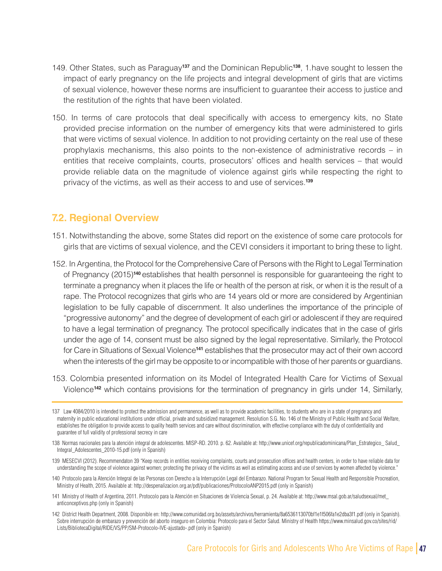- 149. Other States, such as Paraguay**<sup>137</sup>** and the Dominican Republic**<sup>138</sup>**, 1.have sought to lessen the impact of early pregnancy on the life projects and integral development of girls that are victims of sexual violence, however these norms are insufficient to guarantee their access to justice and the restitution of the rights that have been violated.
- 150. In terms of care protocols that deal specifically with access to emergency kits, no State provided precise information on the number of emergency kits that were administered to girls that were victims of sexual violence. In addition to not providing certainty on the real use of these prophylaxis mechanisms, this also points to the non-existence of administrative records – in entities that receive complaints, courts, prosecutors' offices and health services – that would provide reliable data on the magnitude of violence against girls while respecting the right to privacy of the victims, as well as their access to and use of services.**<sup>139</sup>**

#### **7.2. Regional Overview**

- 151. Notwithstanding the above, some States did report on the existence of some care protocols for girls that are victims of sexual violence, and the CEVI considers it important to bring these to light.
- 152. In Argentina, the Protocol for the Comprehensive Care of Persons with the Right to Legal Termination of Pregnancy (2015)**<sup>140</sup>**establishes that health personnel is responsible for guaranteeing the right to terminate a pregnancy when it places the life or health of the person at risk, or when it is the result of a rape. The Protocol recognizes that girls who are 14 years old or more are considered by Argentinian legislation to be fully capable of discernment. It also underlines the importance of the principle of "progressive autonomy" and the degree of development of each girl or adolescent if they are required to have a legal termination of pregnancy. The protocol specifically indicates that in the case of girls under the age of 14, consent must be also signed by the legal representative. Similarly, the Protocol for Care in Situations of Sexual Violence**<sup>141</sup>** establishes that the prosecutor may act of their own accord when the interests of the girl may be opposite to or incompatible with those of her parents or guardians.
- 153. Colombia presented information on its Model of Integrated Health Care for Victims of Sexual Violence**<sup>142</sup>** which contains provisions for the termination of pregnancy in girls under 14, Similarly,

- 140 Protocolo para la Atención Integral de las Personas con Derecho a la Interrupción Legal del Embarazo. National Program for Sexual Health and Responsible Procreation, Ministry of Health, 2015. Available at: http://despenalizacion.org.ar/pdf/publicaciones/ProtocoloANP2015.pdf (only in Spanish)
- 141 Ministry of Health of Argentina, 2011. Protocolo para la Atención en Situaciones de Violencia Sexual, p. 24. Available at: http://www.msal.gob.ar/saludsexual/met\_ anticonceptivos.php (only in Spanish)
- 142 District Health Department, 2008. Disponible en: http://www.comunidad.org.bo/assets/archivos/herramienta/8a6536113070bf1e1f506fa1e2dba3f1.pdf (only in Spanish). Sobre interrupción de embarazo y prevención del aborto inseguro en Colombia: Protocolo para el Sector Salud. Ministry of Health https://www.minsalud.gov.co/sites/rid/ Lists/BibliotecaDigital/RIDE/VS/PP/SM-Protocolo-IVE-ajustado-.pdf (only in Spanish)

<sup>137</sup> Law 4084/2010 is intended to protect the admission and permanence, as well as to provide academic facilities, to students who are in a state of pregnancy and maternity in public educational institutions under official, private and subsidized management. Resolution S.G. No. 146 of the Ministry of Public Health and Social Welfare, establishes the obligation to provide access to quality health services and care without discrimination, with effective compliance with the duty of confidentiality and guarantee of full validity of professional secrecy in care

<sup>138</sup> Normas nacionales para la atención integral de adolescentes. MISP-RD. 2010. p. 62. Available at: http://www.unicef.org/republicadominicana/Plan\_Estrategico\_ Salud\_ Integral Adolescentes 2010-15.pdf (only in Spanish)

<sup>139</sup> MESECVI (2012). Recommendaton 39 "Keep records in entities receiving complaints, courts and prosecution offices and health centers, in order to have reliable data for understanding the scope of violence against women; protecting the privacy of the victims as well as estimating access and use of services by women affected by violence."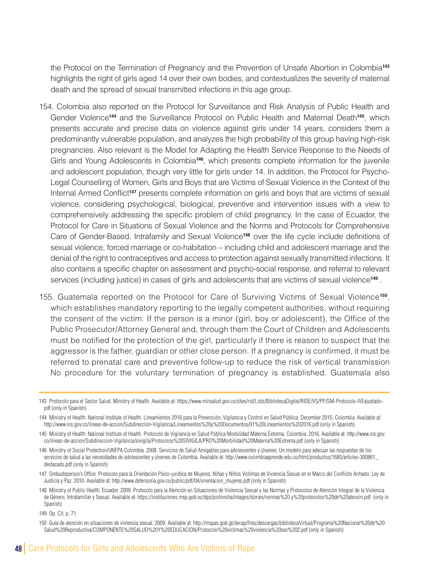the Protocol on the Termination of Pregnancy and the Prevention of Unsafe Abortion in Colombia**<sup>143</sup>** highlights the right of girls aged 14 over their own bodies, and contextualizes the severity of maternal death and the spread of sexual transmitted infections in this age group.

- 154. Colombia also reported on the Protocol for Surveillance and Risk Analysis of Public Health and Gender Violence**<sup>144</sup>** and the Surveillance Protocol on Public Health and Maternal Death**<sup>145</sup>**, which presents accurate and precise data on violence against girls under 14 years, considers them a predominantly vulnerable population, and analyzes the high probability of this group having high-risk pregnancies. Also relevant is the Model for Adapting the Health Service Response to the Needs of Girls and Young Adolescents in Colombia**<sup>146</sup>**, which presents complete information for the juvenile and adolescent population, though very little for girls under 14. In addition, the Protocol for Psycho-Legal Counselling of Women, Girls and Boys that are Victims of Sexual Violence in the Context of the Internal Armed Conflict**<sup>147</sup>** presents complete information on girls and boys that are victims of sexual violence, considering psychological, biological, preventive and intervention issues with a view to comprehensively addressing the specific problem of child pregnancy. In the case of Ecuador, the Protocol for Care in Situations of Sexual Violence and the Norms and Protocols for Comprehensive Care of Gender-Based, Intrafamily and Sexual Violence<sup>148</sup> over the life cycle include definitions of sexual violence, forced marriage or co-habitation – including child and adolescent marriage and the denial of the right to contraceptives and access to protection against sexually transmitted infections. It also contains a specific chapter on assessment and psycho-social response, and referral to relevant services (including justice) in cases of girls and adolescents that are victims of sexual violence**<sup>149</sup>** .
- 155. Guatemala reported on the Protocol for Care of Surviving Victims of Sexual Violence**<sup>150</sup>**, which establishes mandatory reporting to the legally competent authorities, without requiring the consent of the victim. If the person is a minor (girl, boy or adolescent), the Office of the Public Prosecutor/Attorney General and, through them the Court of Children and Adolescents must be notified for the protection of the girl, particularly if there is reason to suspect that the aggressor is the father, guardian or other close person. If a pregnancy is confirmed, it must be referred to prenatal care and preventive follow-up to reduce the risk of vertical transmission No procedure for the voluntary termination of pregnancy is established. Guatemala also

149 Op. Cit. p. 71.

<sup>143</sup> Protocolo para el Sector Salud. Ministry of Health. Available at: https://www.minsalud.gov.co/sites/rid/Lists/BibliotecaDigital/RIDE/VS/PP/SM-Protocolo-IVEajustado-. pdf (only in Spanish)

<sup>144</sup> Ministry of Health: National Institute of Health. Lineamientos 2016 para la Prevención, Vigilancia y Control en Salud Pública, December 2015. Colombia. Available at: http://www.ins.gov.co/lineas-de-accion/Subdireccion-Vigilancia/Lineamientos%20y%20Documentos/01%20Lineamientos%202016.pdf (only in Spanish)

<sup>145</sup> Ministry of Health: National Institute of Health. Protocolo de Vigilancia en Salud Pública Morbilidad Materna Extrema. Colombia. 2016. Available at: http://www.ins.gov. co/lineas-de-accion/Subdireccion-Vigilancia/sivigila/Protocolos%20SIVIGILA/PRO%20Morbilidad%20Materna%20Extrema.pdf (only in Spanish)

<sup>146</sup> Ministry of Social Protection/UNFPA Colombia. 2008. Servicios de Salud Amigables para adolescentes y jóvenes: Un modelo para adecuar las respuestas de los servicios de salud a las necesidades de adolescentes y jóvenes de Colombia. Available at: http://www.colombiaaprende.edu.co/html/productos/1685/articles-300861\_ destacado.pdf (only in Spanish)

<sup>147</sup> Ombudsperson's Office. Protocolo para la Orientación Psico-juridica de Mujeres, Niñas y Niños Víctimas de Violencia Sexual en el Marco del Conflicto Armado. Ley de Justicia y Paz. 2010. Available at: http://www.defensoria.gov.co/public/pdf/04/orientacion\_mujeres.pdf (only in Spanish)

<sup>148</sup> Ministry of Public Health, Ecuador. 2009. Protocolo para la Atención en Situaciones de Violencia Sexual y las Normas y Protocolos de Atención Integral de la Violencia de Género, Intrafamiliar y Sexual. Available at: https://instituciones.msp.gob.ec/dps/pichincha/images/stories/normas%20 y%20protocolos%20de%20atencin.pdf (only in Spanish)

<sup>150</sup> Guía de atención en situaciones de violencia sexual. 2009. Available at: http://mspas.gob.gt/decap/files/descargas/bibliotecaVirtual/Programa%20Nacional%20de%20 Salud%20Reproductiva/COMPONENTE%20SALUD%20Y%20EDUCACION/Protocolo%20victimas%20violencia%20sex%202.pdf (only in Spanish)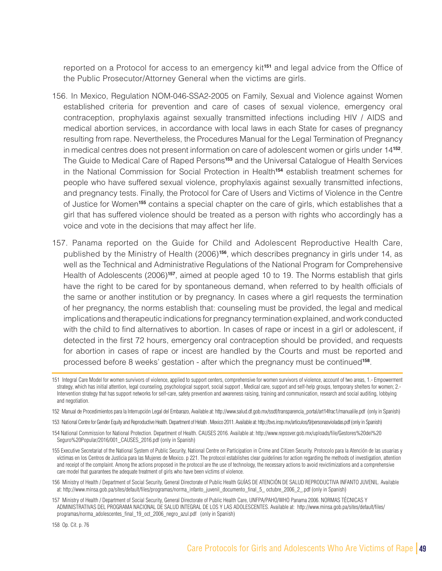reported on a Protocol for access to an emergency kit**<sup>151</sup>** and legal advice from the Office of the Public Prosecutor/Attorney General when the victims are girls.

- 156. In Mexico, Regulation NOM-046-SSA2-2005 on Family, Sexual and Violence against Women established criteria for prevention and care of cases of sexual violence, emergency oral contraception, prophylaxis against sexually transmitted infections including HIV / AIDS and medical abortion services, in accordance with local laws in each State for cases of pregnancy resulting from rape. Nevertheless, the Procedures Manual for the Legal Termination of Pregnancy in medical centres does not present information on care of adolescent women or girls under 14**<sup>152</sup>**. The Guide to Medical Care of Raped Persons**<sup>153</sup>** and the Universal Catalogue of Health Services in the National Commission for Social Protection in Health**<sup>154</sup>** establish treatment schemes for people who have suffered sexual violence, prophylaxis against sexually transmitted infections, and pregnancy tests. Finally, the Protocol for Care of Users and Victims of Violence in the Centre of Justice for Women**<sup>155</sup>** contains a special chapter on the care of girls, which establishes that a girl that has suffered violence should be treated as a person with rights who accordingly has a voice and vote in the decisions that may affect her life.
- 157. Panama reported on the Guide for Child and Adolescent Reproductive Health Care, published by the Ministry of Health (2006)**<sup>156</sup>**, which describes pregnancy in girls under 14, as well as the Technical and Administrative Regulations of the National Program for Comprehensive Health of Adolescents (2006)**<sup>157</sup>**, aimed at people aged 10 to 19. The Norms establish that girls have the right to be cared for by spontaneous demand, when referred to by health officials of the same or another institution or by pregnancy. In cases where a girl requests the termination of her pregnancy, the norms establish that: counseling must be provided, the legal and medical implications and therapeutic indications for pregnancy termination explained, and work conducted with the child to find alternatives to abortion. In cases of rape or incest in a girl or adolescent, if detected in the first 72 hours, emergency oral contraception should be provided, and requests for abortion in cases of rape or incest are handled by the Courts and must be reported and processed before 8 weeks' gestation - after which the pregnancy must be continued**<sup>158</sup>**.

- 156 Ministry of Health / Department of Social Security, General Directorate of Public Health GUÍAS DE ATENCIÓN DE SALUD REPRODUCTIVA INFANTO JUVENIL. Available at: http://www.minsa.gob.pa/sites/default/files/programas/norma\_infanto\_juvenil\_documento\_final\_5\_ octubre\_2006\_2\_.pdf (only in Spanish)
- 157 Ministry of Health / Department of Social Security, General Directorate of Public Health Care, UNFPA/PAHO/WHO Panama 2006. NORMAS TÉCNICAS Y ADMINISTRATIVAS DEL PROGRAMA NACIONAL DE SALUD INTEGRAL DE LOS Y LAS ADOLESCENTES. Available at: http://www.minsa.gob.pa/sites/default/files/ programas/norma\_adolescentes\_final\_19\_oct\_2006\_negro\_azul.pdf (only in Spanish)

158 Op. Cit. p. 76

<sup>151</sup> Integral Care Model for women survivors of violence, applied to support centers, comprehensive for women survivors of violence, account of two areas, 1.- Empowerment strategy, which has initial attention, legal counseling, psychological support, social support, Medical care, support and self-help groups, temporary shelters for women; 2.-Intervention strategy that has support networks for self-care, safety prevention and awareness raising, training and communication, research and social auditing, lobbying and negotiation.

<sup>152</sup> Manual de Procedimientos para la Interrupción Legal del Embarazo, Available at: http://www.salud.df.gob.mx/ssdf/transparencia\_portal/art14frac1/manualile.pdf (only in Spanish)

<sup>153</sup> National Centre for Gender Equity and Reproductive Health. Department of Helath . Mexico 2011. Available at: http://bvs.insp.mx/articulos/9/personasvioladas.pdf (only in Spanish)

<sup>154</sup> National Commission for National Protection. Department of Health. CAUSES 2016. Available at: http://www.repssver.gob.mx/uploads/file/Gestores%20del%20 Seguro%20Popular/2016/001\_CAUSES\_2016.pdf (only in Spanish)

<sup>155</sup> Executive Secretariat of the National System of Public Security, National Centre on Participation in Crime and Citizen Security. Protocolo para la Atención de las usuarias y víctimas en los Centros de Justicia para las Mujeres de Mexico. p 221. The protocol establishes clear guidelines for action regarding the methods of investigation, attention and receipt of the complaint. Among the actions proposed in the protocol are the use of technology, the necessary actions to avoid revictimizations and a comprehensive care model that guarantees the adequate treatment of girls who have been victims of violence.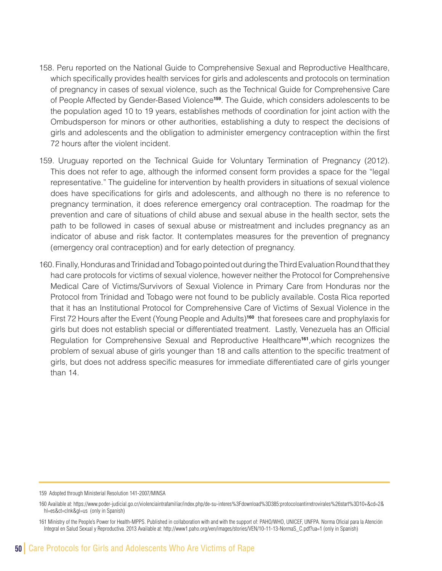- 158. Peru reported on the National Guide to Comprehensive Sexual and Reproductive Healthcare, which specifically provides health services for girls and adolescents and protocols on termination of pregnancy in cases of sexual violence, such as the Technical Guide for Comprehensive Care of People Affected by Gender-Based Violence**<sup>159</sup>**. The Guide, which considers adolescents to be the population aged 10 to 19 years, establishes methods of coordination for joint action with the Ombudsperson for minors or other authorities, establishing a duty to respect the decisions of girls and adolescents and the obligation to administer emergency contraception within the first 72 hours after the violent incident.
- 159. Uruguay reported on the Technical Guide for Voluntary Termination of Pregnancy (2012). This does not refer to age, although the informed consent form provides a space for the "legal representative." The guideline for intervention by health providers in situations of sexual violence does have specifications for girls and adolescents, and although no there is no reference to pregnancy termination, it does reference emergency oral contraception. The roadmap for the prevention and care of situations of child abuse and sexual abuse in the health sector, sets the path to be followed in cases of sexual abuse or mistreatment and includes pregnancy as an indicator of abuse and risk factor. It contemplates measures for the prevention of pregnancy (emergency oral contraception) and for early detection of pregnancy.
- 160. Finally, Honduras and Trinidad and Tobago pointed out during the Third Evaluation Round that they had care protocols for victims of sexual violence, however neither the Protocol for Comprehensive Medical Care of Victims/Survivors of Sexual Violence in Primary Care from Honduras nor the Protocol from Trinidad and Tobago were not found to be publicly available. Costa Rica reported that it has an Institutional Protocol for Comprehensive Care of Victims of Sexual Violence in the First 72 Hours after the Event (Young People and Adults)**<sup>160</sup>** that foresees care and prophylaxis for girls but does not establish special or differentiated treatment. Lastly, Venezuela has an Official Regulation for Comprehensive Sexual and Reproductive Healthcare**<sup>161</sup>**,which recognizes the problem of sexual abuse of girls younger than 18 and calls attention to the specific treatment of girls, but does not address specific measures for immediate differentiated care of girls younger than 14.

159 Adopted through Ministerial Resolution 141-2007/MINSA

<sup>160</sup> Available at: https://www.poder-judicial.go.cr/violenciaintrafamiliar/index.php/de-su-interes%3Fdownload%3D385:protocoloantirretrovirales%26start%3D10+&cd=2& hl=es&ct=clnk&gl=us (only in Spanish)

<sup>161</sup> Ministry of the People's Power for Health-MPPS. Published in collaboration with and with the support of: PAHO/WHO, UNICEF, UNFPA. Norma Oficial para la Atención Integral en Salud Sexual y Reproductiva. 2013 Available at: http://www1.paho.org/ven/images/stories/VEN/10-11-13-NormaS\_C.pdf?ua=1 (only in Spanish)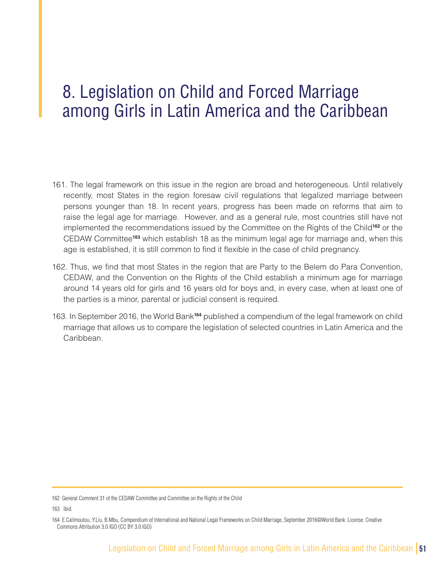### 8. Legislation on Child and Forced Marriage among Girls in Latin America and the Caribbean

- 161. The legal framework on this issue in the region are broad and heterogeneous. Until relatively recently, most States in the region foresaw civil regulations that legalized marriage between persons younger than 18. In recent years, progress has been made on reforms that aim to raise the legal age for marriage. However, and as a general rule, most countries still have not implemented the recommendations issued by the Committee on the Rights of the Child**<sup>162</sup>** or the CEDAW Committee**<sup>163</sup>** which establish 18 as the minimum legal age for marriage and, when this age is established, it is still common to find it flexible in the case of child pregnancy.
- 162. Thus, we find that most States in the region that are Party to the Belem do Para Convention, CEDAW, and the Convention on the Rights of the Child establish a minimum age for marriage around 14 years old for girls and 16 years old for boys and, in every case, when at least one of the parties is a minor, parental or judicial consent is required.
- 163. In September 2016, the World Bank**<sup>164</sup>** published a compendium of the legal framework on child marriage that allows us to compare the legislation of selected countries in Latin America and the Caribbean.

<sup>162</sup> General Comment 31 of the CEDAW Committee and Committee on the Rights of the Child

<sup>163</sup> Ibid.

<sup>164</sup> E.Calimoutou, Y.Liu, B.Mbu, Compendium of International and National Legal Frameworks on Child Marriage, September 2016@World Bank. License: Creative Commons Attribution 3.0 IGO (CC BY 3.0 IGO)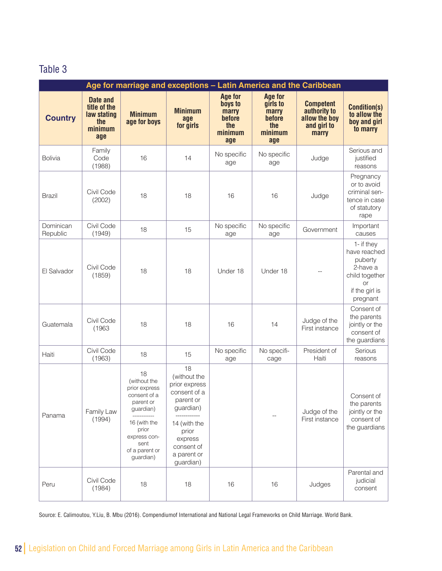### Table 3

| Age for marriage and exceptions - Latin America and the Caribbean |                                                                         |                                                                                                                                                               |                                                                                                                                                             |                                                                       |                                                                        |                                                                           |                                                                                                            |
|-------------------------------------------------------------------|-------------------------------------------------------------------------|---------------------------------------------------------------------------------------------------------------------------------------------------------------|-------------------------------------------------------------------------------------------------------------------------------------------------------------|-----------------------------------------------------------------------|------------------------------------------------------------------------|---------------------------------------------------------------------------|------------------------------------------------------------------------------------------------------------|
| <b>Country</b>                                                    | <b>Date and</b><br>title of the<br>law stating<br>the<br>minimum<br>age | <b>Minimum</b><br>age for boys                                                                                                                                | <b>Minimum</b><br>age<br>for girls                                                                                                                          | <b>Age for</b><br>boys to<br>marry<br>before<br>the<br>minimum<br>age | <b>Age for</b><br>girls to<br>marry<br>before<br>the<br>minimum<br>age | <b>Competent</b><br>authority to<br>allow the boy<br>and girl to<br>marry | <b>Condition(s)</b><br>to allow the<br>boy and girl<br>to marry                                            |
| <b>Bolivia</b>                                                    | Family<br>Code<br>(1988)                                                | 16                                                                                                                                                            | 14                                                                                                                                                          | No specific<br>age                                                    | No specific<br>age                                                     | Judge                                                                     | Serious and<br>justified<br>reasons                                                                        |
| <b>Brazil</b>                                                     | Civil Code<br>(2002)                                                    | 18                                                                                                                                                            | 18                                                                                                                                                          | 16                                                                    | 16                                                                     | Judge                                                                     | Pregnancy<br>or to avoid<br>criminal sen-<br>tence in case<br>of statutory<br>rape                         |
| Dominican<br>Republic                                             | Civil Code<br>(1949)                                                    | 18                                                                                                                                                            | 15                                                                                                                                                          | No specific<br>age                                                    | No specific<br>age                                                     | Government                                                                | Important<br>causes                                                                                        |
| El Salvador                                                       | Civil Code<br>(1859)                                                    | 18                                                                                                                                                            | 18                                                                                                                                                          | Under 18                                                              | Under 18                                                               |                                                                           | $1 -$ if they<br>have reached<br>puberty<br>2-have a<br>child together<br>or<br>if the girl is<br>pregnant |
| Guatemala                                                         | Civil Code<br>(1963)                                                    | 18                                                                                                                                                            | 18                                                                                                                                                          | 16                                                                    | 14                                                                     | Judge of the<br>First instance                                            | Consent of<br>the parents<br>jointly or the<br>consent of<br>the guardians                                 |
| Haiti                                                             | Civil Code<br>(1963)                                                    | 18                                                                                                                                                            | 15                                                                                                                                                          | No specific<br>age                                                    | No specifi-<br>cage                                                    | President of<br>Haiti                                                     | Serious<br>reasons                                                                                         |
| Panama                                                            | Family Law<br>(1994)                                                    | 18<br>(without the<br>prior express<br>consent of a<br>parent or<br>guardian)<br>16 (with the<br>prior<br>express con-<br>sent<br>of a parent or<br>guardian) | 18<br>(without the<br>prior express<br>consent of a<br>parent or<br>guardian)<br>14 (with the<br>prior<br>express<br>consent of<br>a parent or<br>guardian) |                                                                       |                                                                        | Judge of the<br>First instance                                            | Consent of<br>the parents<br>jointly or the<br>consent of<br>the guardians                                 |
| Peru                                                              | Civil Code<br>(1984)                                                    | 18                                                                                                                                                            | 18                                                                                                                                                          | 16                                                                    | 16                                                                     | Judges                                                                    | Parental and<br>judicial<br>consent                                                                        |

Source: E. Calimoutou, Y.Liu, B. Mbu (2016). Compendiumof International and National Legal Frameworks on Child Marriage. World Bank.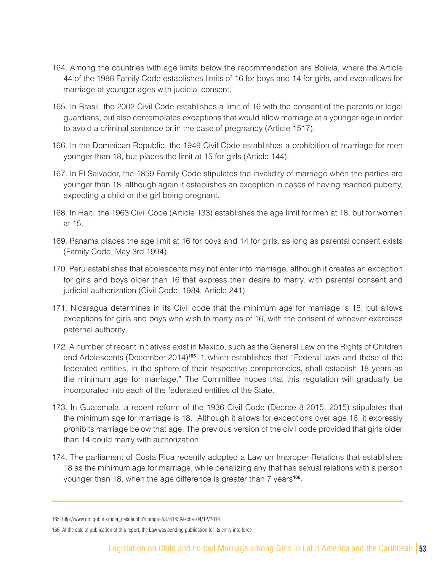- 164. Among the countries with age limits below the recommendation are Bolivia, where the Article 44 of the 1988 Family Code establishes limits of 16 for boys and 14 for girls, and even allows for marriage at younger ages with judicial consent.
- 165. In Brasil, the 2002 Civil Code establishes a limit of 16 with the consent of the parents or legal guardians, but also contemplates exceptions that would allow marriage at a younger age in order to avoid a criminal sentence or in the case of pregnancy (Article 1517).
- 166. In the Dominican Republic, the 1949 Civil Code establishes a prohibition of marriage for men younger than 18, but places the limit at 15 for girls (Article 144).
- 167. In El Salvador, the 1859 Family Code stipulates the invalidity of marriage when the parties are younger than 18, although again it establishes an exception in cases of having reached puberty, expecting a child or the girl being pregnant.
- 168. In Haiti, the 1963 Civil Code (Article 133) establishes the age limit for men at 18, but for women at 15.
- 169. Panama places the age limit at 16 for boys and 14 for girls, as long as parental consent exists (Family Code, May 3rd 1994)
- 170. Peru establishes that adolescents may not enter into marriage, although it creates an exception for girls and boys older than 16 that express their desire to marry, with parental consent and judicial authorization (Civil Code, 1984, Article 241)
- 171. Nicaragua determines in its Civil code that the minimum age for marriage is 18, but allows exceptions for girls and boys who wish to marry as of 16, with the consent of whoever exercises paternal authority.
- 172. A number of recent initiatives exist in Mexico, such as the General Law on the Rights of Children and Adolescents (December 2014)**<sup>165</sup>**, 1.which establishes that "Federal laws and those of the federated entities, in the sphere of their respective competencies, shall establish 18 years as the minimum age for marriage." The Committee hopes that this regulation will gradually be incorporated into each of the federated entities of the State.
- 173. In Guatemala, a recent reform of the 1936 Civil Code (Decree 8-2015, 2015) stipulates that the minimum age for marriage is 18. Although it allows for exceptions over age 16, it expressly prohibits marriage below that age. The previous version of the civil code provided that girls older than 14 could marry with authorization.
- 174. The parliament of Costa Rica recently adopted a Law on Improper Relations that establishes 18 as the minimum age for marriage, while penalizing any that has sexual relations with a person younger than 18, when the age difference is greater than 7 years**166**.

<sup>165</sup> http://www.dof.gob.mx/nota\_detalle.php?codigo=5374143&fecha=04/12/2014

<sup>166</sup> At the date of publication of this report, the Law was pending publication for its entry into force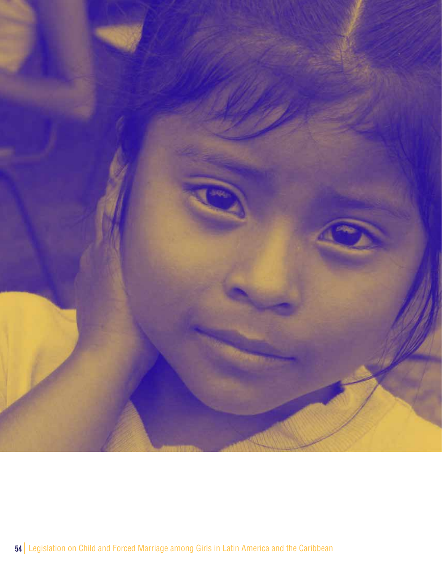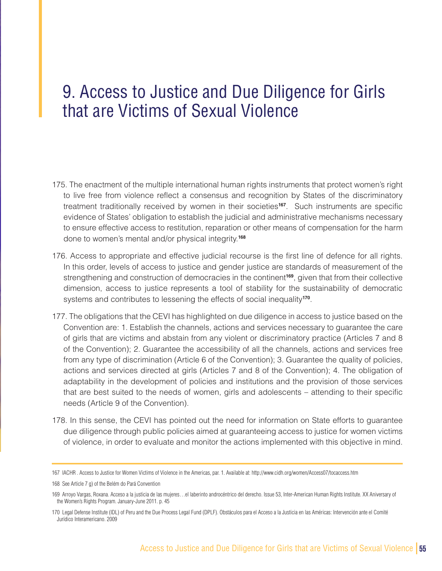### 9. Access to Justice and Due Diligence for Girls that are Victims of Sexual Violence

- 175. The enactment of the multiple international human rights instruments that protect women's right to live free from violence reflect a consensus and recognition by States of the discriminatory treatment traditionally received by women in their societies**<sup>167</sup>**. Such instruments are specific evidence of States' obligation to establish the judicial and administrative mechanisms necessary to ensure effective access to restitution, reparation or other means of compensation for the harm done to women's mental and/or physical integrity.**<sup>168</sup>**
- 176. Access to appropriate and effective judicial recourse is the first line of defence for all rights. In this order, levels of access to justice and gender justice are standards of measurement of the strengthening and construction of democracies in the continent**<sup>169</sup>**, given that from their collective dimension, access to justice represents a tool of stability for the sustainability of democratic systems and contributes to lessening the effects of social inequality**<sup>170</sup>**.
- 177. The obligations that the CEVI has highlighted on due diligence in access to justice based on the Convention are: 1. Establish the channels, actions and services necessary to guarantee the care of girls that are victims and abstain from any violent or discriminatory practice (Articles 7 and 8 of the Convention); 2. Guarantee the accessibility of all the channels, actions and services free from any type of discrimination (Article 6 of the Convention); 3. Guarantee the quality of policies, actions and services directed at girls (Articles 7 and 8 of the Convention); 4. The obligation of adaptability in the development of policies and institutions and the provision of those services that are best suited to the needs of women, girls and adolescents – attending to their specific needs (Article 9 of the Convention).
- 178. In this sense, the CEVI has pointed out the need for information on State efforts to guarantee due diligence through public policies aimed at guaranteeing access to justice for women victims of violence, in order to evaluate and monitor the actions implemented with this objective in mind.

<sup>167</sup> IACHR . Access to Justice for Women Victims of Violence in the Americas, par. 1. Available at: http://www.cidh.org/women/Access07/tocaccess.htm

<sup>168</sup> See Article 7 g) of the Belém do Pará Convention

<sup>169</sup> Arroyo Vargas, Roxana. Acceso a la justicia de las mujeres…el laberinto androcéntrico del derecho. Issue 53, Inter-American Human Rights Institute. XX Aniversary of the Women's Rights Program. January-June 2011. p. 45

<sup>170</sup> Legal Defense Institute (IDL) of Peru and the Due Process Legal Fund (DPLF). Obstáculos para el Acceso a la Justicia en las Américas: Intervención ante el Comité Jurídico Interamericano. 2009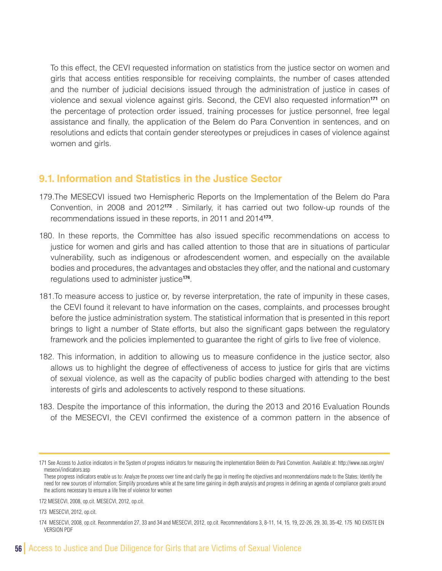To this effect, the CEVI requested information on statistics from the justice sector on women and girls that access entities responsible for receiving complaints, the number of cases attended and the number of judicial decisions issued through the administration of justice in cases of violence and sexual violence against girls. Second, the CEVI also requested information**<sup>171</sup>** on the percentage of protection order issued, training processes for justice personnel, free legal assistance and finally, the application of the Belem do Para Convention in sentences, and on resolutions and edicts that contain gender stereotypes or prejudices in cases of violence against women and girls.

#### **9.1. Information and Statistics in the Justice Sector**

- 179.The MESECVI issued two Hemispheric Reports on the Implementation of the Belem do Para Convention, in 2008 and 2012**<sup>172</sup>** . Similarly, it has carried out two follow-up rounds of the recommendations issued in these reports, in 2011 and 2014**<sup>173</sup>**.
- 180. In these reports, the Committee has also issued specific recommendations on access to justice for women and girls and has called attention to those that are in situations of particular vulnerability, such as indigenous or afrodescendent women, and especially on the available bodies and procedures, the advantages and obstacles they offer, and the national and customary regulations used to administer justice**<sup>174</sup>**.
- 181.To measure access to justice or, by reverse interpretation, the rate of impunity in these cases, the CEVI found it relevant to have information on the cases, complaints, and processes brought before the justice administration system. The statistical information that is presented in this report brings to light a number of State efforts, but also the significant gaps between the regulatory framework and the policies implemented to guarantee the right of girls to live free of violence.
- 182. This information, in addition to allowing us to measure confidence in the justice sector, also allows us to highlight the degree of effectiveness of access to justice for girls that are victims of sexual violence, as well as the capacity of public bodies charged with attending to the best interests of girls and adolescents to actively respond to these situations.
- 183. Despite the importance of this information, the during the 2013 and 2016 Evaluation Rounds of the MESECVI, the CEVI confirmed the existence of a common pattern in the absence of

173 MESECVI, 2012, op.cit.

<sup>171</sup> See Access to Justice indicators in the System of progress indicators for measuring the implementation Belém do Pará Convention. Available at: http://www.oas.org/en/ mesecvi/indicators.asp

These progress indicators enable us to: Analyze the process over time and clarify the gap in meeting the objectives and recommendations made to the States; Identify the need for new sources of information; Simplify procedures while at the same time gaining in depth analysis and progress in defining an agenda of compliance goals around the actions necessary to ensure a life free of violence for women

<sup>172</sup> MESECVI, 2008, op.cit. MESECVI, 2012, op.cit.

<sup>174</sup> MESECVI, 2008, op.cit. Recommendation 27, 33 and 34 and MESECVI, 2012, op.cit. Recommendations 3, 8-11, 14, 15, 19, 22-26, 29, 30, 35-42. 175 NO EXISTE EN VERSION PDF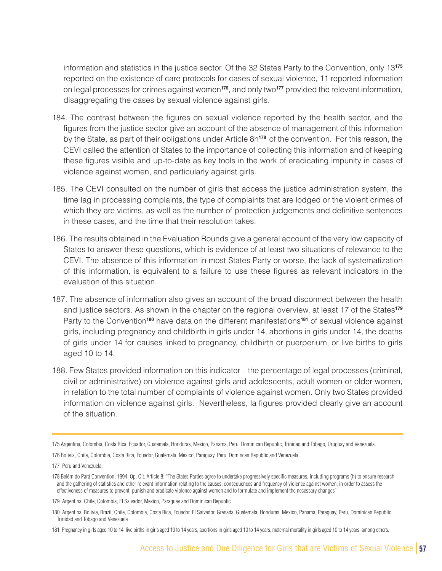information and statistics in the justice sector. Of the 32 States Party to the Convention, only 13**<sup>175</sup>** reported on the existence of care protocols for cases of sexual violence, 11 reported information on legal processes for crimes against women**<sup>176</sup>**, and only two**<sup>177</sup>** provided the relevant information, disaggregating the cases by sexual violence against girls.

- 184. The contrast between the figures on sexual violence reported by the health sector, and the figures from the justice sector give an account of the absence of management of this information by the State, as part of their obligations under Article 8h**<sup>178</sup>**of the convention. For this reason, the CEVI called the attention of States to the importance of collecting this information and of keeping these figures visible and up-to-date as key tools in the work of eradicating impunity in cases of violence against women, and particularly against girls.
- 185. The CEVI consulted on the number of girls that access the justice administration system, the time lag in processing complaints, the type of complaints that are lodged or the violent crimes of which they are victims, as well as the number of protection judgements and definitive sentences in these cases, and the time that their resolution takes.
- 186. The results obtained in the Evaluation Rounds give a general account of the very low capacity of States to answer these questions, which is evidence of at least two situations of relevance to the CEVI. The absence of this information in most States Party or worse, the lack of systematization of this information, is equivalent to a failure to use these figures as relevant indicators in the evaluation of this situation.
- 187. The absence of information also gives an account of the broad disconnect between the health and justice sectors. As shown in the chapter on the regional overview, at least 17 of the States**<sup>179</sup>** Party to the Convention**<sup>180</sup>** have data on the different manifestations**<sup>181</sup>** of sexual violence against girls, including pregnancy and childbirth in girls under 14, abortions in girls under 14, the deaths of girls under 14 for causes linked to pregnancy, childbirth or puerperium, or live births to girls aged 10 to 14.
- 188. Few States provided information on this indicator the percentage of legal processes (criminal, civil or administrative) on violence against girls and adolescents, adult women or older women, in relation to the total number of complaints of violence against women. Only two States provided information on violence against girls. Nevertheless, la figures provided clearly give an account of the situation.

177 Peru and Venezuela.

<sup>175</sup> Argentina, Colombia, Costa Rica, Ecuador, Guatemala, Honduras, Mexico, Panama, Peru, Dominican Republic, Trinidad and Tobago, Uruguay and Venezuela.

<sup>176</sup> Bolivia, Chile, Colombia, Costa Rica, Ecuador, Guatemala, Mexico, Paraguay, Peru, Domincan Republic and Venezuela.

<sup>178</sup> Belém do Pará Convention, 1994. Op. Cit. Article 8: "The States Parties agree to undertake progressively specific measures, including programs (h) to ensure research and the gathering of statistics and other relevant information relating to the causes, consequences and frequency of violence against women, in order to assess the effectiveness of measures to prevent, punish and eradicate violence against women and to formulate and implement the necessary changes"

<sup>179</sup> Argentina, Chile, Colombia, El Salvador, Mexico, Paraguay and Dominican Republic

<sup>180</sup> Argentina, Bolivia, Brazil, Chile, Colombia, Costa Rica, Ecuador, El Salvador, Grenada. Guatemala, Honduras, Mexico, Panama, Paraguay, Peru, Dominican Republic, Trinidad and Tobago and Venezuela

<sup>181</sup> Pregnancy in girls aged 10 to 14, live births in girls aged 10 to 14 years, abortions in girls aged 10 to 14 years, maternal mortality in girls aged 10 to 14 years, among others.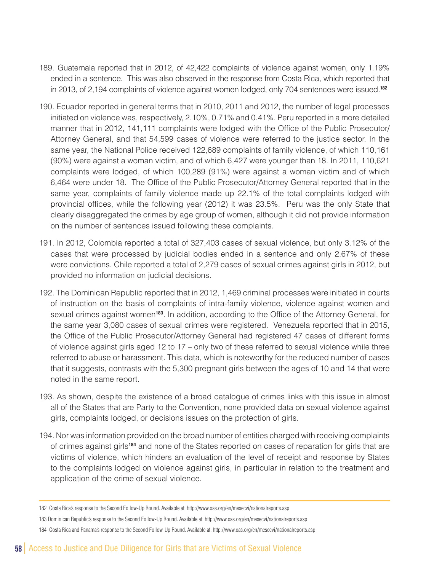- 189. Guatemala reported that in 2012, of 42,422 complaints of violence against women, only 1.19% ended in a sentence. This was also observed in the response from Costa Rica, which reported that in 2013, of 2,194 complaints of violence against women lodged, only 704 sentences were issued.**<sup>182</sup>**
- 190. Ecuador reported in general terms that in 2010, 2011 and 2012, the number of legal processes initiated on violence was, respectively, 2.10%, 0.71% and 0.41%. Peru reported in a more detailed manner that in 2012, 141,111 complaints were lodged with the Office of the Public Prosecutor/ Attorney General, and that 54,599 cases of violence were referred to the justice sector. In the same year, the National Police received 122,689 complaints of family violence, of which 110,161 (90%) were against a woman victim, and of which 6,427 were younger than 18. In 2011, 110,621 complaints were lodged, of which 100,289 (91%) were against a woman victim and of which 6,464 were under 18. The Office of the Public Prosecutor/Attorney General reported that in the same year, complaints of family violence made up 22.1% of the total complaints lodged with provincial offices, while the following year (2012) it was 23.5%. Peru was the only State that clearly disaggregated the crimes by age group of women, although it did not provide information on the number of sentences issued following these complaints.
- 191. In 2012, Colombia reported a total of 327,403 cases of sexual violence, but only 3.12% of the cases that were processed by judicial bodies ended in a sentence and only 2.67% of these were convictions. Chile reported a total of 2,279 cases of sexual crimes against girls in 2012, but provided no information on judicial decisions.
- 192. The Dominican Republic reported that in 2012, 1,469 criminal processes were initiated in courts of instruction on the basis of complaints of intra-family violence, violence against women and sexual crimes against women**<sup>183</sup>**. In addition, according to the Office of the Attorney General, for the same year 3,080 cases of sexual crimes were registered. Venezuela reported that in 2015, the Office of the Public Prosecutor/Attorney General had registered 47 cases of different forms of violence against girls aged 12 to 17 – only two of these referred to sexual violence while three referred to abuse or harassment. This data, which is noteworthy for the reduced number of cases that it suggests, contrasts with the 5,300 pregnant girls between the ages of 10 and 14 that were noted in the same report.
- 193. As shown, despite the existence of a broad catalogue of crimes links with this issue in almost all of the States that are Party to the Convention, none provided data on sexual violence against girls, complaints lodged, or decisions issues on the protection of girls.
- 194. Nor was information provided on the broad number of entities charged with receiving complaints of crimes against girls**<sup>184</sup>** and none of the States reported on cases of reparation for girls that are victims of violence, which hinders an evaluation of the level of receipt and response by States to the complaints lodged on violence against girls, in particular in relation to the treatment and application of the crime of sexual violence.

<sup>182</sup> Costa Rica's response to the Second Follow-Up Round. Available at: http://www.oas.org/en/mesecvi/nationalreports.asp

<sup>183</sup> Dominican Republic's response to the Second Follow-Up Round. Available at: http://www.oas.org/en/mesecvi/nationalreports.asp

<sup>184</sup> Costa Rica and Panama's response to the Second Follow-Up Round. Available at: http://www.oas.org/en/mesecvi/nationalreports.asp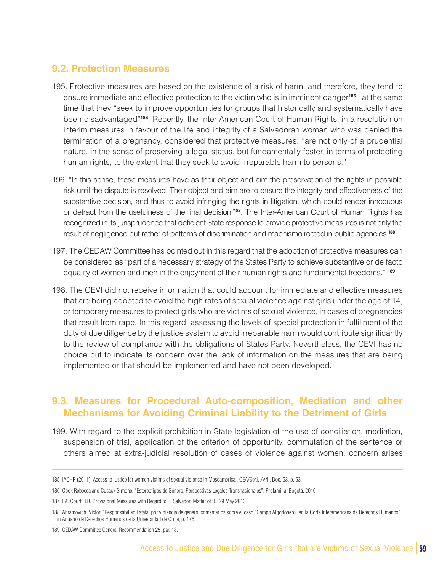#### **9.2. Protection Measures**

- 195. Protective measures are based on the existence of a risk of harm, and therefore, they tend to ensure immediate and effective protection to the victim who is in imminent danger**<sup>185</sup>**, at the same time that they "seek to improve opportunities for groups that historically and systematically have been disadvantaged"**<sup>186</sup>**. Recently, the Inter-American Court of Human Rights, in a resolution on interim measures in favour of the life and integrity of a Salvadoran woman who was denied the termination of a pregnancy, considered that protective measures: "are not only of a prudential nature, in the sense of preserving a legal status, but fundamentally foster, in terms of protecting human rights, to the extent that they seek to avoid irreparable harm to persons."
- 196. "In this sense, these measures have as their object and aim the preservation of the rights in possible risk until the dispute is resolved. Their object and aim are to ensure the integrity and effectiveness of the substantive decision, and thus to avoid infringing the rights in litigation, which could render innocuous or detract from the usefulness of the final decision"**<sup>187</sup>**. The Inter-American Court of Human Rights has recognized in its jurisprudence that deficient State response to provide protective measures is not only the result of negligence but rather of patterns of discrimination and machismo rooted in public agencies **<sup>188</sup>**.
- 197. The CEDAW Committee has pointed out in this regard that the adoption of protective measures can be considered as "part of a necessary strategy of the States Party to achieve substantive or de facto equality of women and men in the enjoyment of their human rights and fundamental freedoms." **<sup>189</sup>**.
- 198. The CEVI did not receive information that could account for immediate and effective measures that are being adopted to avoid the high rates of sexual violence against girls under the age of 14, or temporary measures to protect girls who are victims of sexual violence, in cases of pregnancies that result from rape. In this regard, assessing the levels of special protection in fulfillment of the duty of due diligence by the justice system to avoid irreparable harm would contribute significantly to the review of compliance with the obligations of States Party. Nevertheless, the CEVI has no choice but to indicate its concern over the lack of information on the measures that are being implemented or that should be implemented and have not been developed.

### **9.3. Measures for Procedural Auto-composition, Mediation and other Mechanisms for Avoiding Criminal Liability to the Detriment of Girls**

199. With regard to the explicit prohibition in State legislation of the use of conciliation, mediation, suspension of trial, application of the criterion of opportunity, commutation of the sentence or others aimed at extra-judicial resolution of cases of violence against women, concern arises

<sup>185</sup> IACHR (2011), Access to justice for women victims of sexual violence in Mesoamerica., OEA/Ser.L./V/II. Doc. 63, p. 63.

<sup>186</sup> Cook Rebecca and Cusack Simone, "Estereotipos de Género: Perspectivas Legales Transnacionales", Profamilia, Bogotá, 2010

<sup>187</sup> I.A. Court H.R. Provisional Measures with Regard to El Salvador: Matter of B. 29 May 2013

<sup>188</sup> Abramovich, Víctor, "Responsabiliad Estatal por violencia de género: comentarios sobre el caso "Campo Algodonero" en la Corte Interamericana de Derechos Humanos" in Anuario de Derechos Humanos de la Universidad de Chile, p. 176.

<sup>189</sup> CEDAW Committee General Recommendation 25, par. 18.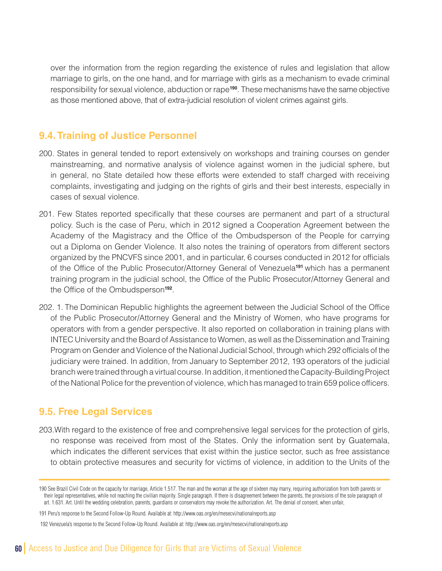over the information from the region regarding the existence of rules and legislation that allow marriage to girls, on the one hand, and for marriage with girls as a mechanism to evade criminal responsibility for sexual violence, abduction or rape**<sup>190</sup>**. These mechanisms have the same objective as those mentioned above, that of extra-judicial resolution of violent crimes against girls.

#### **9.4. Training of Justice Personnel**

- 200. States in general tended to report extensively on workshops and training courses on gender mainstreaming, and normative analysis of violence against women in the judicial sphere, but in general, no State detailed how these efforts were extended to staff charged with receiving complaints, investigating and judging on the rights of girls and their best interests, especially in cases of sexual violence.
- 201. Few States reported specifically that these courses are permanent and part of a structural policy. Such is the case of Peru, which in 2012 signed a Cooperation Agreement between the Academy of the Magistracy and the Office of the Ombudsperson of the People for carrying out a Diploma on Gender Violence. It also notes the training of operators from different sectors organized by the PNCVFS since 2001, and in particular, 6 courses conducted in 2012 for officials of the Office of the Public Prosecutor/Attorney General of Venezuela<sup>191</sup> which has a permanent training program in the judicial school, the Office of the Public Prosecutor/Attorney General and the Office of the Ombudsperson**<sup>192</sup>**.
- 202. 1. The Dominican Republic highlights the agreement between the Judicial School of the Office of the Public Prosecutor/Attorney General and the Ministry of Women, who have programs for operators with from a gender perspective. It also reported on collaboration in training plans with INTEC University and the Board of Assistance to Women, as well as the Dissemination and Training Program on Gender and Violence of the National Judicial School, through which 292 officials of the judiciary were trained. In addition, from January to September 2012, 193 operators of the judicial branch were trained through a virtual course. In addition, it mentioned the Capacity-Building Project of the National Police for the prevention of violence, which has managed to train 659 police officers.

#### **9.5. Free Legal Services**

203.With regard to the existence of free and comprehensive legal services for the protection of girls, no response was received from most of the States. Only the information sent by Guatemala, which indicates the different services that exist within the justice sector, such as free assistance to obtain protective measures and security for victims of violence, in addition to the Units of the

<sup>190</sup> See Brazil Civil Code on the capacity for marriage, Article 1.517. The man and the woman at the age of sixteen may marry, requiring authorization from both parents or their legal representatives, while not reaching the civilian majority. Single paragraph. If there is disagreement between the parents, the provisions of the sole paragraph of art. 1.631. Art. Until the wedding celebration, parents, guardians or conservators may revoke the authorization. Art. The denial of consent, when unfair,

<sup>191</sup> Peru's response to the Second Follow-Up Round. Available at: http://www.oas.org/en/mesecvi/nationalreports.asp

 <sup>192</sup> Venezuela's response to the Second Follow-Up Round. Available at: http://www.oas.org/en/mesecvi/nationalreports.asp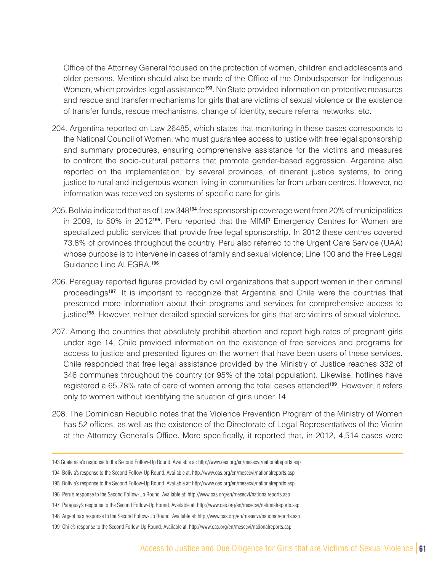Office of the Attorney General focused on the protection of women, children and adolescents and older persons. Mention should also be made of the Office of the Ombudsperson for Indigenous Women, which provides legal assistance**<sup>193</sup>**. No State provided information on protective measures and rescue and transfer mechanisms for girls that are victims of sexual violence or the existence of transfer funds, rescue mechanisms, change of identity, secure referral networks, etc.

- 204. Argentina reported on Law 26485, which states that monitoring in these cases corresponds to the National Council of Women, who must guarantee access to justice with free legal sponsorship and summary procedures, ensuring comprehensive assistance for the victims and measures to confront the socio-cultural patterns that promote gender-based aggression. Argentina also reported on the implementation, by several provinces, of itinerant justice systems, to bring justice to rural and indigenous women living in communities far from urban centres. However, no information was received on systems of specific care for girls
- 205. Bolivia indicated that as of Law 348**<sup>194</sup>**,free sponsorship coverage went from 20% of municipalities in 2009, to 50% in 2012**<sup>195</sup>**. Peru reported that the MIMP Emergency Centres for Women are specialized public services that provide free legal sponsorship. In 2012 these centres covered 73.8% of provinces throughout the country. Peru also referred to the Urgent Care Service (UAA) whose purpose is to intervene in cases of family and sexual violence; Line 100 and the Free Legal Guidance Line ALEGRA.**<sup>196</sup>**
- 206. Paraguay reported figures provided by civil organizations that support women in their criminal proceedings**<sup>197</sup>**. It is important to recognize that Argentina and Chile were the countries that presented more information about their programs and services for comprehensive access to justice**<sup>198</sup>**. However, neither detailed special services for girls that are victims of sexual violence.
- 207. Among the countries that absolutely prohibit abortion and report high rates of pregnant girls under age 14, Chile provided information on the existence of free services and programs for access to justice and presented figures on the women that have been users of these services. Chile responded that free legal assistance provided by the Ministry of Justice reaches 332 of 346 communes throughout the country (or 95% of the total population). Likewise, hotlines have registered a 65.78% rate of care of women among the total cases attended**<sup>199</sup>**. However, it refers only to women without identifying the situation of girls under 14.
- 208. The Dominican Republic notes that the Violence Prevention Program of the Ministry of Women has 52 offices, as well as the existence of the Directorate of Legal Representatives of the Victim at the Attorney General's Office. More specifically, it reported that, in 2012, 4,514 cases were

197 Paraguay's response to the Second Follow-Up Round. Available at: http://www.oas.org/en/mesecvi/nationalreports.asp

<sup>193</sup> Guatemala's response to the Second Follow-Up Round. Available at: http://www.oas.org/en/mesecvi/nationalreports.asp

<sup>194</sup> Bolivia's response to the Second Follow-Up Round. Available at: http://www.oas.org/en/mesecvi/nationalreports.asp

<sup>195</sup> Bolivia's response to the Second Follow-Up Round. Available at: http://www.oas.org/en/mesecvi/nationalreports.asp

<sup>196</sup> Peru's response to the Second Follow-Up Round. Available at: http://www.oas.org/en/mesecvi/nationalreports.asp

<sup>198</sup> Argentina's response to the Second Follow-Up Round. Available at: http://www.oas.org/en/mesecvi/nationalreports.asp

<sup>199</sup> Chile's response to the Second Follow-Up Round. Available at: http://www.oas.org/en/mesecvi/nationalreports.asp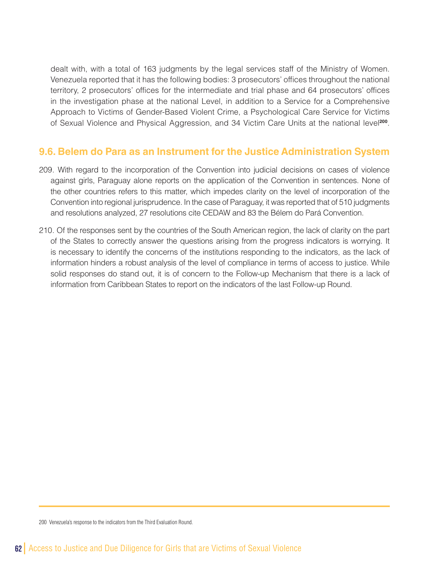dealt with, with a total of 163 judgments by the legal services staff of the Ministry of Women. Venezuela reported that it has the following bodies: 3 prosecutors' offices throughout the national territory, 2 prosecutors' offices for the intermediate and trial phase and 64 prosecutors' offices in the investigation phase at the national Level, in addition to a Service for a Comprehensive Approach to Victims of Gender-Based Violent Crime, a Psychological Care Service for Victims of Sexual Violence and Physical Aggression, and 34 Victim Care Units at the national level**<sup>200</sup>**.

#### **9.6. Belem do Para as an Instrument for the Justice Administration System**

- 209. With regard to the incorporation of the Convention into judicial decisions on cases of violence against girls, Paraguay alone reports on the application of the Convention in sentences. None of the other countries refers to this matter, which impedes clarity on the level of incorporation of the Convention into regional jurisprudence. In the case of Paraguay, it was reported that of 510 judgments and resolutions analyzed, 27 resolutions cite CEDAW and 83 the Bélem do Pará Convention.
- 210. Of the responses sent by the countries of the South American region, the lack of clarity on the part of the States to correctly answer the questions arising from the progress indicators is worrying. It is necessary to identify the concerns of the institutions responding to the indicators, as the lack of information hinders a robust analysis of the level of compliance in terms of access to justice. While solid responses do stand out, it is of concern to the Follow-up Mechanism that there is a lack of information from Caribbean States to report on the indicators of the last Follow-up Round.

200 Venezuela's response to the indicators from the Third Evaluation Round.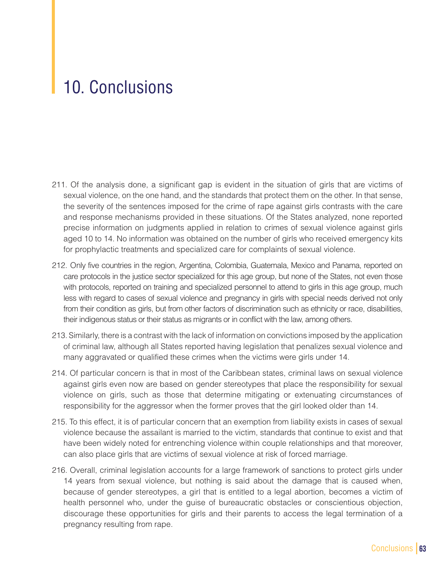## 10. Conclusions

- 211. Of the analysis done, a significant gap is evident in the situation of girls that are victims of sexual violence, on the one hand, and the standards that protect them on the other. In that sense, the severity of the sentences imposed for the crime of rape against girls contrasts with the care and response mechanisms provided in these situations. Of the States analyzed, none reported precise information on judgments applied in relation to crimes of sexual violence against girls aged 10 to 14. No information was obtained on the number of girls who received emergency kits for prophylactic treatments and specialized care for complaints of sexual violence.
- 212. Only five countries in the region, Argentina, Colombia, Guatemala, Mexico and Panama, reported on care protocols in the justice sector specialized for this age group, but none of the States, not even those with protocols, reported on training and specialized personnel to attend to girls in this age group, much less with regard to cases of sexual violence and pregnancy in girls with special needs derived not only from their condition as girls, but from other factors of discrimination such as ethnicity or race, disabilities, their indigenous status or their status as migrants or in conflict with the law, among others.
- 213. Similarly, there is a contrast with the lack of information on convictions imposed by the application of criminal law, although all States reported having legislation that penalizes sexual violence and many aggravated or qualified these crimes when the victims were girls under 14.
- 214. Of particular concern is that in most of the Caribbean states, criminal laws on sexual violence against girls even now are based on gender stereotypes that place the responsibility for sexual violence on girls, such as those that determine mitigating or extenuating circumstances of responsibility for the aggressor when the former proves that the girl looked older than 14.
- 215. To this effect, it is of particular concern that an exemption from liability exists in cases of sexual violence because the assailant is married to the victim, standards that continue to exist and that have been widely noted for entrenching violence within couple relationships and that moreover, can also place girls that are victims of sexual violence at risk of forced marriage.
- 216. Overall, criminal legislation accounts for a large framework of sanctions to protect girls under 14 years from sexual violence, but nothing is said about the damage that is caused when, because of gender stereotypes, a girl that is entitled to a legal abortion, becomes a victim of health personnel who, under the guise of bureaucratic obstacles or conscientious objection, discourage these opportunities for girls and their parents to access the legal termination of a pregnancy resulting from rape.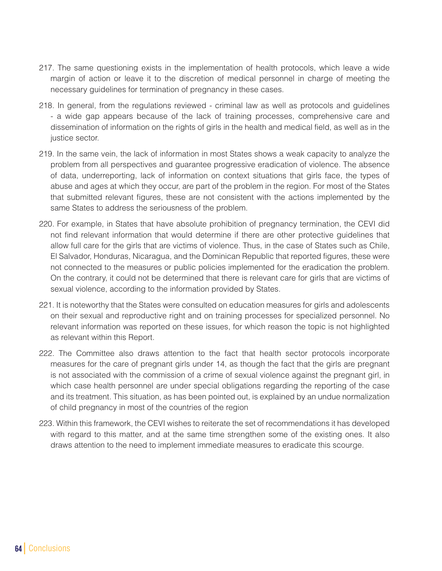- 217. The same questioning exists in the implementation of health protocols, which leave a wide margin of action or leave it to the discretion of medical personnel in charge of meeting the necessary guidelines for termination of pregnancy in these cases.
- 218. In general, from the regulations reviewed criminal law as well as protocols and guidelines - a wide gap appears because of the lack of training processes, comprehensive care and dissemination of information on the rights of girls in the health and medical field, as well as in the justice sector.
- 219. In the same vein, the lack of information in most States shows a weak capacity to analyze the problem from all perspectives and guarantee progressive eradication of violence. The absence of data, underreporting, lack of information on context situations that girls face, the types of abuse and ages at which they occur, are part of the problem in the region. For most of the States that submitted relevant figures, these are not consistent with the actions implemented by the same States to address the seriousness of the problem.
- 220. For example, in States that have absolute prohibition of pregnancy termination, the CEVI did not find relevant information that would determine if there are other protective guidelines that allow full care for the girls that are victims of violence. Thus, in the case of States such as Chile, El Salvador, Honduras, Nicaragua, and the Dominican Republic that reported figures, these were not connected to the measures or public policies implemented for the eradication the problem. On the contrary, it could not be determined that there is relevant care for girls that are victims of sexual violence, according to the information provided by States.
- 221. It is noteworthy that the States were consulted on education measures for girls and adolescents on their sexual and reproductive right and on training processes for specialized personnel. No relevant information was reported on these issues, for which reason the topic is not highlighted as relevant within this Report.
- 222. The Committee also draws attention to the fact that health sector protocols incorporate measures for the care of pregnant girls under 14, as though the fact that the girls are pregnant is not associated with the commission of a crime of sexual violence against the pregnant girl, in which case health personnel are under special obligations regarding the reporting of the case and its treatment. This situation, as has been pointed out, is explained by an undue normalization of child pregnancy in most of the countries of the region
- 223. Within this framework, the CEVI wishes to reiterate the set of recommendations it has developed with regard to this matter, and at the same time strengthen some of the existing ones. It also draws attention to the need to implement immediate measures to eradicate this scourge.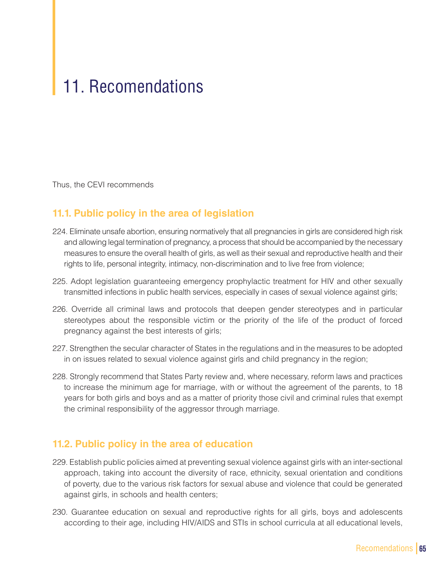## 11. Recomendations

Thus, the CEVI recommends

#### **11.1. Public policy in the area of legislation**

- 224. Eliminate unsafe abortion, ensuring normatively that all pregnancies in girls are considered high risk and allowing legal termination of pregnancy, a process that should be accompanied by the necessary measures to ensure the overall health of girls, as well as their sexual and reproductive health and their rights to life, personal integrity, intimacy, non-discrimination and to live free from violence;
- 225. Adopt legislation guaranteeing emergency prophylactic treatment for HIV and other sexually transmitted infections in public health services, especially in cases of sexual violence against girls;
- 226. Override all criminal laws and protocols that deepen gender stereotypes and in particular stereotypes about the responsible victim or the priority of the life of the product of forced pregnancy against the best interests of girls;
- 227. Strengthen the secular character of States in the regulations and in the measures to be adopted in on issues related to sexual violence against girls and child pregnancy in the region;
- 228. Strongly recommend that States Party review and, where necessary, reform laws and practices to increase the minimum age for marriage, with or without the agreement of the parents, to 18 years for both girls and boys and as a matter of priority those civil and criminal rules that exempt the criminal responsibility of the aggressor through marriage.

#### **11.2. Public policy in the area of education**

- 229. Establish public policies aimed at preventing sexual violence against girls with an inter-sectional approach, taking into account the diversity of race, ethnicity, sexual orientation and conditions of poverty, due to the various risk factors for sexual abuse and violence that could be generated against girls, in schools and health centers;
- 230. Guarantee education on sexual and reproductive rights for all girls, boys and adolescents according to their age, including HIV/AIDS and STIs in school curricula at all educational levels,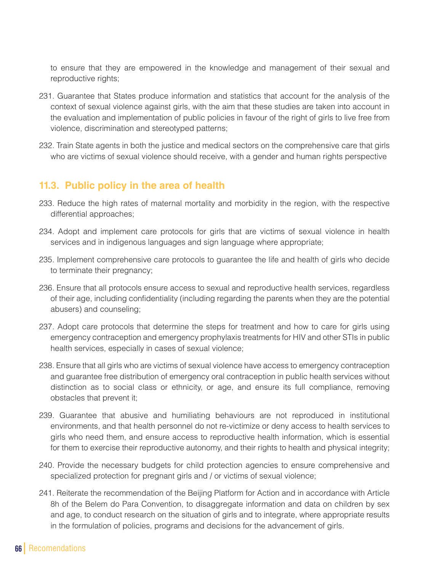to ensure that they are empowered in the knowledge and management of their sexual and reproductive rights;

- 231. Guarantee that States produce information and statistics that account for the analysis of the context of sexual violence against girls, with the aim that these studies are taken into account in the evaluation and implementation of public policies in favour of the right of girls to live free from violence, discrimination and stereotyped patterns;
- 232. Train State agents in both the justice and medical sectors on the comprehensive care that girls who are victims of sexual violence should receive, with a gender and human rights perspective

#### **11.3. Public policy in the area of health**

- 233. Reduce the high rates of maternal mortality and morbidity in the region, with the respective differential approaches;
- 234. Adopt and implement care protocols for girls that are victims of sexual violence in health services and in indigenous languages and sign language where appropriate;
- 235. Implement comprehensive care protocols to guarantee the life and health of girls who decide to terminate their pregnancy;
- 236. Ensure that all protocols ensure access to sexual and reproductive health services, regardless of their age, including confidentiality (including regarding the parents when they are the potential abusers) and counseling;
- 237. Adopt care protocols that determine the steps for treatment and how to care for girls using emergency contraception and emergency prophylaxis treatments for HIV and other STIs in public health services, especially in cases of sexual violence;
- 238. Ensure that all girls who are victims of sexual violence have access to emergency contraception and guarantee free distribution of emergency oral contraception in public health services without distinction as to social class or ethnicity, or age, and ensure its full compliance, removing obstacles that prevent it;
- 239. Guarantee that abusive and humiliating behaviours are not reproduced in institutional environments, and that health personnel do not re-victimize or deny access to health services to girls who need them, and ensure access to reproductive health information, which is essential for them to exercise their reproductive autonomy, and their rights to health and physical integrity;
- 240. Provide the necessary budgets for child protection agencies to ensure comprehensive and specialized protection for pregnant girls and / or victims of sexual violence;
- 241. Reiterate the recommendation of the Beijing Platform for Action and in accordance with Article 8h of the Belem do Para Convention, to disaggregate information and data on children by sex and age, to conduct research on the situation of girls and to integrate, where appropriate results in the formulation of policies, programs and decisions for the advancement of girls.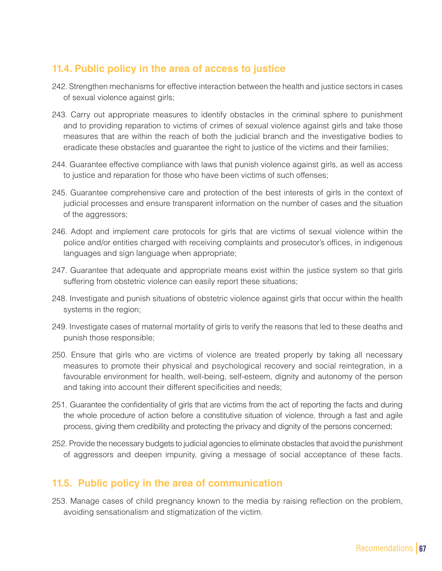### **11.4. Public policy in the area of access to justice**

- 242. Strengthen mechanisms for effective interaction between the health and justice sectors in cases of sexual violence against girls;
- 243. Carry out appropriate measures to identify obstacles in the criminal sphere to punishment and to providing reparation to victims of crimes of sexual violence against girls and take those measures that are within the reach of both the judicial branch and the investigative bodies to eradicate these obstacles and guarantee the right to justice of the victims and their families;
- 244. Guarantee effective compliance with laws that punish violence against girls, as well as access to justice and reparation for those who have been victims of such offenses;
- 245. Guarantee comprehensive care and protection of the best interests of girls in the context of judicial processes and ensure transparent information on the number of cases and the situation of the aggressors;
- 246. Adopt and implement care protocols for girls that are victims of sexual violence within the police and/or entities charged with receiving complaints and prosecutor's offices, in indigenous languages and sign language when appropriate;
- 247. Guarantee that adequate and appropriate means exist within the justice system so that girls suffering from obstetric violence can easily report these situations;
- 248. Investigate and punish situations of obstetric violence against girls that occur within the health systems in the region;
- 249. Investigate cases of maternal mortality of girls to verify the reasons that led to these deaths and punish those responsible;
- 250. Ensure that girls who are victims of violence are treated properly by taking all necessary measures to promote their physical and psychological recovery and social reintegration, in a favourable environment for health, well-being, self-esteem, dignity and autonomy of the person and taking into account their different specificities and needs;
- 251. Guarantee the confidentiality of girls that are victims from the act of reporting the facts and during the whole procedure of action before a constitutive situation of violence, through a fast and agile process, giving them credibility and protecting the privacy and dignity of the persons concerned;
- 252. Provide the necessary budgets to judicial agencies to eliminate obstacles that avoid the punishment of aggressors and deepen impunity, giving a message of social acceptance of these facts.

### **11.5. Public policy in the area of communication**

253. Manage cases of child pregnancy known to the media by raising reflection on the problem, avoiding sensationalism and stigmatization of the victim.